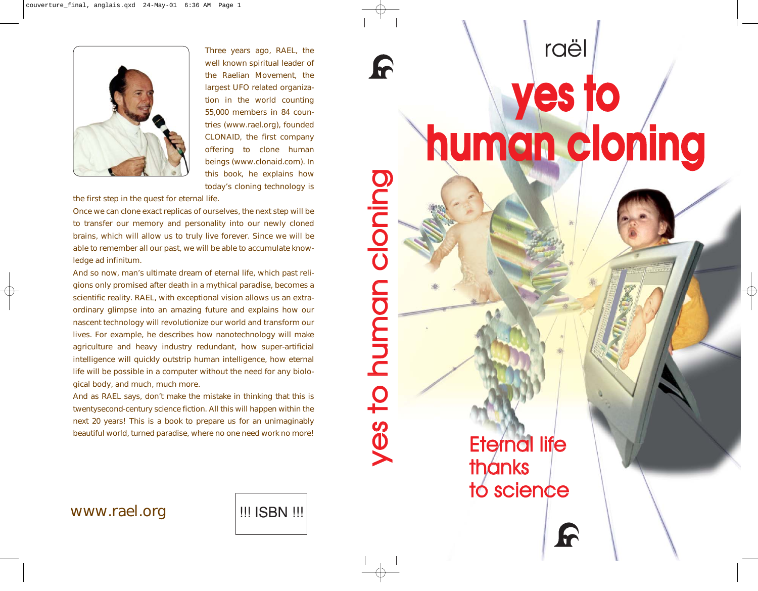# yes to human cloning raël

### Eternal life thanks to science

6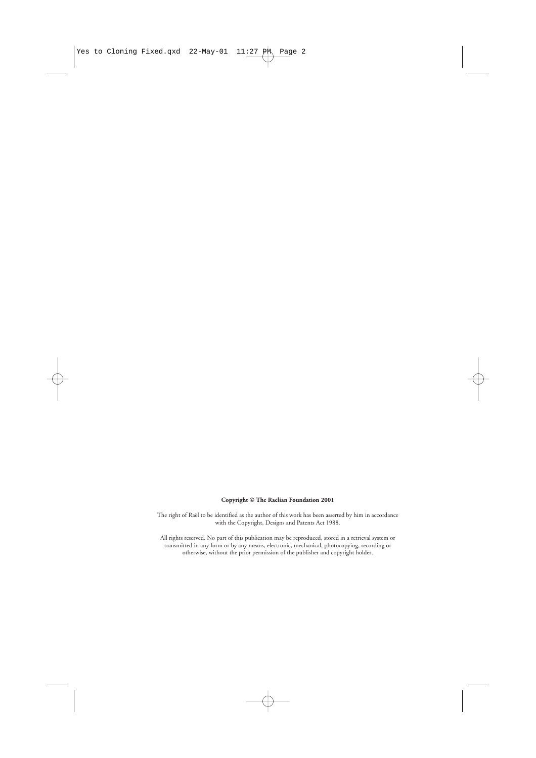#### **Copyright © The Raelian Foundation 2001**

The right of Raël to be identified as the author of this work has been asserted by him in accordance with the Copyright, Designs and Patents Act 1988.

All rights reserved. No part of this publication may be reproduced, stored in a retrieval system or transmitted in any form or by any means, electronic, mechanical, photocopying, recording or otherwise, without the prior permission of the publisher and copyright holder.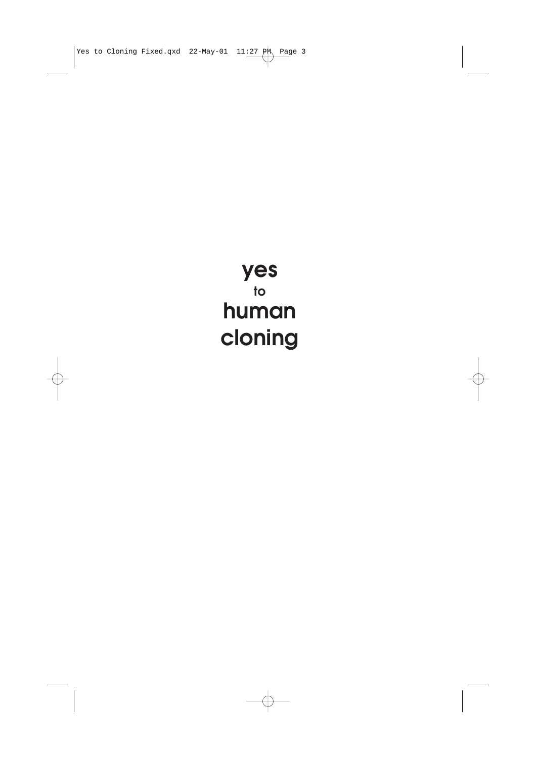### **yes to human cloning**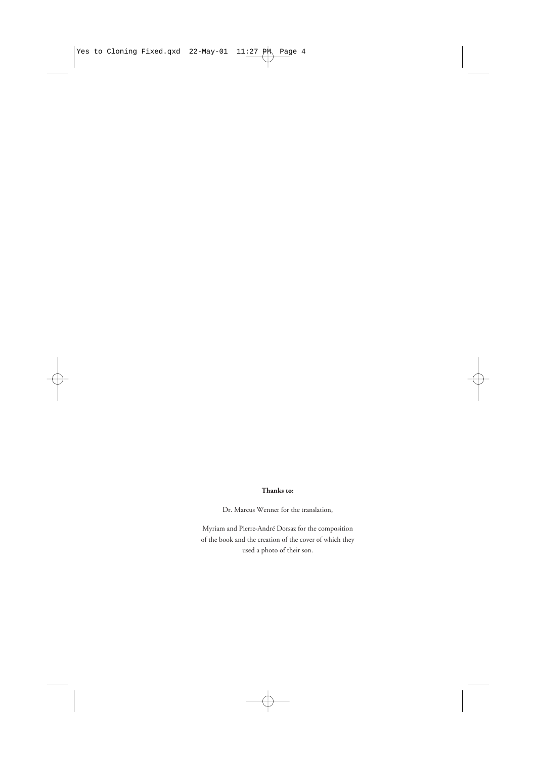#### **Thanks to:**

Dr. Marcus Wenner for the translation,

Myriam and Pierre-André Dorsaz for the composition of the book and the creation of the cover of which they used a photo of their son.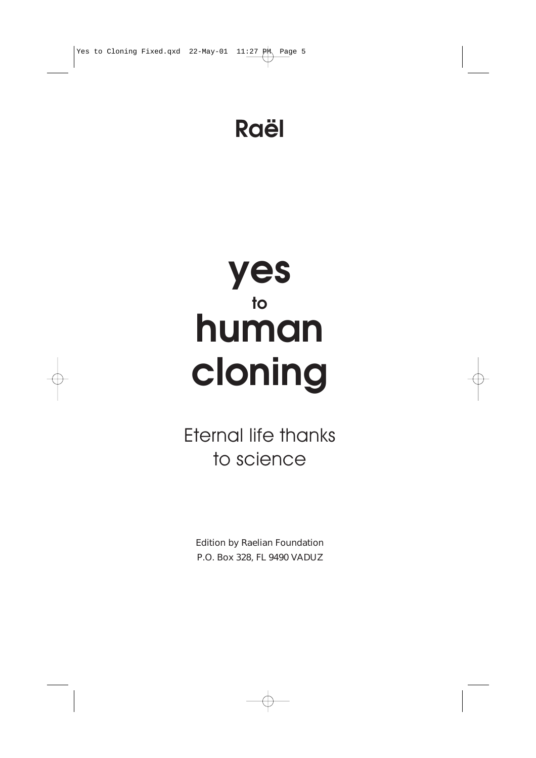### **Raël**

## **yes to human cloning**

Eternal life thanks to science

Edition by Raelian Foundation P.O. Box 328, FL 9490 VADUZ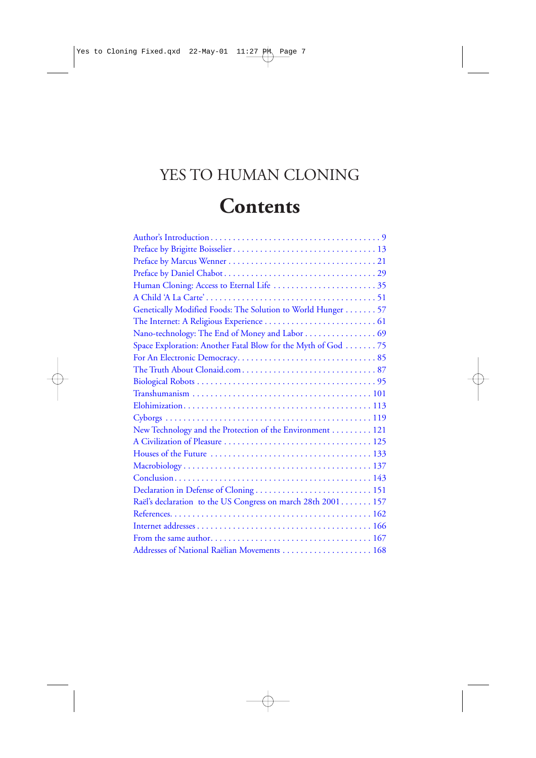### YES TO HUMAN CLONING

### **Contents**

| Genetically Modified Foods: The Solution to World Hunger 57  |
|--------------------------------------------------------------|
|                                                              |
|                                                              |
| Space Exploration: Another Fatal Blow for the Myth of God 75 |
|                                                              |
|                                                              |
|                                                              |
|                                                              |
|                                                              |
|                                                              |
| New Technology and the Protection of the Environment 121     |
|                                                              |
|                                                              |
|                                                              |
|                                                              |
| Declaration in Defense of Cloning  151                       |
| Raël's declaration to the US Congress on march 28th 2001 157 |
|                                                              |
|                                                              |
|                                                              |
|                                                              |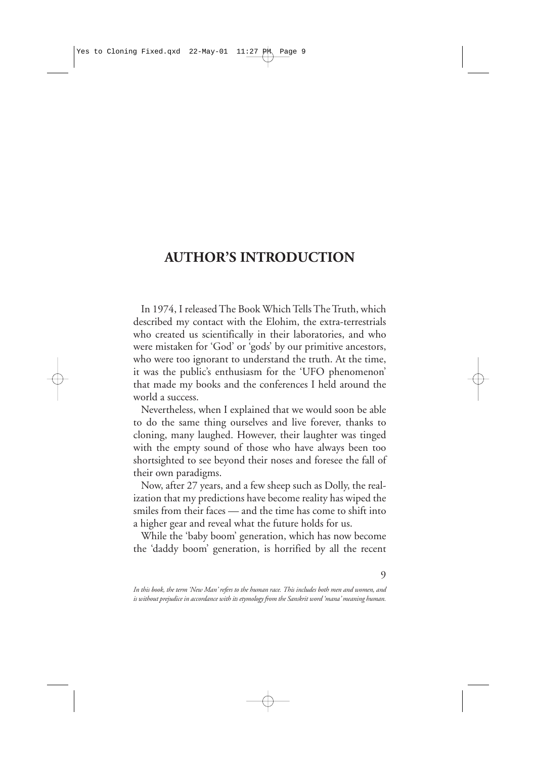#### <span id="page-8-0"></span>**AUTHOR'S INTRODUCTION**

In 1974, I released The Book Which Tells The Truth, which described my contact with the Elohim, the extra-terrestrials who created us scientifically in their laboratories, and who were mistaken for 'God' or 'gods' by our primitive ancestors, who were too ignorant to understand the truth. At the time, it was the public's enthusiasm for the 'UFO phenomenon' that made my books and the conferences I held around the world a success.

Nevertheless, when I explained that we would soon be able to do the same thing ourselves and live forever, thanks to cloning, many laughed. However, their laughter was tinged with the empty sound of those who have always been too shortsighted to see beyond their noses and foresee the fall of their own paradigms.

Now, after 27 years, and a few sheep such as Dolly, the realization that my predictions have become reality has wiped the smiles from their faces — and the time has come to shift into a higher gear and reveal what the future holds for us.

While the 'baby boom' generation, which has now become the 'daddy boom' generation, is horrified by all the recent

9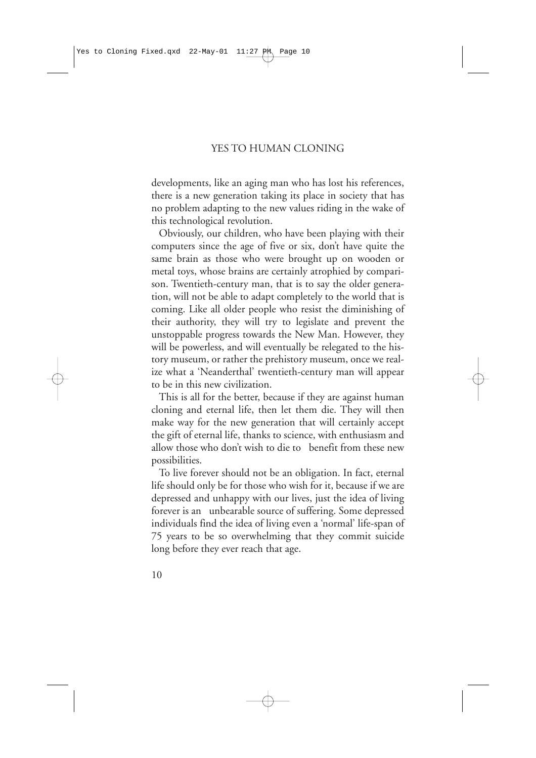developments, like an aging man who has lost his references, there is a new generation taking its place in society that has no problem adapting to the new values riding in the wake of this technological revolution.

Obviously, our children, who have been playing with their computers since the age of five or six, don't have quite the same brain as those who were brought up on wooden or metal toys, whose brains are certainly atrophied by comparison. Twentieth-century man, that is to say the older generation, will not be able to adapt completely to the world that is coming. Like all older people who resist the diminishing of their authority, they will try to legislate and prevent the unstoppable progress towards the New Man. However, they will be powerless, and will eventually be relegated to the history museum, or rather the prehistory museum, once we realize what a 'Neanderthal' twentieth-century man will appear to be in this new civilization.

This is all for the better, because if they are against human cloning and eternal life, then let them die. They will then make way for the new generation that will certainly accept the gift of eternal life, thanks to science, with enthusiasm and allow those who don't wish to die to benefit from these new possibilities.

To live forever should not be an obligation. In fact, eternal life should only be for those who wish for it, because if we are depressed and unhappy with our lives, just the idea of living forever is an unbearable source of suffering. Some depressed individuals find the idea of living even a 'normal' life-span of 75 years to be so overwhelming that they commit suicide long before they ever reach that age.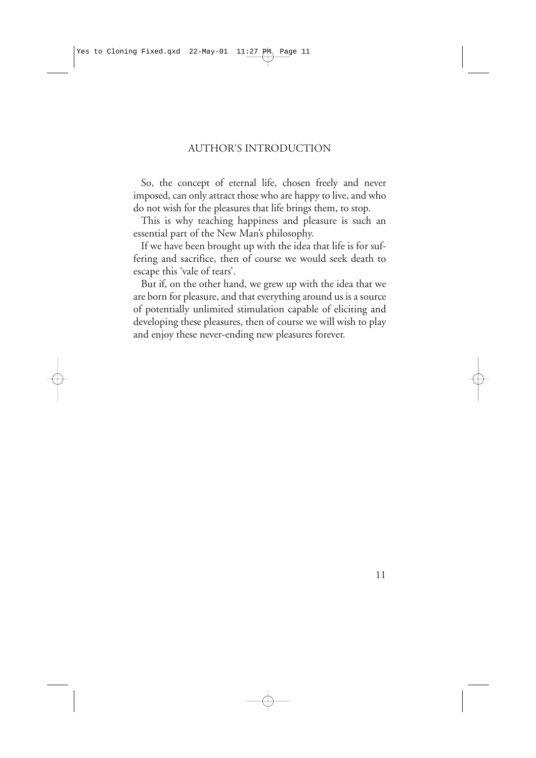#### AUTHOR'S INTRODUCTION

So, the concept of eternal life, chosen freely and never imposed, can only attract those who are happy to live, and who do not wish for the pleasures that life brings them, to stop.

This is why teaching happiness and pleasure is such an essential part of the New Man's philosophy.

If we have been brought up with the idea that life is for suffering and sacrifice, then of course we would seek death to escape this 'vale of tears'.

But if, on the other hand, we grew up with the idea that we are born for pleasure, and that everything around us is a source of potentially unlimited stimulation capable of eliciting and developing these pleasures, then of course we will wish to play and enjoy these never-ending new pleasures forever.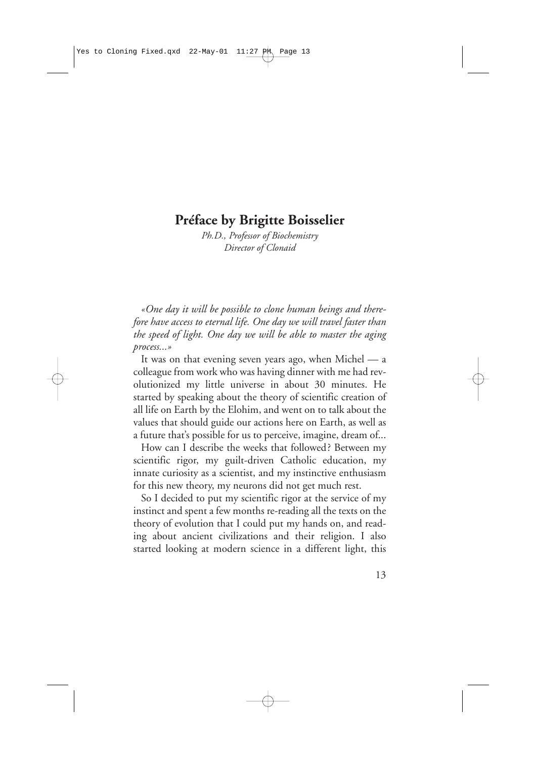#### <span id="page-12-0"></span>**Préface by Brigitte Boisselier**

*Ph.D., Professor of Biochemistry Director of Clonaid*

*«One day it will be possible to clone human beings and therefore have access to eternal life. One day we will travel faster than the speed of light. One day we will be able to master the aging process...»*

It was on that evening seven years ago, when Michel — a colleague from work who was having dinner with me had revolutionized my little universe in about 30 minutes. He started by speaking about the theory of scientific creation of all life on Earth by the Elohim, and went on to talk about the values that should guide our actions here on Earth, as well as a future that's possible for us to perceive, imagine, dream of...

How can I describe the weeks that followed? Between my scientific rigor, my guilt-driven Catholic education, my innate curiosity as a scientist, and my instinctive enthusiasm for this new theory, my neurons did not get much rest.

So I decided to put my scientific rigor at the service of my instinct and spent a few months re-reading all the texts on the theory of evolution that I could put my hands on, and reading about ancient civilizations and their religion. I also started looking at modern science in a different light, this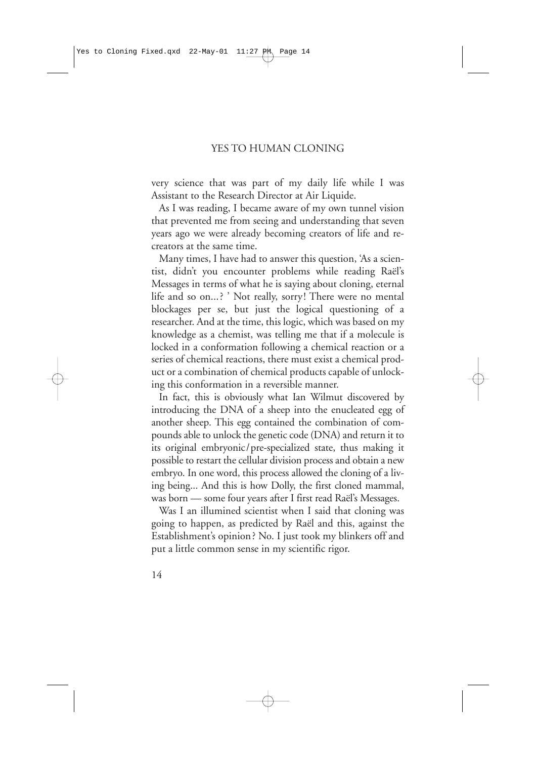very science that was part of my daily life while I was Assistant to the Research Director at Air Liquide.

As I was reading, I became aware of my own tunnel vision that prevented me from seeing and understanding that seven years ago we were already becoming creators of life and recreators at the same time.

Many times, I have had to answer this question, 'As a scientist, didn't you encounter problems while reading Raël's Messages in terms of what he is saying about cloning, eternal life and so on...? ' Not really, sorry! There were no mental blockages per se, but just the logical questioning of a researcher. And at the time, this logic, which was based on my knowledge as a chemist, was telling me that if a molecule is locked in a conformation following a chemical reaction or a series of chemical reactions, there must exist a chemical product or a combination of chemical products capable of unlocking this conformation in a reversible manner.

In fact, this is obviously what Ian Wilmut discovered by introducing the DNA of a sheep into the enucleated egg of another sheep. This egg contained the combination of compounds able to unlock the genetic code (DNA) and return it to its original embryonic/pre-specialized state, thus making it possible to restart the cellular division process and obtain a new embryo. In one word, this process allowed the cloning of a living being... And this is how Dolly, the first cloned mammal, was born — some four years after I first read Raël's Messages.

Was I an illumined scientist when I said that cloning was going to happen, as predicted by Raël and this, against the Establishment's opinion? No. I just took my blinkers off and put a little common sense in my scientific rigor.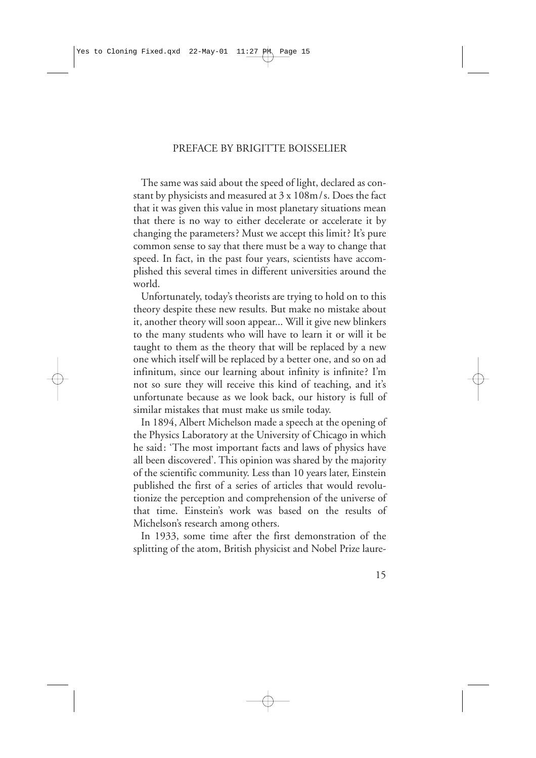#### PREFACE BY BRIGITTE BOISSELIER

The same was said about the speed of light, declared as constant by physicists and measured at 3 x 108m/s. Does the fact that it was given this value in most planetary situations mean that there is no way to either decelerate or accelerate it by changing the parameters? Must we accept this limit? It's pure common sense to say that there must be a way to change that speed. In fact, in the past four years, scientists have accomplished this several times in different universities around the world.

Unfortunately, today's theorists are trying to hold on to this theory despite these new results. But make no mistake about it, another theory will soon appear... Will it give new blinkers to the many students who will have to learn it or will it be taught to them as the theory that will be replaced by a new one which itself will be replaced by a better one, and so on ad infinitum, since our learning about infinity is infinite? I'm not so sure they will receive this kind of teaching, and it's unfortunate because as we look back, our history is full of similar mistakes that must make us smile today.

In 1894, Albert Michelson made a speech at the opening of the Physics Laboratory at the University of Chicago in which he said: 'The most important facts and laws of physics have all been discovered'. This opinion was shared by the majority of the scientific community. Less than 10 years later, Einstein published the first of a series of articles that would revolutionize the perception and comprehension of the universe of that time. Einstein's work was based on the results of Michelson's research among others.

In 1933, some time after the first demonstration of the splitting of the atom, British physicist and Nobel Prize laure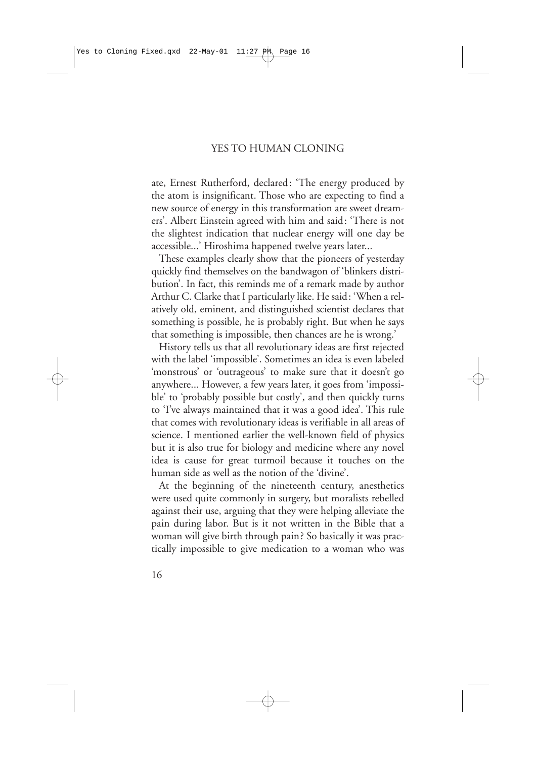ate, Ernest Rutherford, declared: 'The energy produced by the atom is insignificant. Those who are expecting to find a new source of energy in this transformation are sweet dreamers'. Albert Einstein agreed with him and said: 'There is not the slightest indication that nuclear energy will one day be accessible...' Hiroshima happened twelve years later...

These examples clearly show that the pioneers of yesterday quickly find themselves on the bandwagon of 'blinkers distribution'. In fact, this reminds me of a remark made by author Arthur C. Clarke that I particularly like. He said: 'When a relatively old, eminent, and distinguished scientist declares that something is possible, he is probably right. But when he says that something is impossible, then chances are he is wrong.'

History tells us that all revolutionary ideas are first rejected with the label 'impossible'. Sometimes an idea is even labeled 'monstrous' or 'outrageous' to make sure that it doesn't go anywhere... However, a few years later, it goes from 'impossible' to 'probably possible but costly', and then quickly turns to 'I've always maintained that it was a good idea'. This rule that comes with revolutionary ideas is verifiable in all areas of science. I mentioned earlier the well-known field of physics but it is also true for biology and medicine where any novel idea is cause for great turmoil because it touches on the human side as well as the notion of the 'divine'.

At the beginning of the nineteenth century, anesthetics were used quite commonly in surgery, but moralists rebelled against their use, arguing that they were helping alleviate the pain during labor. But is it not written in the Bible that a woman will give birth through pain? So basically it was practically impossible to give medication to a woman who was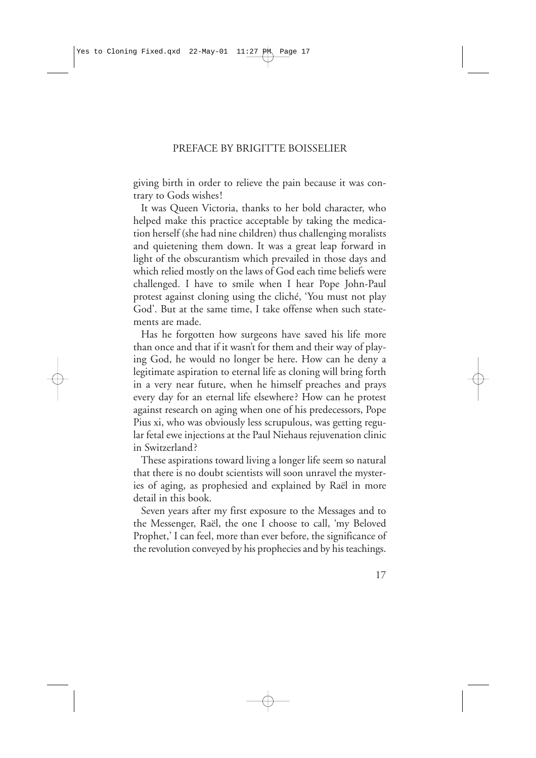giving birth in order to relieve the pain because it was contrary to Gods wishes!

It was Queen Victoria, thanks to her bold character, who helped make this practice acceptable by taking the medication herself (she had nine children) thus challenging moralists and quietening them down. It was a great leap forward in light of the obscurantism which prevailed in those days and which relied mostly on the laws of God each time beliefs were challenged. I have to smile when I hear Pope John-Paul protest against cloning using the cliché, 'You must not play God'. But at the same time, I take offense when such statements are made.

Has he forgotten how surgeons have saved his life more than once and that if it wasn't for them and their way of playing God, he would no longer be here. How can he deny a legitimate aspiration to eternal life as cloning will bring forth in a very near future, when he himself preaches and prays every day for an eternal life elsewhere? How can he protest against research on aging when one of his predecessors, Pope Pius xi, who was obviously less scrupulous, was getting regular fetal ewe injections at the Paul Niehaus rejuvenation clinic in Switzerland?

These aspirations toward living a longer life seem so natural that there is no doubt scientists will soon unravel the mysteries of aging, as prophesied and explained by Raël in more detail in this book.

Seven years after my first exposure to the Messages and to the Messenger, Raël, the one I choose to call, 'my Beloved Prophet,' I can feel, more than ever before, the significance of the revolution conveyed by his prophecies and by his teachings.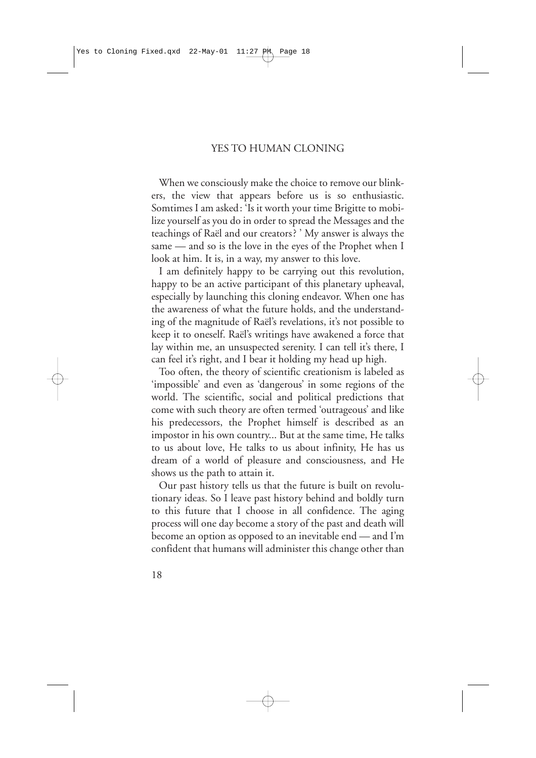When we consciously make the choice to remove our blinkers, the view that appears before us is so enthusiastic. Somtimes I am asked: 'Is it worth your time Brigitte to mobilize yourself as you do in order to spread the Messages and the teachings of Raël and our creators? ' My answer is always the same — and so is the love in the eyes of the Prophet when I look at him. It is, in a way, my answer to this love.

I am definitely happy to be carrying out this revolution, happy to be an active participant of this planetary upheaval, especially by launching this cloning endeavor. When one has the awareness of what the future holds, and the understanding of the magnitude of Raël's revelations, it's not possible to keep it to oneself. Raël's writings have awakened a force that lay within me, an unsuspected serenity. I can tell it's there, I can feel it's right, and I bear it holding my head up high.

Too often, the theory of scientific creationism is labeled as 'impossible' and even as 'dangerous' in some regions of the world. The scientific, social and political predictions that come with such theory are often termed 'outrageous' and like his predecessors, the Prophet himself is described as an impostor in his own country... But at the same time, He talks to us about love, He talks to us about infinity, He has us dream of a world of pleasure and consciousness, and He shows us the path to attain it.

Our past history tells us that the future is built on revolutionary ideas. So I leave past history behind and boldly turn to this future that I choose in all confidence. The aging process will one day become a story of the past and death will become an option as opposed to an inevitable end — and I'm confident that humans will administer this change other than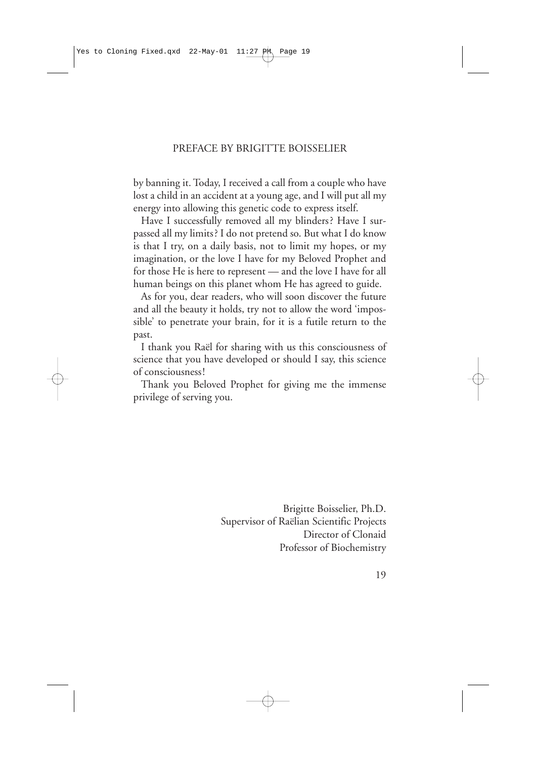by banning it. Today, I received a call from a couple who have lost a child in an accident at a young age, and I will put all my energy into allowing this genetic code to express itself.

Have I successfully removed all my blinders? Have I surpassed all my limits? I do not pretend so. But what I do know is that I try, on a daily basis, not to limit my hopes, or my imagination, or the love I have for my Beloved Prophet and for those He is here to represent — and the love I have for all human beings on this planet whom He has agreed to guide.

As for you, dear readers, who will soon discover the future and all the beauty it holds, try not to allow the word 'impossible' to penetrate your brain, for it is a futile return to the past.

I thank you Raël for sharing with us this consciousness of science that you have developed or should I say, this science of consciousness!

Thank you Beloved Prophet for giving me the immense privilege of serving you.

> Brigitte Boisselier, Ph.D. Supervisor of Raëlian Scientific Projects Director of Clonaid Professor of Biochemistry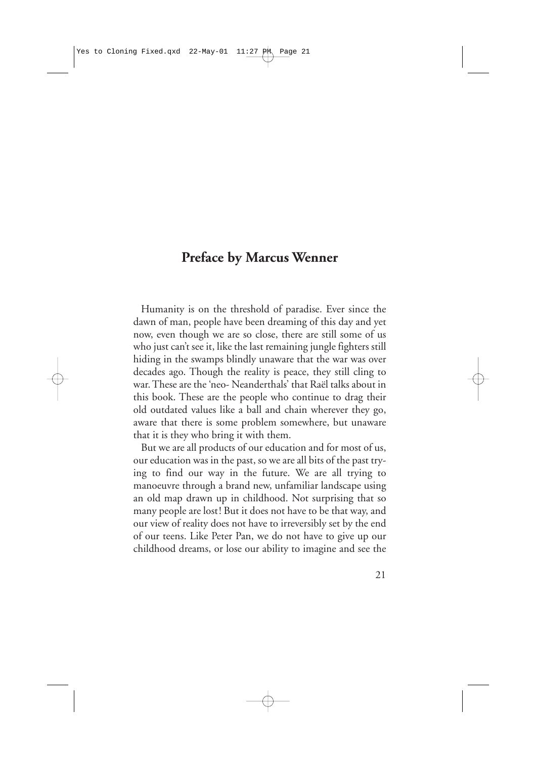#### <span id="page-20-0"></span>**Preface by Marcus Wenner**

Humanity is on the threshold of paradise. Ever since the dawn of man, people have been dreaming of this day and yet now, even though we are so close, there are still some of us who just can't see it, like the last remaining jungle fighters still hiding in the swamps blindly unaware that the war was over decades ago. Though the reality is peace, they still cling to war. These are the 'neo- Neanderthals' that Raël talks about in this book. These are the people who continue to drag their old outdated values like a ball and chain wherever they go, aware that there is some problem somewhere, but unaware that it is they who bring it with them.

But we are all products of our education and for most of us, our education was in the past, so we are all bits of the past trying to find our way in the future. We are all trying to manoeuvre through a brand new, unfamiliar landscape using an old map drawn up in childhood. Not surprising that so many people are lost! But it does not have to be that way, and our view of reality does not have to irreversibly set by the end of our teens. Like Peter Pan, we do not have to give up our childhood dreams, or lose our ability to imagine and see the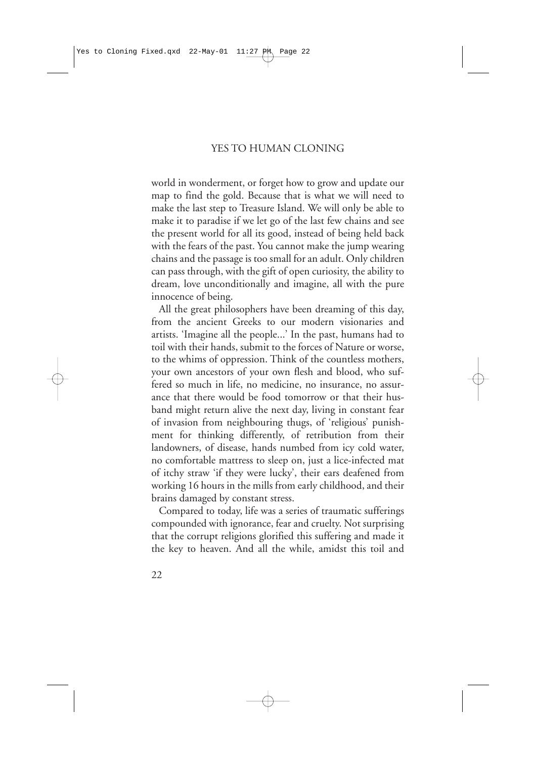world in wonderment, or forget how to grow and update our map to find the gold. Because that is what we will need to make the last step to Treasure Island. We will only be able to make it to paradise if we let go of the last few chains and see the present world for all its good, instead of being held back with the fears of the past. You cannot make the jump wearing chains and the passage is too small for an adult. Only children can pass through, with the gift of open curiosity, the ability to dream, love unconditionally and imagine, all with the pure innocence of being.

All the great philosophers have been dreaming of this day, from the ancient Greeks to our modern visionaries and artists. 'Imagine all the people...' In the past, humans had to toil with their hands, submit to the forces of Nature or worse, to the whims of oppression. Think of the countless mothers, your own ancestors of your own flesh and blood, who suffered so much in life, no medicine, no insurance, no assurance that there would be food tomorrow or that their husband might return alive the next day, living in constant fear of invasion from neighbouring thugs, of 'religious' punishment for thinking differently, of retribution from their landowners, of disease, hands numbed from icy cold water, no comfortable mattress to sleep on, just a lice-infected mat of itchy straw 'if they were lucky', their ears deafened from working 16 hours in the mills from early childhood, and their brains damaged by constant stress.

Compared to today, life was a series of traumatic sufferings compounded with ignorance, fear and cruelty. Not surprising that the corrupt religions glorified this suffering and made it the key to heaven. And all the while, amidst this toil and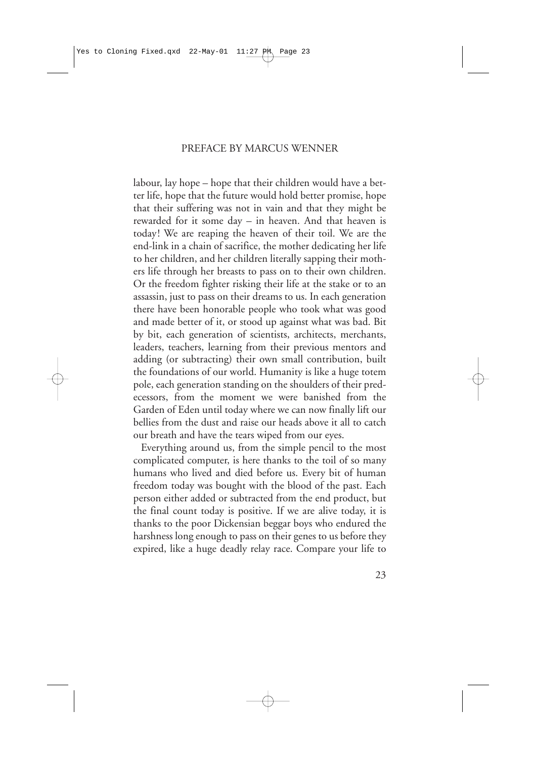PREFACE BY MARCUS WENNER

labour, lay hope – hope that their children would have a better life, hope that the future would hold better promise, hope that their suffering was not in vain and that they might be rewarded for it some day – in heaven. And that heaven is today! We are reaping the heaven of their toil. We are the end-link in a chain of sacrifice, the mother dedicating her life to her children, and her children literally sapping their mothers life through her breasts to pass on to their own children. Or the freedom fighter risking their life at the stake or to an assassin, just to pass on their dreams to us. In each generation there have been honorable people who took what was good and made better of it, or stood up against what was bad. Bit by bit, each generation of scientists, architects, merchants, leaders, teachers, learning from their previous mentors and adding (or subtracting) their own small contribution, built the foundations of our world. Humanity is like a huge totem pole, each generation standing on the shoulders of their predecessors, from the moment we were banished from the Garden of Eden until today where we can now finally lift our bellies from the dust and raise our heads above it all to catch our breath and have the tears wiped from our eyes.

Everything around us, from the simple pencil to the most complicated computer, is here thanks to the toil of so many humans who lived and died before us. Every bit of human freedom today was bought with the blood of the past. Each person either added or subtracted from the end product, but the final count today is positive. If we are alive today, it is thanks to the poor Dickensian beggar boys who endured the harshness long enough to pass on their genes to us before they expired, like a huge deadly relay race. Compare your life to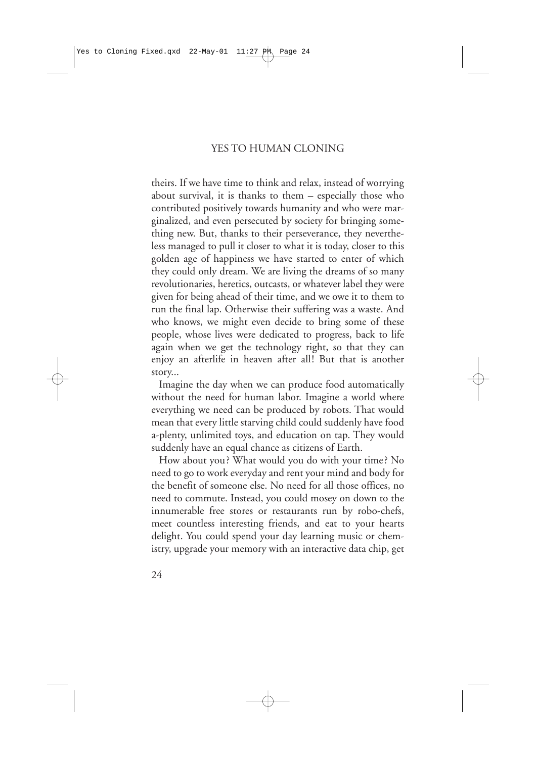theirs. If we have time to think and relax, instead of worrying about survival, it is thanks to them – especially those who contributed positively towards humanity and who were marginalized, and even persecuted by society for bringing something new. But, thanks to their perseverance, they nevertheless managed to pull it closer to what it is today, closer to this golden age of happiness we have started to enter of which they could only dream. We are living the dreams of so many revolutionaries, heretics, outcasts, or whatever label they were given for being ahead of their time, and we owe it to them to run the final lap. Otherwise their suffering was a waste. And who knows, we might even decide to bring some of these people, whose lives were dedicated to progress, back to life again when we get the technology right, so that they can enjoy an afterlife in heaven after all! But that is another story...

Imagine the day when we can produce food automatically without the need for human labor. Imagine a world where everything we need can be produced by robots. That would mean that every little starving child could suddenly have food a-plenty, unlimited toys, and education on tap. They would suddenly have an equal chance as citizens of Earth.

How about you? What would you do with your time? No need to go to work everyday and rent your mind and body for the benefit of someone else. No need for all those offices, no need to commute. Instead, you could mosey on down to the innumerable free stores or restaurants run by robo-chefs, meet countless interesting friends, and eat to your hearts delight. You could spend your day learning music or chemistry, upgrade your memory with an interactive data chip, get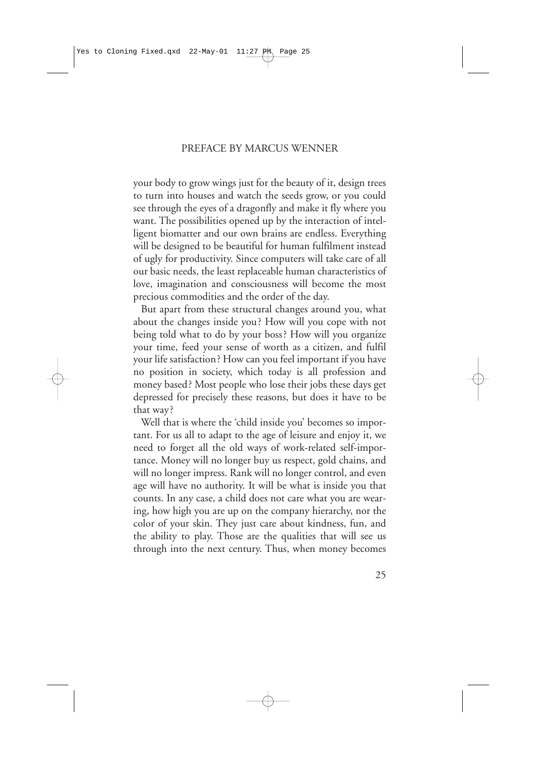your body to grow wings just for the beauty of it, design trees to turn into houses and watch the seeds grow, or you could see through the eyes of a dragonfly and make it fly where you want. The possibilities opened up by the interaction of intelligent biomatter and our own brains are endless. Everything will be designed to be beautiful for human fulfilment instead of ugly for productivity. Since computers will take care of all our basic needs, the least replaceable human characteristics of love, imagination and consciousness will become the most precious commodities and the order of the day.

But apart from these structural changes around you, what about the changes inside you? How will you cope with not being told what to do by your boss? How will you organize your time, feed your sense of worth as a citizen, and fulfil your life satisfaction? How can you feel important if you have no position in society, which today is all profession and money based? Most people who lose their jobs these days get depressed for precisely these reasons, but does it have to be that way?

Well that is where the 'child inside you' becomes so important. For us all to adapt to the age of leisure and enjoy it, we need to forget all the old ways of work-related self-importance. Money will no longer buy us respect, gold chains, and will no longer impress. Rank will no longer control, and even age will have no authority. It will be what is inside you that counts. In any case, a child does not care what you are wearing, how high you are up on the company hierarchy, nor the color of your skin. They just care about kindness, fun, and the ability to play. Those are the qualities that will see us through into the next century. Thus, when money becomes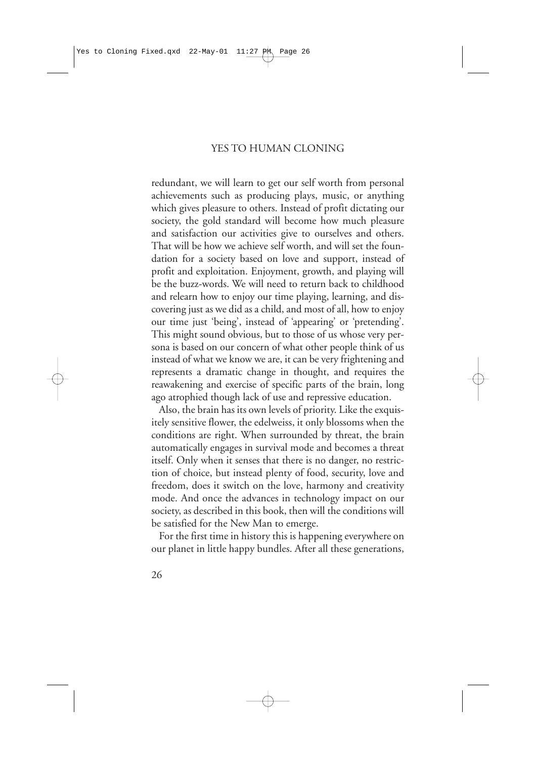redundant, we will learn to get our self worth from personal achievements such as producing plays, music, or anything which gives pleasure to others. Instead of profit dictating our society, the gold standard will become how much pleasure and satisfaction our activities give to ourselves and others. That will be how we achieve self worth, and will set the foundation for a society based on love and support, instead of profit and exploitation. Enjoyment, growth, and playing will be the buzz-words. We will need to return back to childhood and relearn how to enjoy our time playing, learning, and discovering just as we did as a child, and most of all, how to enjoy our time just 'being', instead of 'appearing' or 'pretending'. This might sound obvious, but to those of us whose very persona is based on our concern of what other people think of us instead of what we know we are, it can be very frightening and represents a dramatic change in thought, and requires the reawakening and exercise of specific parts of the brain, long ago atrophied though lack of use and repressive education.

Also, the brain has its own levels of priority. Like the exquisitely sensitive flower, the edelweiss, it only blossoms when the conditions are right. When surrounded by threat, the brain automatically engages in survival mode and becomes a threat itself. Only when it senses that there is no danger, no restriction of choice, but instead plenty of food, security, love and freedom, does it switch on the love, harmony and creativity mode. And once the advances in technology impact on our society, as described in this book, then will the conditions will be satisfied for the New Man to emerge.

For the first time in history this is happening everywhere on our planet in little happy bundles. After all these generations,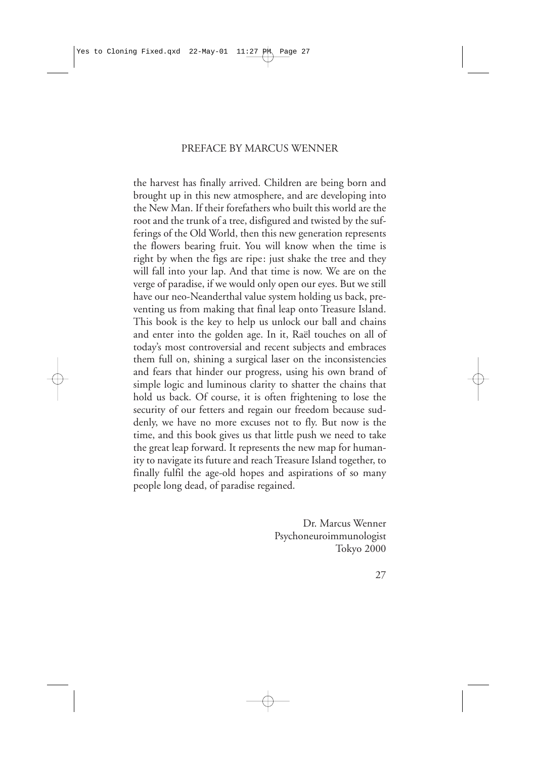#### PREFACE BY MARCUS WENNER

the harvest has finally arrived. Children are being born and brought up in this new atmosphere, and are developing into the New Man. If their forefathers who built this world are the root and the trunk of a tree, disfigured and twisted by the sufferings of the Old World, then this new generation represents the flowers bearing fruit. You will know when the time is right by when the figs are ripe: just shake the tree and they will fall into your lap. And that time is now. We are on the verge of paradise, if we would only open our eyes. But we still have our neo-Neanderthal value system holding us back, preventing us from making that final leap onto Treasure Island. This book is the key to help us unlock our ball and chains and enter into the golden age. In it, Raël touches on all of today's most controversial and recent subjects and embraces them full on, shining a surgical laser on the inconsistencies and fears that hinder our progress, using his own brand of simple logic and luminous clarity to shatter the chains that hold us back. Of course, it is often frightening to lose the security of our fetters and regain our freedom because suddenly, we have no more excuses not to fly. But now is the time, and this book gives us that little push we need to take the great leap forward. It represents the new map for humanity to navigate its future and reach Treasure Island together, to finally fulfil the age-old hopes and aspirations of so many people long dead, of paradise regained.

> Dr. Marcus Wenner Psychoneuroimmunologist Tokyo 2000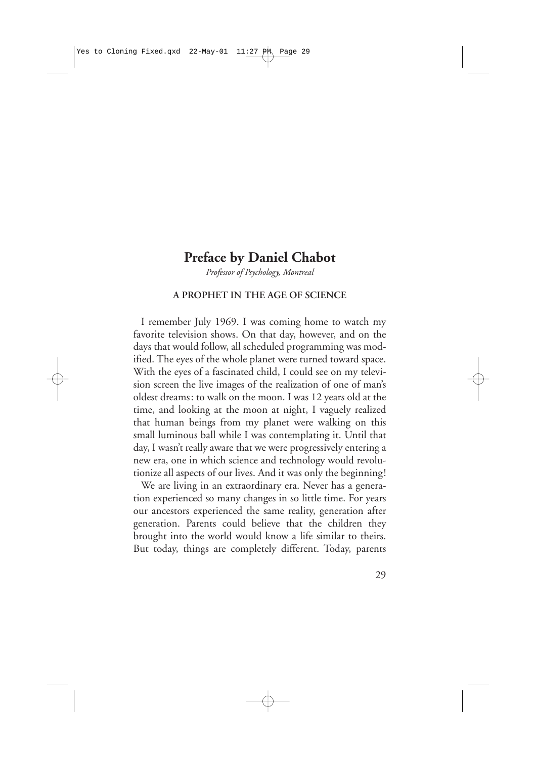#### **Preface by Daniel Chabot**

*Professor of Psychology, Montreal*

#### **A PROPHET IN THE AGE OF SCIENCE**

<span id="page-28-0"></span>I remember July 1969. I was coming home to watch my favorite television shows. On that day, however, and on the days that would follow, all scheduled programming was modified. The eyes of the whole planet were turned toward space. With the eyes of a fascinated child, I could see on my television screen the live images of the realization of one of man's oldest dreams: to walk on the moon. I was 12 years old at the time, and looking at the moon at night, I vaguely realized that human beings from my planet were walking on this small luminous ball while I was contemplating it. Until that day, I wasn't really aware that we were progressively entering a new era, one in which science and technology would revolutionize all aspects of our lives. And it was only the beginning!

We are living in an extraordinary era. Never has a generation experienced so many changes in so little time. For years our ancestors experienced the same reality, generation after generation. Parents could believe that the children they brought into the world would know a life similar to theirs. But today, things are completely different. Today, parents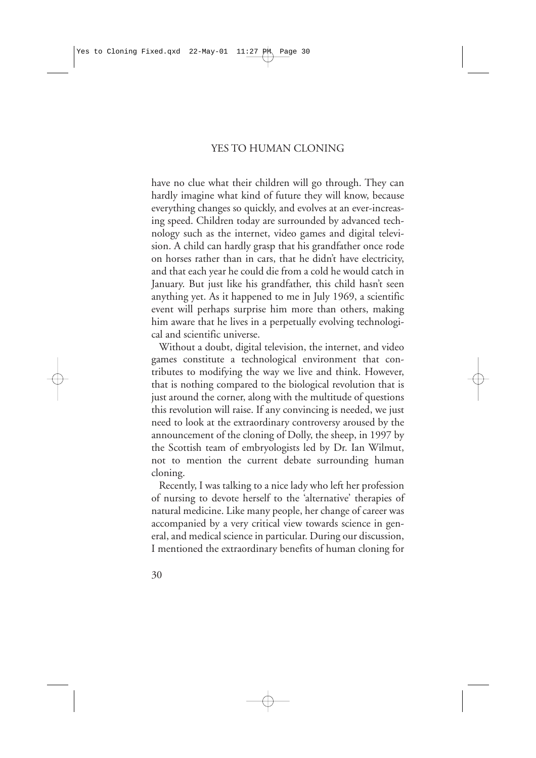have no clue what their children will go through. They can hardly imagine what kind of future they will know, because everything changes so quickly, and evolves at an ever-increasing speed. Children today are surrounded by advanced technology such as the internet, video games and digital television. A child can hardly grasp that his grandfather once rode on horses rather than in cars, that he didn't have electricity, and that each year he could die from a cold he would catch in January. But just like his grandfather, this child hasn't seen anything yet. As it happened to me in July 1969, a scientific event will perhaps surprise him more than others, making him aware that he lives in a perpetually evolving technological and scientific universe.

Without a doubt, digital television, the internet, and video games constitute a technological environment that contributes to modifying the way we live and think. However, that is nothing compared to the biological revolution that is just around the corner, along with the multitude of questions this revolution will raise. If any convincing is needed, we just need to look at the extraordinary controversy aroused by the announcement of the cloning of Dolly, the sheep, in 1997 by the Scottish team of embryologists led by Dr. Ian Wilmut, not to mention the current debate surrounding human cloning.

Recently, I was talking to a nice lady who left her profession of nursing to devote herself to the 'alternative' therapies of natural medicine. Like many people, her change of career was accompanied by a very critical view towards science in general, and medical science in particular. During our discussion, I mentioned the extraordinary benefits of human cloning for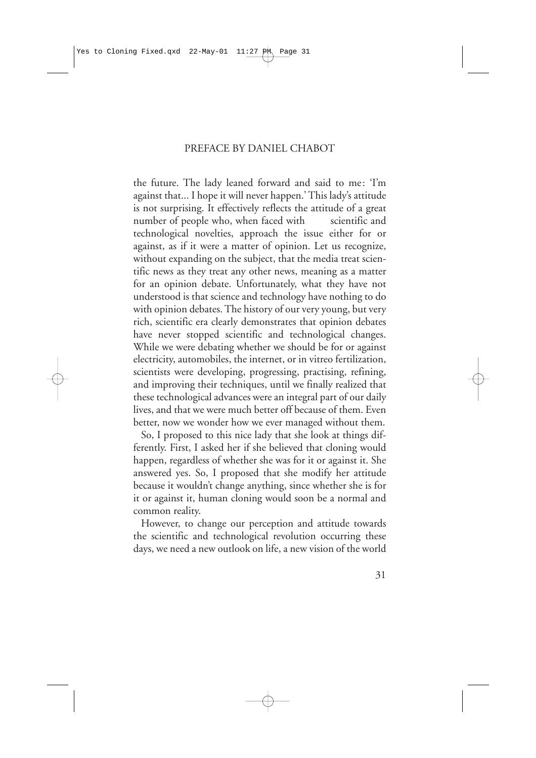#### PREFACE BY DANIEL CHABOT

the future. The lady leaned forward and said to me: 'I'm against that... I hope it will never happen.' This lady's attitude is not surprising. It effectively reflects the attitude of a great number of people who, when faced with scientific and technological novelties, approach the issue either for or against, as if it were a matter of opinion. Let us recognize, without expanding on the subject, that the media treat scientific news as they treat any other news, meaning as a matter for an opinion debate. Unfortunately, what they have not understood is that science and technology have nothing to do with opinion debates. The history of our very young, but very rich, scientific era clearly demonstrates that opinion debates have never stopped scientific and technological changes. While we were debating whether we should be for or against electricity, automobiles, the internet, or in vitreo fertilization, scientists were developing, progressing, practising, refining, and improving their techniques, until we finally realized that these technological advances were an integral part of our daily lives, and that we were much better off because of them. Even better, now we wonder how we ever managed without them.

So, I proposed to this nice lady that she look at things differently. First, I asked her if she believed that cloning would happen, regardless of whether she was for it or against it. She answered yes. So, I proposed that she modify her attitude because it wouldn't change anything, since whether she is for it or against it, human cloning would soon be a normal and common reality.

However, to change our perception and attitude towards the scientific and technological revolution occurring these days, we need a new outlook on life, a new vision of the world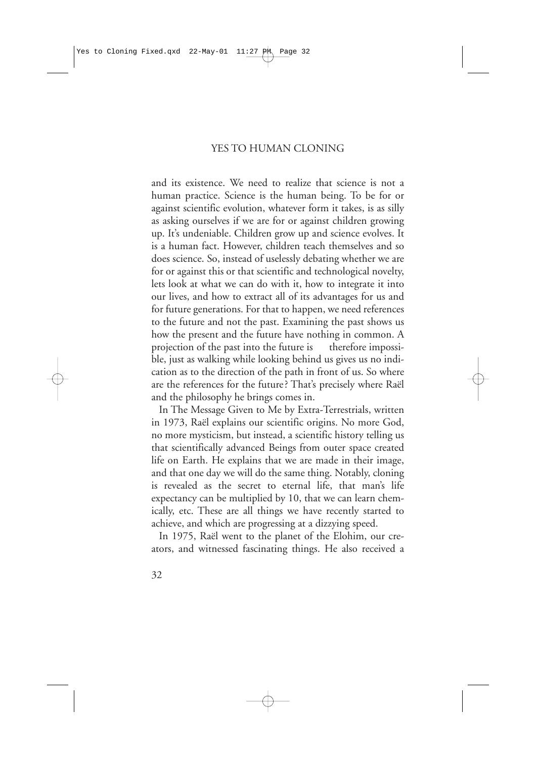and its existence. We need to realize that science is not a human practice. Science is the human being. To be for or against scientific evolution, whatever form it takes, is as silly as asking ourselves if we are for or against children growing up. It's undeniable. Children grow up and science evolves. It is a human fact. However, children teach themselves and so does science. So, instead of uselessly debating whether we are for or against this or that scientific and technological novelty, lets look at what we can do with it, how to integrate it into our lives, and how to extract all of its advantages for us and for future generations. For that to happen, we need references to the future and not the past. Examining the past shows us how the present and the future have nothing in common. A projection of the past into the future is therefore impossible, just as walking while looking behind us gives us no indication as to the direction of the path in front of us. So where are the references for the future? That's precisely where Raël and the philosophy he brings comes in.

In The Message Given to Me by Extra-Terrestrials, written in 1973, Raël explains our scientific origins. No more God, no more mysticism, but instead, a scientific history telling us that scientifically advanced Beings from outer space created life on Earth. He explains that we are made in their image, and that one day we will do the same thing. Notably, cloning is revealed as the secret to eternal life, that man's life expectancy can be multiplied by 10, that we can learn chemically, etc. These are all things we have recently started to achieve, and which are progressing at a dizzying speed.

In 1975, Raël went to the planet of the Elohim, our creators, and witnessed fascinating things. He also received a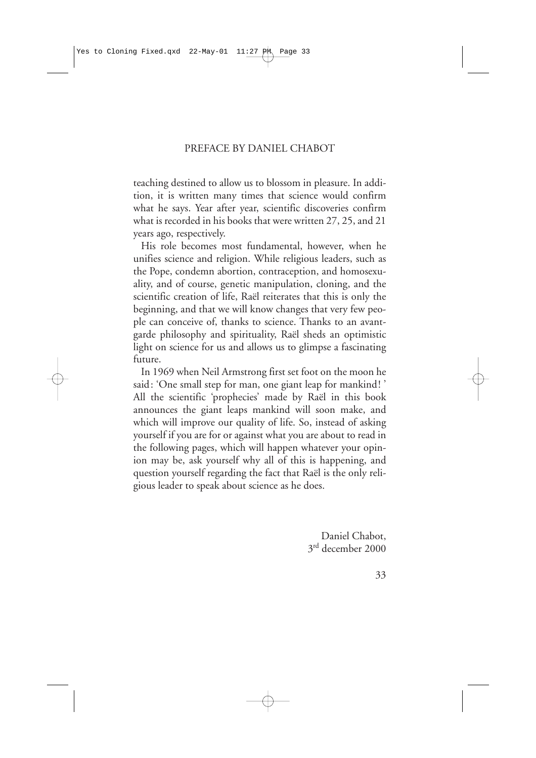teaching destined to allow us to blossom in pleasure. In addition, it is written many times that science would confirm what he says. Year after year, scientific discoveries confirm what is recorded in his books that were written 27, 25, and 21 years ago, respectively.

His role becomes most fundamental, however, when he unifies science and religion. While religious leaders, such as the Pope, condemn abortion, contraception, and homosexuality, and of course, genetic manipulation, cloning, and the scientific creation of life, Raël reiterates that this is only the beginning, and that we will know changes that very few people can conceive of, thanks to science. Thanks to an avantgarde philosophy and spirituality, Raël sheds an optimistic light on science for us and allows us to glimpse a fascinating future.

In 1969 when Neil Armstrong first set foot on the moon he said: 'One small step for man, one giant leap for mankind! ' All the scientific 'prophecies' made by Raël in this book announces the giant leaps mankind will soon make, and which will improve our quality of life. So, instead of asking yourself if you are for or against what you are about to read in the following pages, which will happen whatever your opinion may be, ask yourself why all of this is happening, and question yourself regarding the fact that Raël is the only religious leader to speak about science as he does.

> Daniel Chabot, 3<sup>rd</sup> december 2000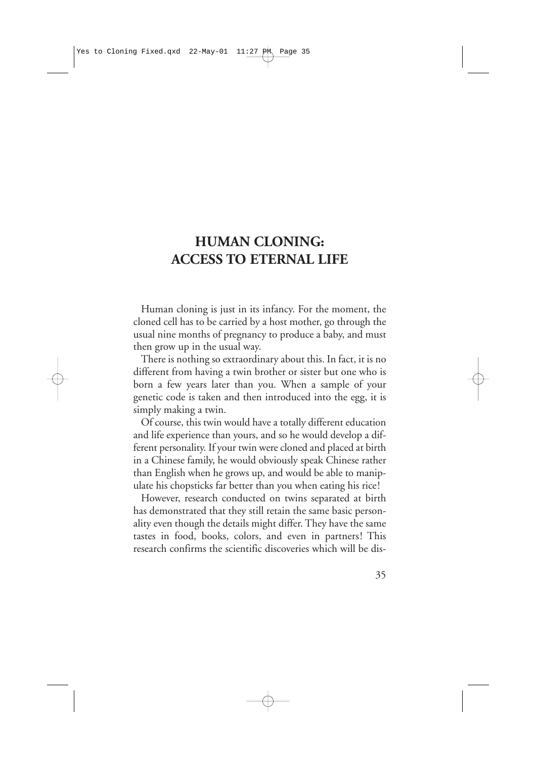#### <span id="page-34-0"></span>**HUMAN CLONING: ACCESS TO ETERNAL LIFE**

Human cloning is just in its infancy. For the moment, the cloned cell has to be carried by a host mother, go through the usual nine months of pregnancy to produce a baby, and must then grow up in the usual way.

There is nothing so extraordinary about this. In fact, it is no different from having a twin brother or sister but one who is born a few years later than you. When a sample of your genetic code is taken and then introduced into the egg, it is simply making a twin.

Of course, this twin would have a totally different education and life experience than yours, and so he would develop a different personality. If your twin were cloned and placed at birth in a Chinese family, he would obviously speak Chinese rather than English when he grows up, and would be able to manipulate his chopsticks far better than you when eating his rice!

However, research conducted on twins separated at birth has demonstrated that they still retain the same basic personality even though the details might differ. They have the same tastes in food, books, colors, and even in partners! This research confirms the scientific discoveries which will be dis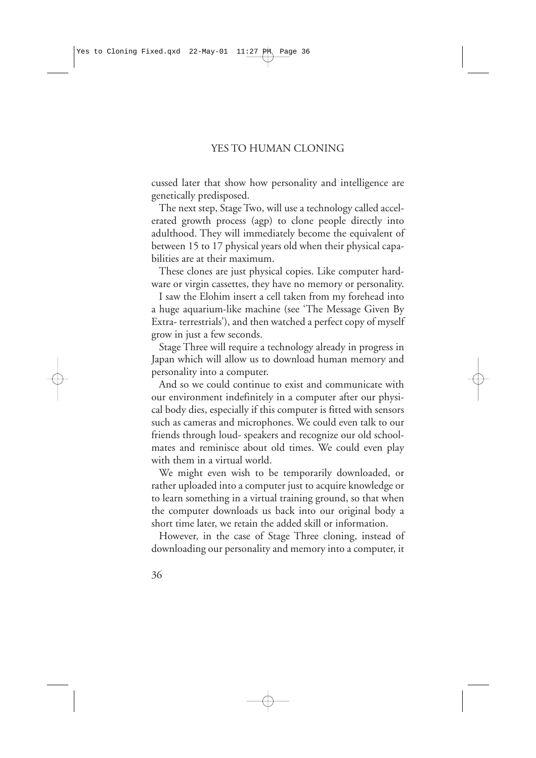cussed later that show how personality and intelligence are genetically predisposed.

The next step, Stage Two, will use a technology called accelerated growth process (agp) to clone people directly into adulthood. They will immediately become the equivalent of between 15 to 17 physical years old when their physical capabilities are at their maximum.

These clones are just physical copies. Like computer hardware or virgin cassettes, they have no memory or personality.

I saw the Elohim insert a cell taken from my forehead into a huge aquarium-like machine (see 'The Message Given By Extra- terrestrials'), and then watched a perfect copy of myself grow in just a few seconds.

Stage Three will require a technology already in progress in Japan which will allow us to download human memory and personality into a computer.

And so we could continue to exist and communicate with our environment indefinitely in a computer after our physical body dies, especially if this computer is fitted with sensors such as cameras and microphones. We could even talk to our friends through loud- speakers and recognize our old schoolmates and reminisce about old times. We could even play with them in a virtual world.

We might even wish to be temporarily downloaded, or rather uploaded into a computer just to acquire knowledge or to learn something in a virtual training ground, so that when the computer downloads us back into our original body a short time later, we retain the added skill or information.

However, in the case of Stage Three cloning, instead of downloading our personality and memory into a computer, it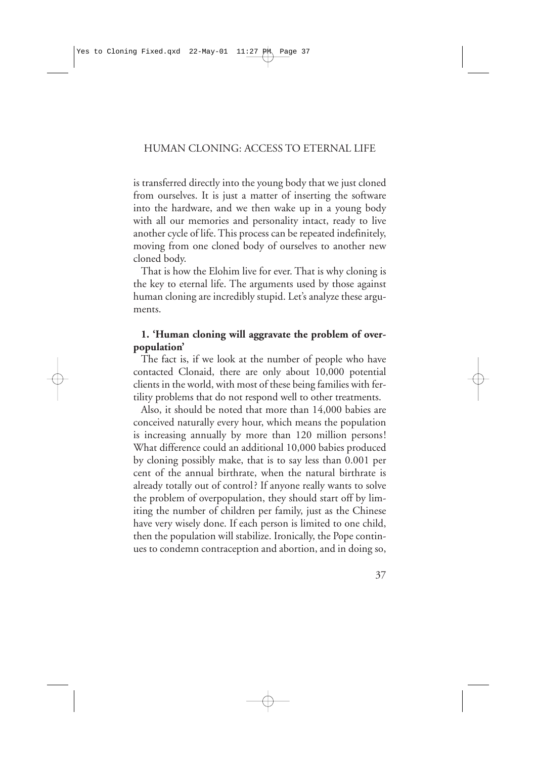is transferred directly into the young body that we just cloned from ourselves. It is just a matter of inserting the software into the hardware, and we then wake up in a young body with all our memories and personality intact, ready to live another cycle of life. This process can be repeated indefinitely, moving from one cloned body of ourselves to another new cloned body.

That is how the Elohim live for ever. That is why cloning is the key to eternal life. The arguments used by those against human cloning are incredibly stupid. Let's analyze these arguments.

### **1. 'Human cloning will aggravate the problem of overpopulation'**

The fact is, if we look at the number of people who have contacted Clonaid, there are only about 10,000 potential clients in the world, with most of these being families with fertility problems that do not respond well to other treatments.

Also, it should be noted that more than 14,000 babies are conceived naturally every hour, which means the population is increasing annually by more than 120 million persons! What difference could an additional 10,000 babies produced by cloning possibly make, that is to say less than 0.001 per cent of the annual birthrate, when the natural birthrate is already totally out of control? If anyone really wants to solve the problem of overpopulation, they should start off by limiting the number of children per family, just as the Chinese have very wisely done. If each person is limited to one child, then the population will stabilize. Ironically, the Pope continues to condemn contraception and abortion, and in doing so,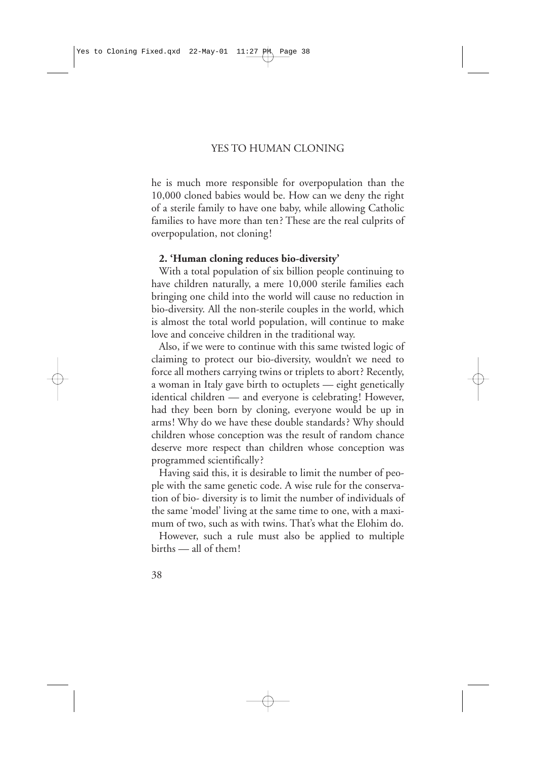he is much more responsible for overpopulation than the 10,000 cloned babies would be. How can we deny the right of a sterile family to have one baby, while allowing Catholic families to have more than ten? These are the real culprits of overpopulation, not cloning!

#### **2. 'Human cloning reduces bio-diversity'**

With a total population of six billion people continuing to have children naturally, a mere 10,000 sterile families each bringing one child into the world will cause no reduction in bio-diversity. All the non-sterile couples in the world, which is almost the total world population, will continue to make love and conceive children in the traditional way.

Also, if we were to continue with this same twisted logic of claiming to protect our bio-diversity, wouldn't we need to force all mothers carrying twins or triplets to abort? Recently, a woman in Italy gave birth to octuplets — eight genetically identical children — and everyone is celebrating! However, had they been born by cloning, everyone would be up in arms! Why do we have these double standards? Why should children whose conception was the result of random chance deserve more respect than children whose conception was programmed scientifically?

Having said this, it is desirable to limit the number of people with the same genetic code. A wise rule for the conservation of bio- diversity is to limit the number of individuals of the same 'model' living at the same time to one, with a maximum of two, such as with twins. That's what the Elohim do.

However, such a rule must also be applied to multiple births — all of them!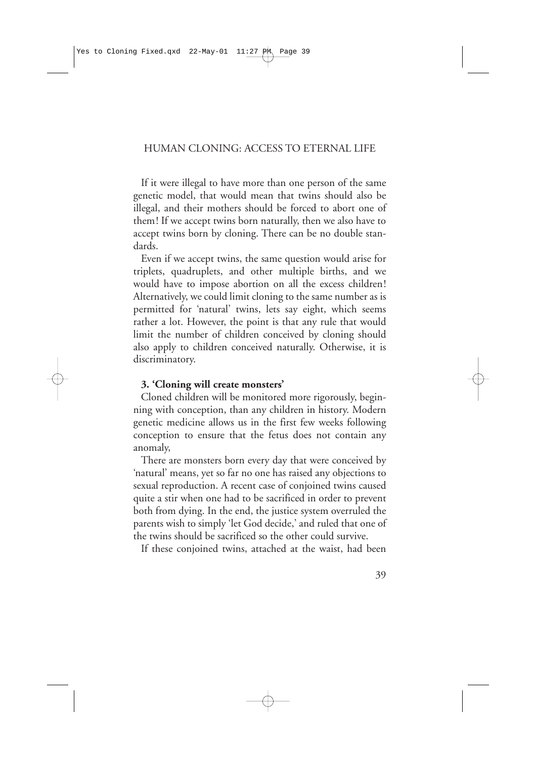If it were illegal to have more than one person of the same genetic model, that would mean that twins should also be illegal, and their mothers should be forced to abort one of them! If we accept twins born naturally, then we also have to accept twins born by cloning. There can be no double standards.

Even if we accept twins, the same question would arise for triplets, quadruplets, and other multiple births, and we would have to impose abortion on all the excess children! Alternatively, we could limit cloning to the same number as is permitted for 'natural' twins, lets say eight, which seems rather a lot. However, the point is that any rule that would limit the number of children conceived by cloning should also apply to children conceived naturally. Otherwise, it is discriminatory.

#### **3. 'Cloning will create monsters'**

Cloned children will be monitored more rigorously, beginning with conception, than any children in history. Modern genetic medicine allows us in the first few weeks following conception to ensure that the fetus does not contain any anomaly,

There are monsters born every day that were conceived by 'natural' means, yet so far no one has raised any objections to sexual reproduction. A recent case of conjoined twins caused quite a stir when one had to be sacrificed in order to prevent both from dying. In the end, the justice system overruled the parents wish to simply 'let God decide,' and ruled that one of the twins should be sacrificed so the other could survive.

If these conjoined twins, attached at the waist, had been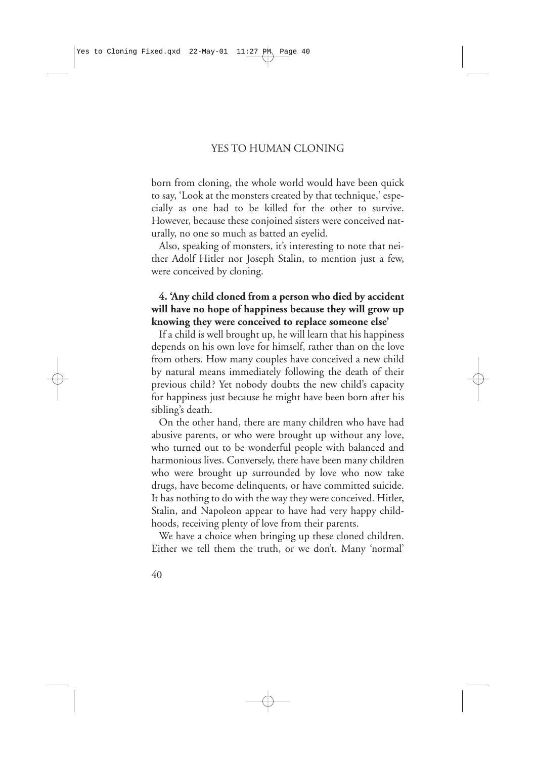born from cloning, the whole world would have been quick to say, 'Look at the monsters created by that technique,' especially as one had to be killed for the other to survive. However, because these conjoined sisters were conceived naturally, no one so much as batted an eyelid.

Also, speaking of monsters, it's interesting to note that neither Adolf Hitler nor Joseph Stalin, to mention just a few, were conceived by cloning.

## **4. 'Any child cloned from a person who died by accident will have no hope of happiness because they will grow up knowing they were conceived to replace someone else'**

If a child is well brought up, he will learn that his happiness depends on his own love for himself, rather than on the love from others. How many couples have conceived a new child by natural means immediately following the death of their previous child? Yet nobody doubts the new child's capacity for happiness just because he might have been born after his sibling's death.

On the other hand, there are many children who have had abusive parents, or who were brought up without any love, who turned out to be wonderful people with balanced and harmonious lives. Conversely, there have been many children who were brought up surrounded by love who now take drugs, have become delinquents, or have committed suicide. It has nothing to do with the way they were conceived. Hitler, Stalin, and Napoleon appear to have had very happy childhoods, receiving plenty of love from their parents.

We have a choice when bringing up these cloned children. Either we tell them the truth, or we don't. Many 'normal'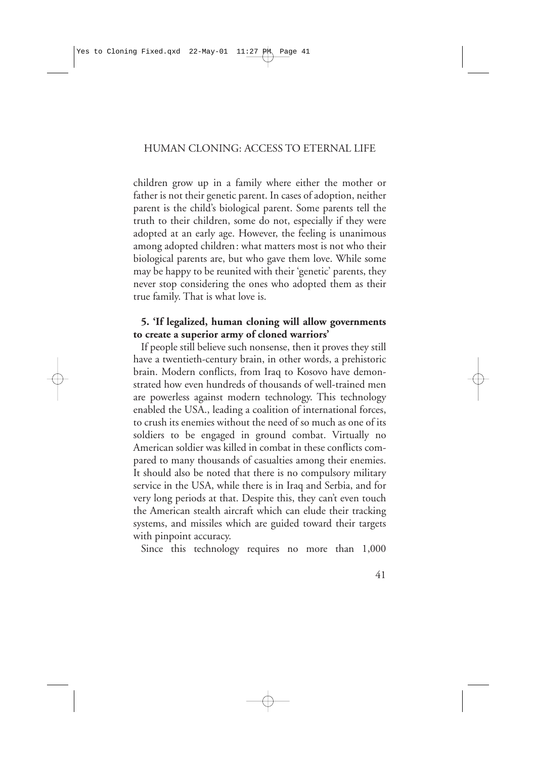children grow up in a family where either the mother or father is not their genetic parent. In cases of adoption, neither parent is the child's biological parent. Some parents tell the truth to their children, some do not, especially if they were adopted at an early age. However, the feeling is unanimous among adopted children: what matters most is not who their biological parents are, but who gave them love. While some may be happy to be reunited with their 'genetic' parents, they never stop considering the ones who adopted them as their true family. That is what love is.

## **5. 'If legalized, human cloning will allow governments to create a superior army of cloned warriors'**

If people still believe such nonsense, then it proves they still have a twentieth-century brain, in other words, a prehistoric brain. Modern conflicts, from Iraq to Kosovo have demonstrated how even hundreds of thousands of well-trained men are powerless against modern technology. This technology enabled the USA., leading a coalition of international forces, to crush its enemies without the need of so much as one of its soldiers to be engaged in ground combat. Virtually no American soldier was killed in combat in these conflicts compared to many thousands of casualties among their enemies. It should also be noted that there is no compulsory military service in the USA, while there is in Iraq and Serbia, and for very long periods at that. Despite this, they can't even touch the American stealth aircraft which can elude their tracking systems, and missiles which are guided toward their targets with pinpoint accuracy.

Since this technology requires no more than 1,000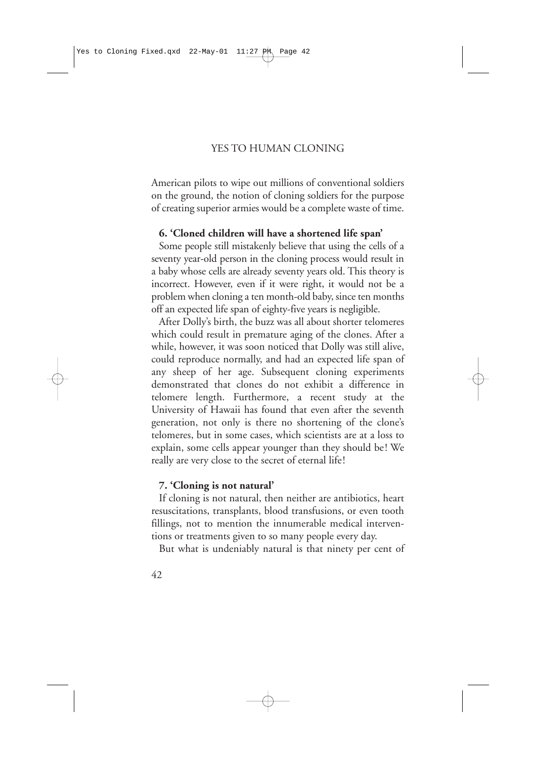American pilots to wipe out millions of conventional soldiers on the ground, the notion of cloning soldiers for the purpose of creating superior armies would be a complete waste of time.

### **6. 'Cloned children will have a shortened life span'**

Some people still mistakenly believe that using the cells of a seventy year-old person in the cloning process would result in a baby whose cells are already seventy years old. This theory is incorrect. However, even if it were right, it would not be a problem when cloning a ten month-old baby, since ten months off an expected life span of eighty-five years is negligible.

After Dolly's birth, the buzz was all about shorter telomeres which could result in premature aging of the clones. After a while, however, it was soon noticed that Dolly was still alive, could reproduce normally, and had an expected life span of any sheep of her age. Subsequent cloning experiments demonstrated that clones do not exhibit a difference in telomere length. Furthermore, a recent study at the University of Hawaii has found that even after the seventh generation, not only is there no shortening of the clone's telomeres, but in some cases, which scientists are at a loss to explain, some cells appear younger than they should be! We really are very close to the secret of eternal life!

#### **7. 'Cloning is not natural'**

If cloning is not natural, then neither are antibiotics, heart resuscitations, transplants, blood transfusions, or even tooth fillings, not to mention the innumerable medical interventions or treatments given to so many people every day.

But what is undeniably natural is that ninety per cent of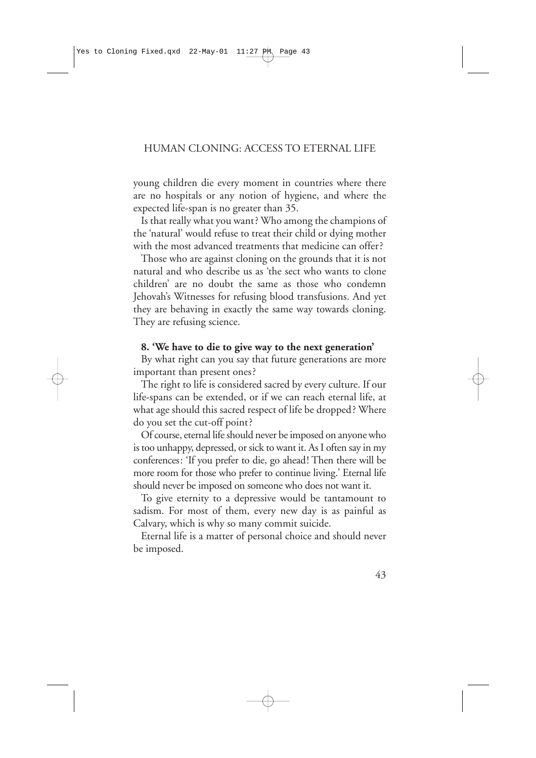young children die every moment in countries where there are no hospitals or any notion of hygiene, and where the expected life-span is no greater than 35.

Is that really what you want? Who among the champions of the 'natural' would refuse to treat their child or dying mother with the most advanced treatments that medicine can offer?

Those who are against cloning on the grounds that it is not natural and who describe us as 'the sect who wants to clone children' are no doubt the same as those who condemn Jehovah's Witnesses for refusing blood transfusions. And yet they are behaving in exactly the same way towards cloning. They are refusing science.

#### **8. 'We have to die to give way to the next generation'**

By what right can you say that future generations are more important than present ones?

The right to life is considered sacred by every culture. If our life-spans can be extended, or if we can reach eternal life, at what age should this sacred respect of life be dropped? Where do you set the cut-off point?

Of course, eternal life should never be imposed on anyone who is too unhappy, depressed, or sick to want it. As I often say in my conferences: 'If you prefer to die, go ahead! Then there will be more room for those who prefer to continue living.' Eternal life should never be imposed on someone who does not want it.

To give eternity to a depressive would be tantamount to sadism. For most of them, every new day is as painful as Calvary, which is why so many commit suicide.

Eternal life is a matter of personal choice and should never be imposed.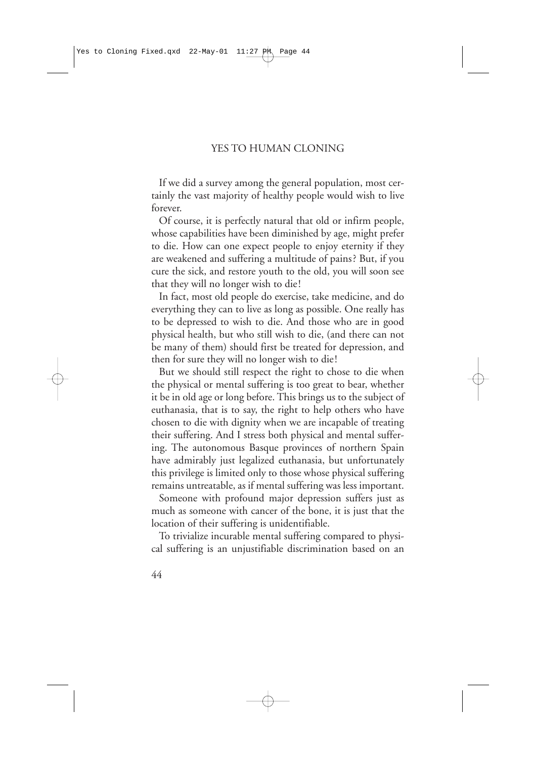If we did a survey among the general population, most certainly the vast majority of healthy people would wish to live forever.

Of course, it is perfectly natural that old or infirm people, whose capabilities have been diminished by age, might prefer to die. How can one expect people to enjoy eternity if they are weakened and suffering a multitude of pains? But, if you cure the sick, and restore youth to the old, you will soon see that they will no longer wish to die!

In fact, most old people do exercise, take medicine, and do everything they can to live as long as possible. One really has to be depressed to wish to die. And those who are in good physical health, but who still wish to die, (and there can not be many of them) should first be treated for depression, and then for sure they will no longer wish to die!

But we should still respect the right to chose to die when the physical or mental suffering is too great to bear, whether it be in old age or long before. This brings us to the subject of euthanasia, that is to say, the right to help others who have chosen to die with dignity when we are incapable of treating their suffering. And I stress both physical and mental suffering. The autonomous Basque provinces of northern Spain have admirably just legalized euthanasia, but unfortunately this privilege is limited only to those whose physical suffering remains untreatable, as if mental suffering was less important.

Someone with profound major depression suffers just as much as someone with cancer of the bone, it is just that the location of their suffering is unidentifiable.

To trivialize incurable mental suffering compared to physical suffering is an unjustifiable discrimination based on an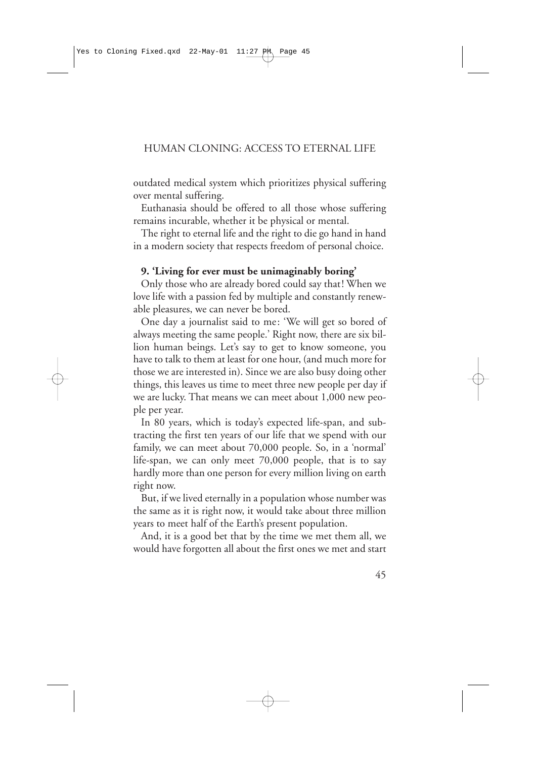outdated medical system which prioritizes physical suffering over mental suffering.

Euthanasia should be offered to all those whose suffering remains incurable, whether it be physical or mental.

The right to eternal life and the right to die go hand in hand in a modern society that respects freedom of personal choice.

#### **9. 'Living for ever must be unimaginably boring'**

Only those who are already bored could say that! When we love life with a passion fed by multiple and constantly renewable pleasures, we can never be bored.

One day a journalist said to me: 'We will get so bored of always meeting the same people.' Right now, there are six billion human beings. Let's say to get to know someone, you have to talk to them at least for one hour, (and much more for those we are interested in). Since we are also busy doing other things, this leaves us time to meet three new people per day if we are lucky. That means we can meet about 1,000 new people per year.

In 80 years, which is today's expected life-span, and subtracting the first ten years of our life that we spend with our family, we can meet about 70,000 people. So, in a 'normal' life-span, we can only meet 70,000 people, that is to say hardly more than one person for every million living on earth right now.

But, if we lived eternally in a population whose number was the same as it is right now, it would take about three million years to meet half of the Earth's present population.

And, it is a good bet that by the time we met them all, we would have forgotten all about the first ones we met and start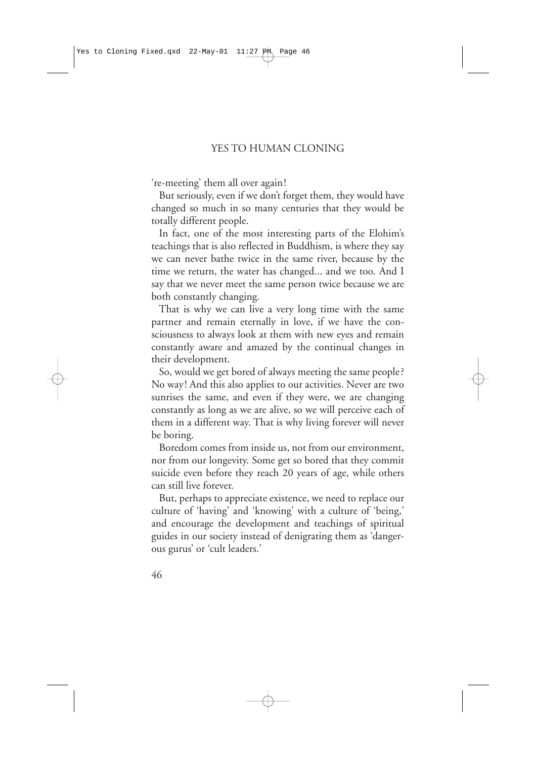're-meeting' them all over again!

But seriously, even if we don't forget them, they would have changed so much in so many centuries that they would be totally different people.

In fact, one of the most interesting parts of the Elohim's teachings that is also reflected in Buddhism, is where they say we can never bathe twice in the same river, because by the time we return, the water has changed... and we too. And I say that we never meet the same person twice because we are both constantly changing.

That is why we can live a very long time with the same partner and remain eternally in love, if we have the consciousness to always look at them with new eyes and remain constantly aware and amazed by the continual changes in their development.

So, would we get bored of always meeting the same people? No way! And this also applies to our activities. Never are two sunrises the same, and even if they were, we are changing constantly as long as we are alive, so we will perceive each of them in a different way. That is why living forever will never be boring.

Boredom comes from inside us, not from our environment, nor from our longevity. Some get so bored that they commit suicide even before they reach 20 years of age, while others can still live forever.

But, perhaps to appreciate existence, we need to replace our culture of 'having' and 'knowing' with a culture of 'being,' and encourage the development and teachings of spiritual guides in our society instead of denigrating them as 'dangerous gurus' or 'cult leaders.'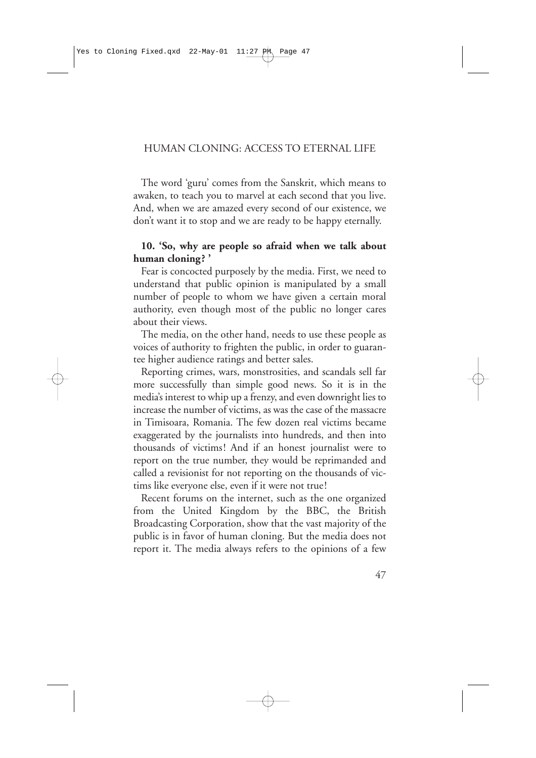The word 'guru' comes from the Sanskrit, which means to awaken, to teach you to marvel at each second that you live. And, when we are amazed every second of our existence, we don't want it to stop and we are ready to be happy eternally.

### **10. 'So, why are people so afraid when we talk about human cloning? '**

Fear is concocted purposely by the media. First, we need to understand that public opinion is manipulated by a small number of people to whom we have given a certain moral authority, even though most of the public no longer cares about their views.

The media, on the other hand, needs to use these people as voices of authority to frighten the public, in order to guarantee higher audience ratings and better sales.

Reporting crimes, wars, monstrosities, and scandals sell far more successfully than simple good news. So it is in the media's interest to whip up a frenzy, and even downright lies to increase the number of victims, as was the case of the massacre in Timisoara, Romania. The few dozen real victims became exaggerated by the journalists into hundreds, and then into thousands of victims! And if an honest journalist were to report on the true number, they would be reprimanded and called a revisionist for not reporting on the thousands of victims like everyone else, even if it were not true!

Recent forums on the internet, such as the one organized from the United Kingdom by the BBC, the British Broadcasting Corporation, show that the vast majority of the public is in favor of human cloning. But the media does not report it. The media always refers to the opinions of a few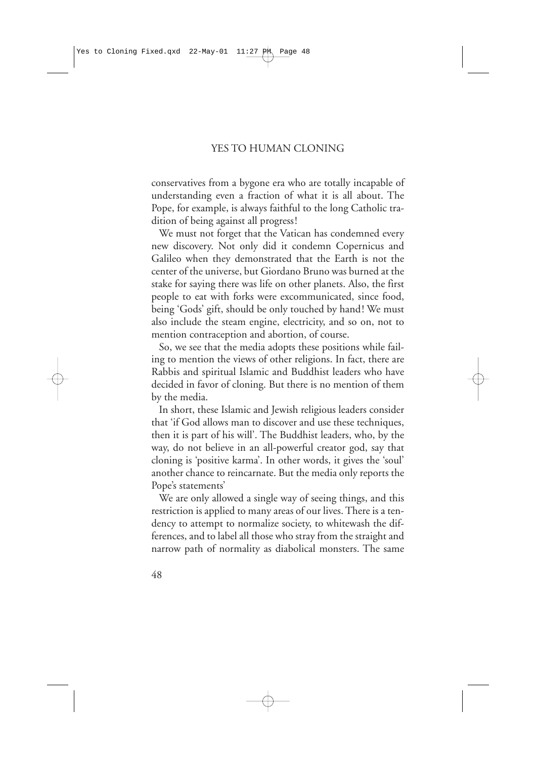conservatives from a bygone era who are totally incapable of understanding even a fraction of what it is all about. The Pope, for example, is always faithful to the long Catholic tradition of being against all progress!

We must not forget that the Vatican has condemned every new discovery. Not only did it condemn Copernicus and Galileo when they demonstrated that the Earth is not the center of the universe, but Giordano Bruno was burned at the stake for saying there was life on other planets. Also, the first people to eat with forks were excommunicated, since food, being 'Gods' gift, should be only touched by hand! We must also include the steam engine, electricity, and so on, not to mention contraception and abortion, of course.

So, we see that the media adopts these positions while failing to mention the views of other religions. In fact, there are Rabbis and spiritual Islamic and Buddhist leaders who have decided in favor of cloning. But there is no mention of them by the media.

In short, these Islamic and Jewish religious leaders consider that 'if God allows man to discover and use these techniques, then it is part of his will'. The Buddhist leaders, who, by the way, do not believe in an all-powerful creator god, say that cloning is 'positive karma'. In other words, it gives the 'soul' another chance to reincarnate. But the media only reports the Pope's statements'

We are only allowed a single way of seeing things, and this restriction is applied to many areas of our lives. There is a tendency to attempt to normalize society, to whitewash the differences, and to label all those who stray from the straight and narrow path of normality as diabolical monsters. The same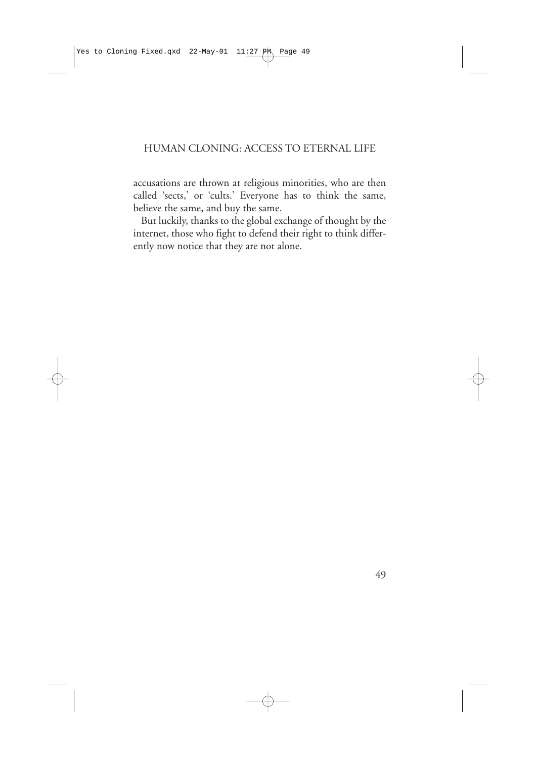## HUMAN CLONING: ACCESS TO ETERNAL LIFE

accusations are thrown at religious minorities, who are then called 'sects,' or 'cults.' Everyone has to think the same, believe the same, and buy the same.

But luckily, thanks to the global exchange of thought by the internet, those who fight to defend their right to think differently now notice that they are not alone.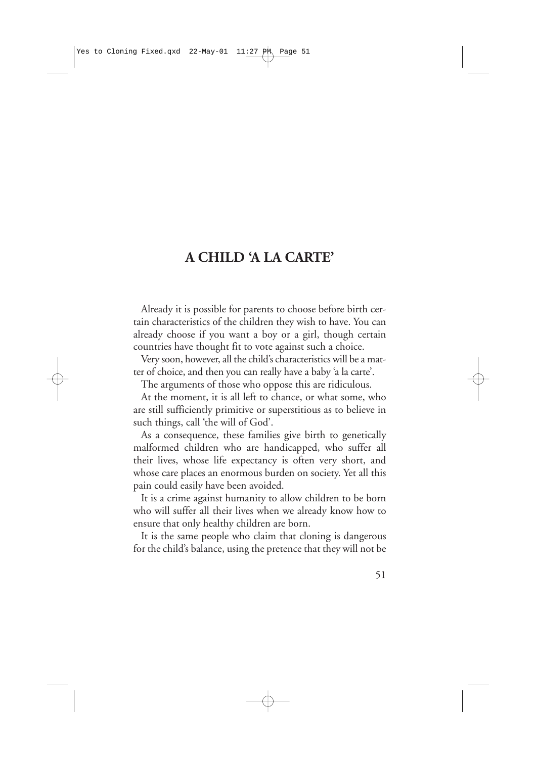## **A CHILD 'A LA CARTE'**

Already it is possible for parents to choose before birth certain characteristics of the children they wish to have. You can already choose if you want a boy or a girl, though certain countries have thought fit to vote against such a choice.

Very soon, however, all the child's characteristics will be a matter of choice, and then you can really have a baby 'a la carte'.

The arguments of those who oppose this are ridiculous.

At the moment, it is all left to chance, or what some, who are still sufficiently primitive or superstitious as to believe in such things, call 'the will of God'.

As a consequence, these families give birth to genetically malformed children who are handicapped, who suffer all their lives, whose life expectancy is often very short, and whose care places an enormous burden on society. Yet all this pain could easily have been avoided.

It is a crime against humanity to allow children to be born who will suffer all their lives when we already know how to ensure that only healthy children are born.

It is the same people who claim that cloning is dangerous for the child's balance, using the pretence that they will not be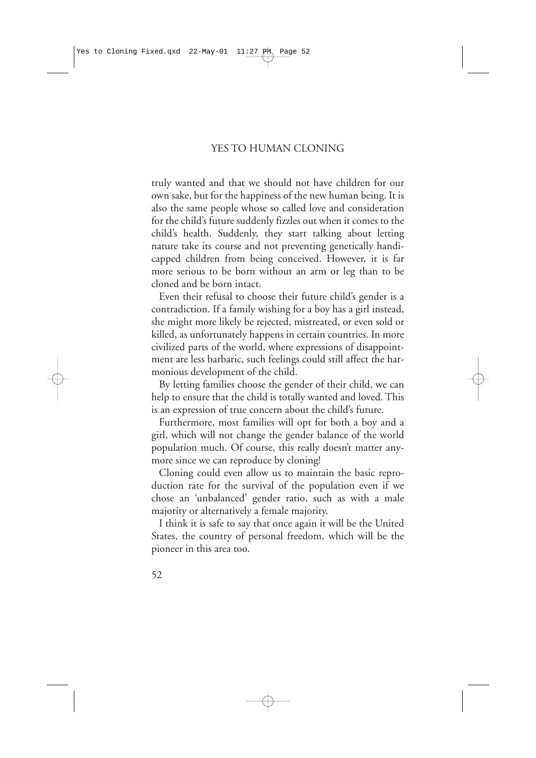truly wanted and that we should not have children for our own sake, but for the happiness of the new human being. It is also the same people whose so called love and consideration for the child's future suddenly fizzles out when it comes to the child's health. Suddenly, they start talking about letting nature take its course and not preventing genetically handicapped children from being conceived. However, it is far more serious to be born without an arm or leg than to be cloned and be born intact.

Even their refusal to choose their future child's gender is a contradiction. If a family wishing for a boy has a girl instead, she might more likely be rejected, mistreated, or even sold or killed, as unfortunately happens in certain countries. In more civilized parts of the world, where expressions of disappointment are less barbaric, such feelings could still affect the harmonious development of the child.

By letting families choose the gender of their child, we can help to ensure that the child is totally wanted and loved. This is an expression of true concern about the child's future.

Furthermore, most families will opt for both a boy and a girl, which will not change the gender balance of the world population much. Of course, this really doesn't matter anymore since we can reproduce by cloning!

Cloning could even allow us to maintain the basic reproduction rate for the survival of the population even if we chose an 'unbalanced' gender ratio, such as with a male majority or alternatively a female majority.

I think it is safe to say that once again it will be the United States, the country of personal freedom, which will be the pioneer in this area too.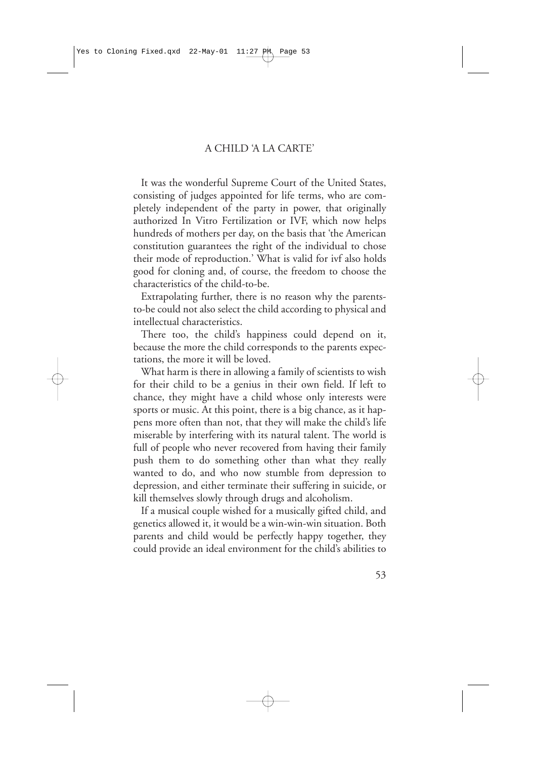#### A CHILD 'A LA CARTE'

It was the wonderful Supreme Court of the United States, consisting of judges appointed for life terms, who are completely independent of the party in power, that originally authorized In Vitro Fertilization or IVF, which now helps hundreds of mothers per day, on the basis that 'the American constitution guarantees the right of the individual to chose their mode of reproduction.' What is valid for ivf also holds good for cloning and, of course, the freedom to choose the characteristics of the child-to-be.

Extrapolating further, there is no reason why the parentsto-be could not also select the child according to physical and intellectual characteristics.

There too, the child's happiness could depend on it, because the more the child corresponds to the parents expectations, the more it will be loved.

What harm is there in allowing a family of scientists to wish for their child to be a genius in their own field. If left to chance, they might have a child whose only interests were sports or music. At this point, there is a big chance, as it happens more often than not, that they will make the child's life miserable by interfering with its natural talent. The world is full of people who never recovered from having their family push them to do something other than what they really wanted to do, and who now stumble from depression to depression, and either terminate their suffering in suicide, or kill themselves slowly through drugs and alcoholism.

If a musical couple wished for a musically gifted child, and genetics allowed it, it would be a win-win-win situation. Both parents and child would be perfectly happy together, they could provide an ideal environment for the child's abilities to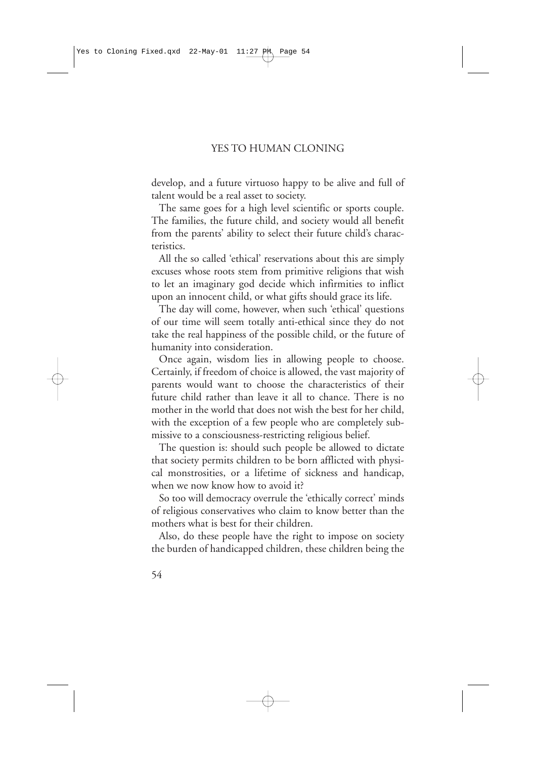develop, and a future virtuoso happy to be alive and full of talent would be a real asset to society.

The same goes for a high level scientific or sports couple. The families, the future child, and society would all benefit from the parents' ability to select their future child's characteristics.

All the so called 'ethical' reservations about this are simply excuses whose roots stem from primitive religions that wish to let an imaginary god decide which infirmities to inflict upon an innocent child, or what gifts should grace its life.

The day will come, however, when such 'ethical' questions of our time will seem totally anti-ethical since they do not take the real happiness of the possible child, or the future of humanity into consideration.

Once again, wisdom lies in allowing people to choose. Certainly, if freedom of choice is allowed, the vast majority of parents would want to choose the characteristics of their future child rather than leave it all to chance. There is no mother in the world that does not wish the best for her child, with the exception of a few people who are completely submissive to a consciousness-restricting religious belief.

The question is: should such people be allowed to dictate that society permits children to be born afflicted with physical monstrosities, or a lifetime of sickness and handicap, when we now know how to avoid it?

So too will democracy overrule the 'ethically correct' minds of religious conservatives who claim to know better than the mothers what is best for their children.

Also, do these people have the right to impose on society the burden of handicapped children, these children being the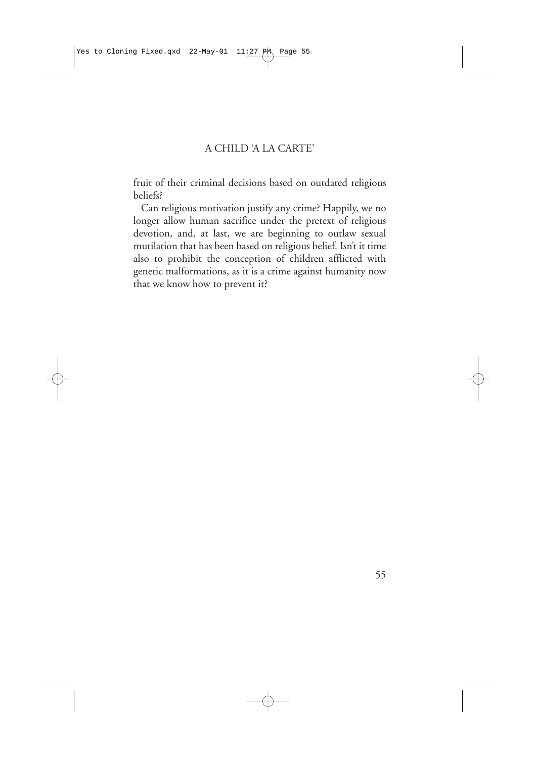## A CHILD 'A LA CARTE'

fruit of their criminal decisions based on outdated religious beliefs?

Can religious motivation justify any crime? Happily, we no longer allow human sacrifice under the pretext of religious devotion, and, at last, we are beginning to outlaw sexual mutilation that has been based on religious belief. Isn't it time also to prohibit the conception of children afflicted with genetic malformations, as it is a crime against humanity now that we know how to prevent it?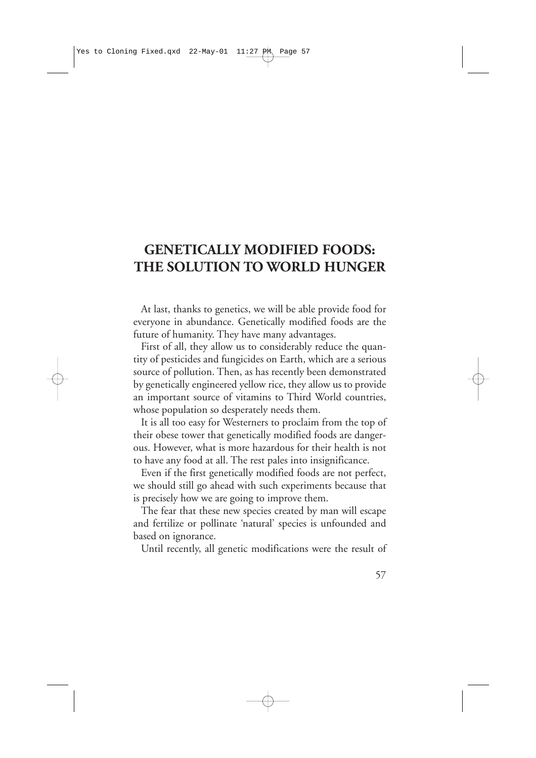# **GENETICALLY MODIFIED FOODS: THE SOLUTION TO WORLD HUNGER**

At last, thanks to genetics, we will be able provide food for everyone in abundance. Genetically modified foods are the future of humanity. They have many advantages.

First of all, they allow us to considerably reduce the quantity of pesticides and fungicides on Earth, which are a serious source of pollution. Then, as has recently been demonstrated by genetically engineered yellow rice, they allow us to provide an important source of vitamins to Third World countries, whose population so desperately needs them.

It is all too easy for Westerners to proclaim from the top of their obese tower that genetically modified foods are dangerous. However, what is more hazardous for their health is not to have any food at all. The rest pales into insignificance.

Even if the first genetically modified foods are not perfect, we should still go ahead with such experiments because that is precisely how we are going to improve them.

The fear that these new species created by man will escape and fertilize or pollinate 'natural' species is unfounded and based on ignorance.

Until recently, all genetic modifications were the result of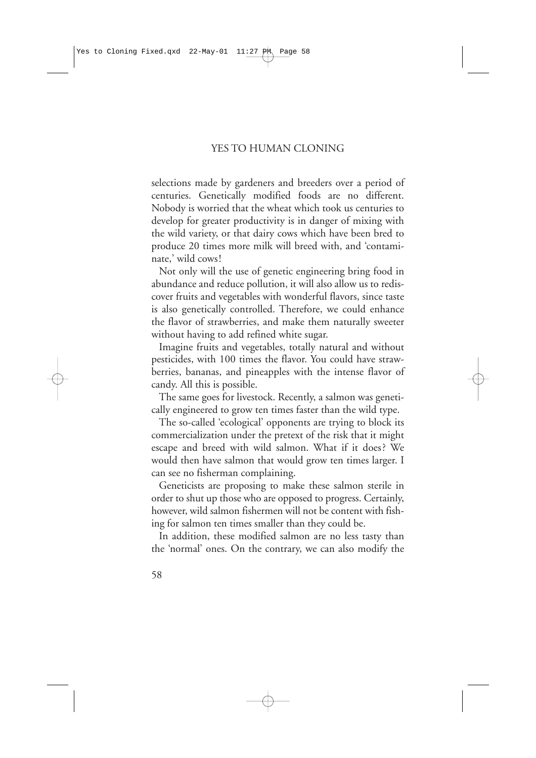selections made by gardeners and breeders over a period of centuries. Genetically modified foods are no different. Nobody is worried that the wheat which took us centuries to develop for greater productivity is in danger of mixing with the wild variety, or that dairy cows which have been bred to produce 20 times more milk will breed with, and 'contaminate,' wild cows!

Not only will the use of genetic engineering bring food in abundance and reduce pollution, it will also allow us to rediscover fruits and vegetables with wonderful flavors, since taste is also genetically controlled. Therefore, we could enhance the flavor of strawberries, and make them naturally sweeter without having to add refined white sugar.

Imagine fruits and vegetables, totally natural and without pesticides, with 100 times the flavor. You could have strawberries, bananas, and pineapples with the intense flavor of candy. All this is possible.

The same goes for livestock. Recently, a salmon was genetically engineered to grow ten times faster than the wild type.

The so-called 'ecological' opponents are trying to block its commercialization under the pretext of the risk that it might escape and breed with wild salmon. What if it does? We would then have salmon that would grow ten times larger. I can see no fisherman complaining.

Geneticists are proposing to make these salmon sterile in order to shut up those who are opposed to progress. Certainly, however, wild salmon fishermen will not be content with fishing for salmon ten times smaller than they could be.

In addition, these modified salmon are no less tasty than the 'normal' ones. On the contrary, we can also modify the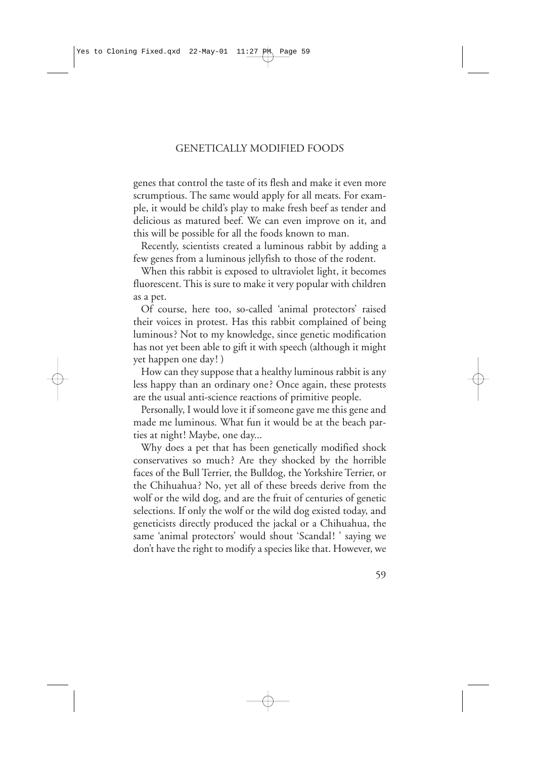genes that control the taste of its flesh and make it even more scrumptious. The same would apply for all meats. For example, it would be child's play to make fresh beef as tender and delicious as matured beef. We can even improve on it, and this will be possible for all the foods known to man.

Recently, scientists created a luminous rabbit by adding a few genes from a luminous jellyfish to those of the rodent.

When this rabbit is exposed to ultraviolet light, it becomes fluorescent. This is sure to make it very popular with children as a pet.

Of course, here too, so-called 'animal protectors' raised their voices in protest. Has this rabbit complained of being luminous? Not to my knowledge, since genetic modification has not yet been able to gift it with speech (although it might yet happen one day! )

How can they suppose that a healthy luminous rabbit is any less happy than an ordinary one? Once again, these protests are the usual anti-science reactions of primitive people.

Personally, I would love it if someone gave me this gene and made me luminous. What fun it would be at the beach parties at night! Maybe, one day...

Why does a pet that has been genetically modified shock conservatives so much? Are they shocked by the horrible faces of the Bull Terrier, the Bulldog, the Yorkshire Terrier, or the Chihuahua? No, yet all of these breeds derive from the wolf or the wild dog, and are the fruit of centuries of genetic selections. If only the wolf or the wild dog existed today, and geneticists directly produced the jackal or a Chihuahua, the same 'animal protectors' would shout 'Scandal! ' saying we don't have the right to modify a species like that. However, we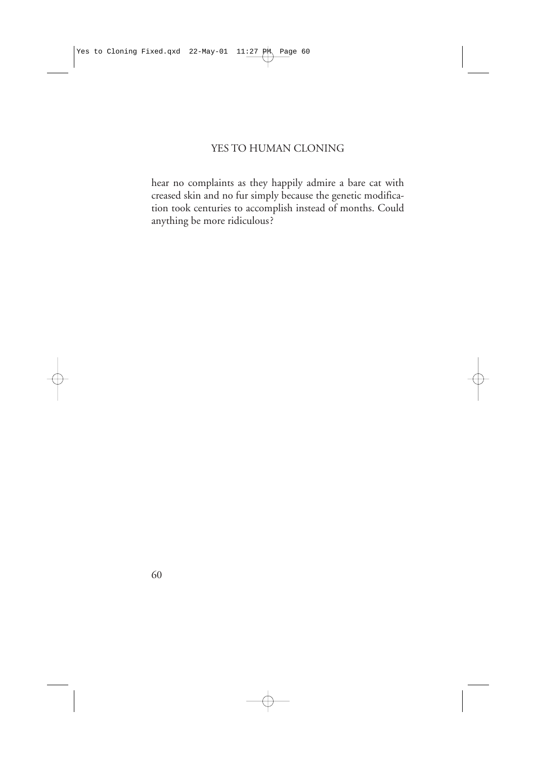## YES TO HUMAN CLONING

hear no complaints as they happily admire a bare cat with creased skin and no fur simply because the genetic modification took centuries to accomplish instead of months. Could anything be more ridiculous?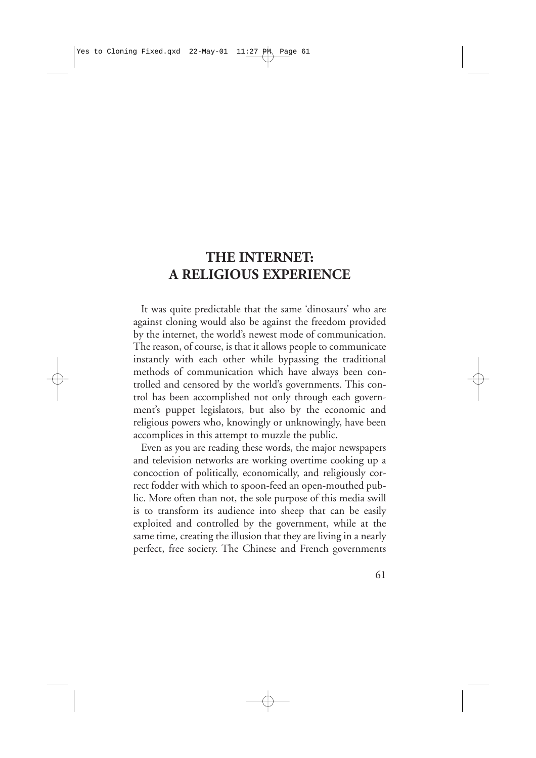## **THE INTERNET: A RELIGIOUS EXPERIENCE**

It was quite predictable that the same 'dinosaurs' who are against cloning would also be against the freedom provided by the internet, the world's newest mode of communication. The reason, of course, is that it allows people to communicate instantly with each other while bypassing the traditional methods of communication which have always been controlled and censored by the world's governments. This control has been accomplished not only through each government's puppet legislators, but also by the economic and religious powers who, knowingly or unknowingly, have been accomplices in this attempt to muzzle the public.

Even as you are reading these words, the major newspapers and television networks are working overtime cooking up a concoction of politically, economically, and religiously correct fodder with which to spoon-feed an open-mouthed public. More often than not, the sole purpose of this media swill is to transform its audience into sheep that can be easily exploited and controlled by the government, while at the same time, creating the illusion that they are living in a nearly perfect, free society. The Chinese and French governments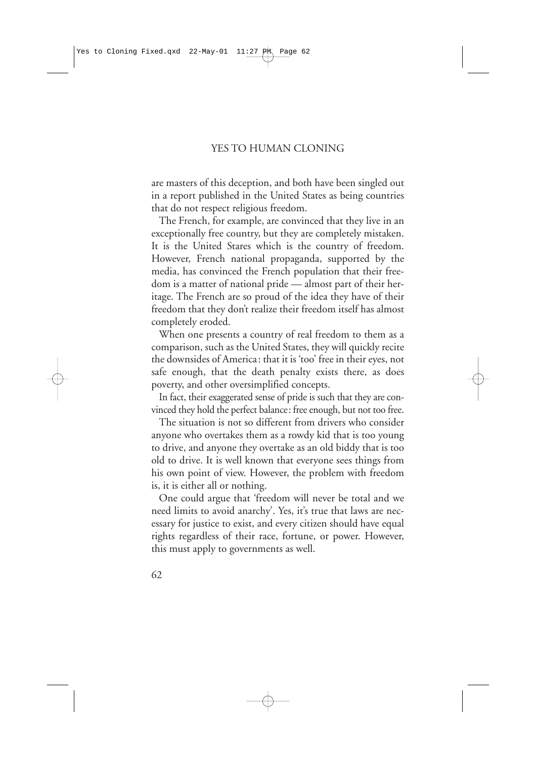are masters of this deception, and both have been singled out in a report published in the United States as being countries that do not respect religious freedom.

The French, for example, are convinced that they live in an exceptionally free country, but they are completely mistaken. It is the United Stares which is the country of freedom. However, French national propaganda, supported by the media, has convinced the French population that their freedom is a matter of national pride — almost part of their heritage. The French are so proud of the idea they have of their freedom that they don't realize their freedom itself has almost completely eroded.

When one presents a country of real freedom to them as a comparison, such as the United States, they will quickly recite the downsides of America: that it is 'too' free in their eyes, not safe enough, that the death penalty exists there, as does poverty, and other oversimplified concepts.

In fact, their exaggerated sense of pride is such that they are convinced they hold the perfect balance: free enough, but not too free.

The situation is not so different from drivers who consider anyone who overtakes them as a rowdy kid that is too young to drive, and anyone they overtake as an old biddy that is too old to drive. It is well known that everyone sees things from his own point of view. However, the problem with freedom is, it is either all or nothing.

One could argue that 'freedom will never be total and we need limits to avoid anarchy'. Yes, it's true that laws are necessary for justice to exist, and every citizen should have equal rights regardless of their race, fortune, or power. However, this must apply to governments as well.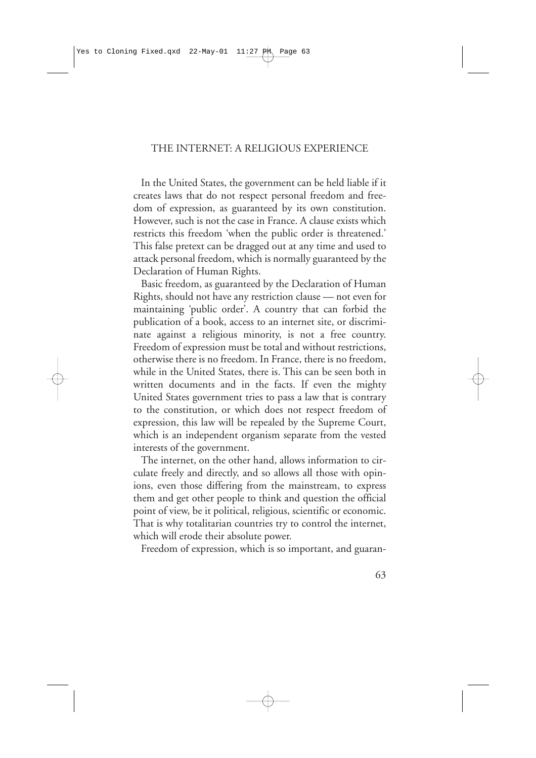#### THE INTERNET: A RELIGIOUS EXPERIENCE

In the United States, the government can be held liable if it creates laws that do not respect personal freedom and freedom of expression, as guaranteed by its own constitution. However, such is not the case in France. A clause exists which restricts this freedom 'when the public order is threatened.' This false pretext can be dragged out at any time and used to attack personal freedom, which is normally guaranteed by the Declaration of Human Rights.

Basic freedom, as guaranteed by the Declaration of Human Rights, should not have any restriction clause — not even for maintaining 'public order'. A country that can forbid the publication of a book, access to an internet site, or discriminate against a religious minority, is not a free country. Freedom of expression must be total and without restrictions, otherwise there is no freedom. In France, there is no freedom, while in the United States, there is. This can be seen both in written documents and in the facts. If even the mighty United States government tries to pass a law that is contrary to the constitution, or which does not respect freedom of expression, this law will be repealed by the Supreme Court, which is an independent organism separate from the vested interests of the government.

The internet, on the other hand, allows information to circulate freely and directly, and so allows all those with opinions, even those differing from the mainstream, to express them and get other people to think and question the official point of view, be it political, religious, scientific or economic. That is why totalitarian countries try to control the internet, which will erode their absolute power.

Freedom of expression, which is so important, and guaran-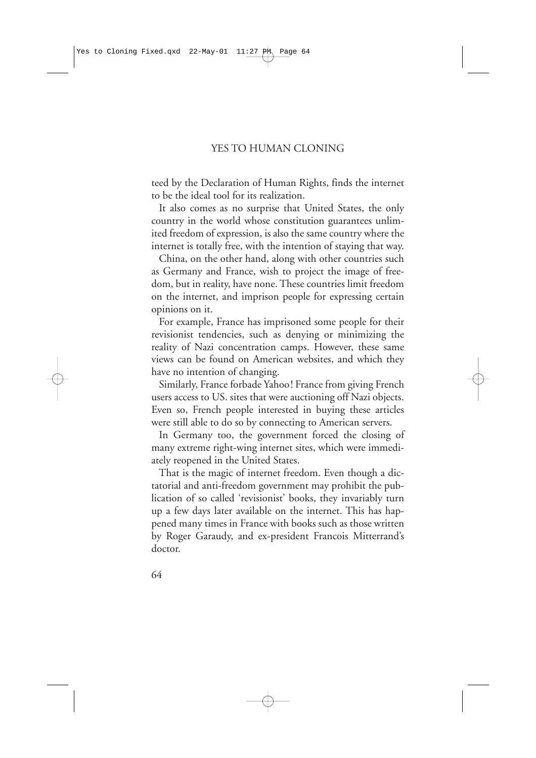teed by the Declaration of Human Rights, finds the internet to be the ideal tool for its realization.

It also comes as no surprise that United States, the only country in the world whose constitution guarantees unlimited freedom of expression, is also the same country where the internet is totally free, with the intention of staying that way.

China, on the other hand, along with other countries such as Germany and France, wish to project the image of freedom, but in reality, have none. These countries limit freedom on the internet, and imprison people for expressing certain opinions on it.

For example, France has imprisoned some people for their revisionist tendencies, such as denying or minimizing the reality of Nazi concentration camps. However, these same views can be found on American websites, and which they have no intention of changing.

Similarly, France forbade Yahoo! France from giving French users access to US. sites that were auctioning off Nazi objects. Even so, French people interested in buying these articles were still able to do so by connecting to American servers.

In Germany too, the government forced the closing of many extreme right-wing internet sites, which were immediately reopened in the United States.

That is the magic of internet freedom. Even though a dictatorial and anti-freedom government may prohibit the publication of so called 'revisionist' books, they invariably turn up a few days later available on the internet. This has happened many times in France with books such as those written by Roger Garaudy, and ex-president Francois Mitterrand's doctor.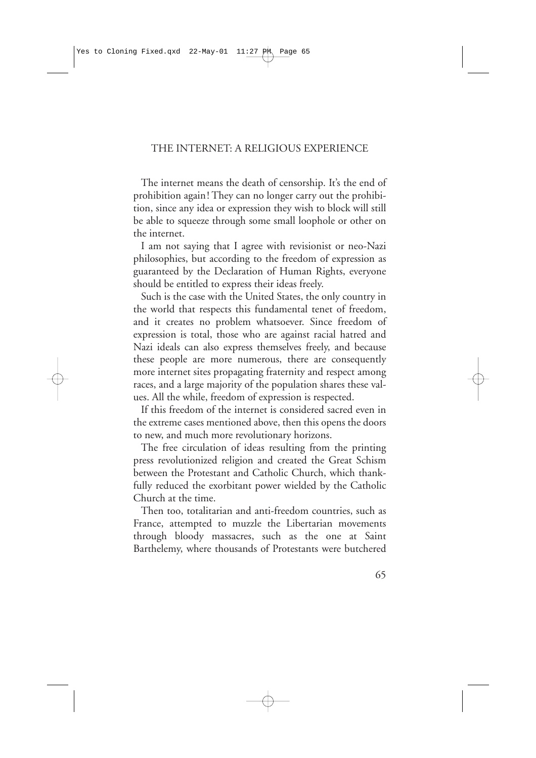The internet means the death of censorship. It's the end of prohibition again! They can no longer carry out the prohibition, since any idea or expression they wish to block will still be able to squeeze through some small loophole or other on the internet.

I am not saying that I agree with revisionist or neo-Nazi philosophies, but according to the freedom of expression as guaranteed by the Declaration of Human Rights, everyone should be entitled to express their ideas freely.

Such is the case with the United States, the only country in the world that respects this fundamental tenet of freedom, and it creates no problem whatsoever. Since freedom of expression is total, those who are against racial hatred and Nazi ideals can also express themselves freely, and because these people are more numerous, there are consequently more internet sites propagating fraternity and respect among races, and a large majority of the population shares these values. All the while, freedom of expression is respected.

If this freedom of the internet is considered sacred even in the extreme cases mentioned above, then this opens the doors to new, and much more revolutionary horizons.

The free circulation of ideas resulting from the printing press revolutionized religion and created the Great Schism between the Protestant and Catholic Church, which thankfully reduced the exorbitant power wielded by the Catholic Church at the time.

Then too, totalitarian and anti-freedom countries, such as France, attempted to muzzle the Libertarian movements through bloody massacres, such as the one at Saint Barthelemy, where thousands of Protestants were butchered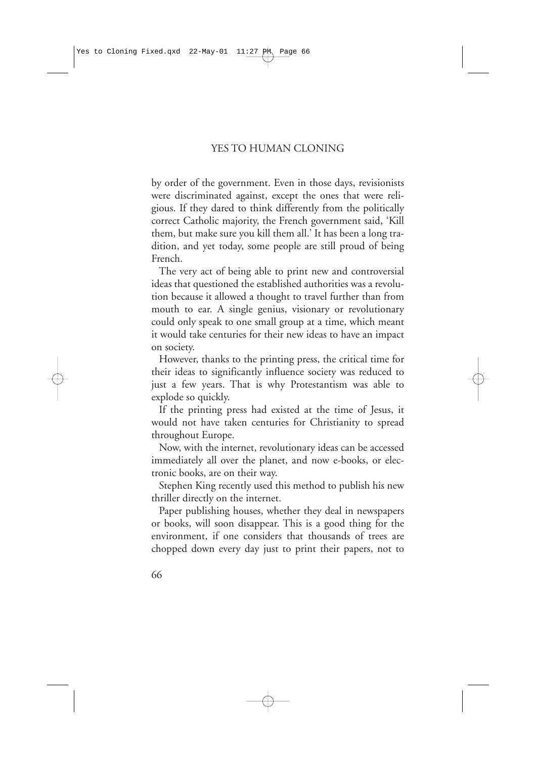by order of the government. Even in those days, revisionists were discriminated against, except the ones that were religious. If they dared to think differently from the politically correct Catholic majority, the French government said, 'Kill them, but make sure you kill them all.' It has been a long tradition, and yet today, some people are still proud of being French.

The very act of being able to print new and controversial ideas that questioned the established authorities was a revolution because it allowed a thought to travel further than from mouth to ear. A single genius, visionary or revolutionary could only speak to one small group at a time, which meant it would take centuries for their new ideas to have an impact on society.

However, thanks to the printing press, the critical time for their ideas to significantly influence society was reduced to just a few years. That is why Protestantism was able to explode so quickly.

If the printing press had existed at the time of Jesus, it would not have taken centuries for Christianity to spread throughout Europe.

Now, with the internet, revolutionary ideas can be accessed immediately all over the planet, and now e-books, or electronic books, are on their way.

Stephen King recently used this method to publish his new thriller directly on the internet.

Paper publishing houses, whether they deal in newspapers or books, will soon disappear. This is a good thing for the environment, if one considers that thousands of trees are chopped down every day just to print their papers, not to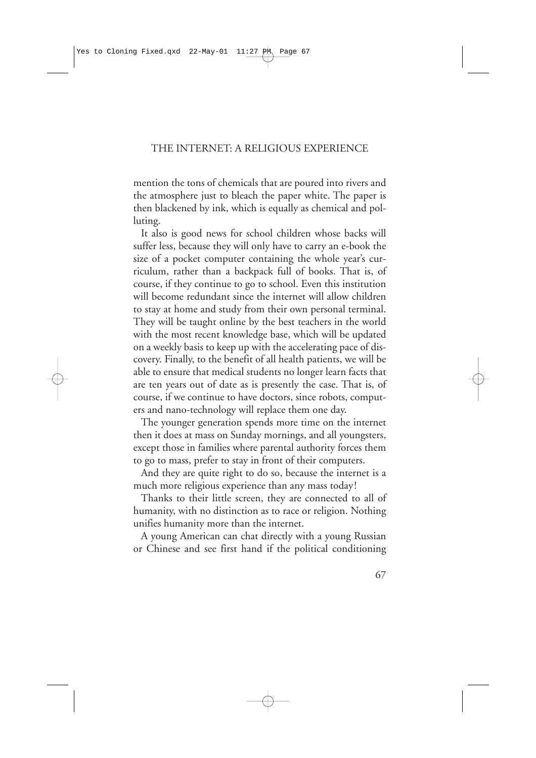mention the tons of chemicals that are poured into rivers and the atmosphere just to bleach the paper white. The paper is then blackened by ink, which is equally as chemical and polluting.

It also is good news for school children whose backs will suffer less, because they will only have to carry an e-book the size of a pocket computer containing the whole year's curriculum, rather than a backpack full of books. That is, of course, if they continue to go to school. Even this institution will become redundant since the internet will allow children to stay at home and study from their own personal terminal. They will be taught online by the best teachers in the world with the most recent knowledge base, which will be updated on a weekly basis to keep up with the accelerating pace of discovery. Finally, to the benefit of all health patients, we will be able to ensure that medical students no longer learn facts that are ten years out of date as is presently the case. That is, of course, if we continue to have doctors, since robots, computers and nano-technology will replace them one day.

The younger generation spends more time on the internet then it does at mass on Sunday mornings, and all youngsters, except those in families where parental authority forces them to go to mass, prefer to stay in front of their computers.

And they are quite right to do so, because the internet is a much more religious experience than any mass today!

Thanks to their little screen, they are connected to all of humanity, with no distinction as to race or religion. Nothing unifies humanity more than the internet.

A young American can chat directly with a young Russian or Chinese and see first hand if the political conditioning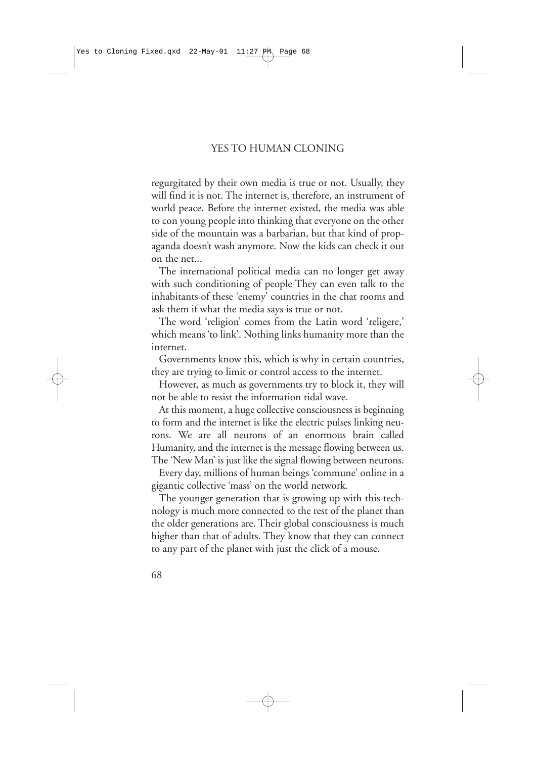regurgitated by their own media is true or not. Usually, they will find it is not. The internet is, therefore, an instrument of world peace. Before the internet existed, the media was able to con young people into thinking that everyone on the other side of the mountain was a barbarian, but that kind of propaganda doesn't wash anymore. Now the kids can check it out on the net...

The international political media can no longer get away with such conditioning of people They can even talk to the inhabitants of these 'enemy' countries in the chat rooms and ask them if what the media says is true or not.

The word 'religion' comes from the Latin word 'religere,' which means 'to link'. Nothing links humanity more than the internet.

Governments know this, which is why in certain countries, they are trying to limit or control access to the internet.

However, as much as governments try to block it, they will not be able to resist the information tidal wave.

At this moment, a huge collective consciousness is beginning to form and the internet is like the electric pulses linking neurons. We are all neurons of an enormous brain called Humanity, and the internet is the message flowing between us. The 'New Man' is just like the signal flowing between neurons.

Every day, millions of human beings 'commune' online in a gigantic collective 'mass' on the world network.

The younger generation that is growing up with this technology is much more connected to the rest of the planet than the older generations are. Their global consciousness is much higher than that of adults. They know that they can connect to any part of the planet with just the click of a mouse.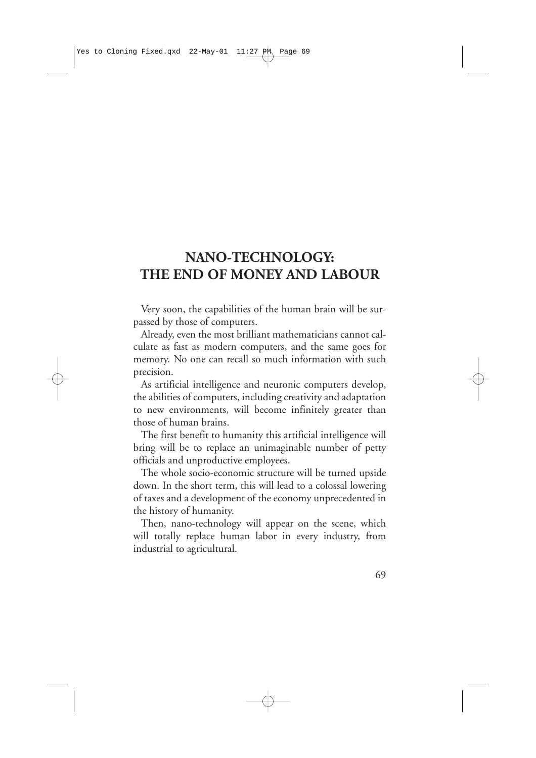# **NANO-TECHNOLOGY: THE END OF MONEY AND LABOUR**

Very soon, the capabilities of the human brain will be surpassed by those of computers.

Already, even the most brilliant mathematicians cannot calculate as fast as modern computers, and the same goes for memory. No one can recall so much information with such precision.

As artificial intelligence and neuronic computers develop, the abilities of computers, including creativity and adaptation to new environments, will become infinitely greater than those of human brains.

The first benefit to humanity this artificial intelligence will bring will be to replace an unimaginable number of petty officials and unproductive employees.

The whole socio-economic structure will be turned upside down. In the short term, this will lead to a colossal lowering of taxes and a development of the economy unprecedented in the history of humanity.

Then, nano-technology will appear on the scene, which will totally replace human labor in every industry, from industrial to agricultural.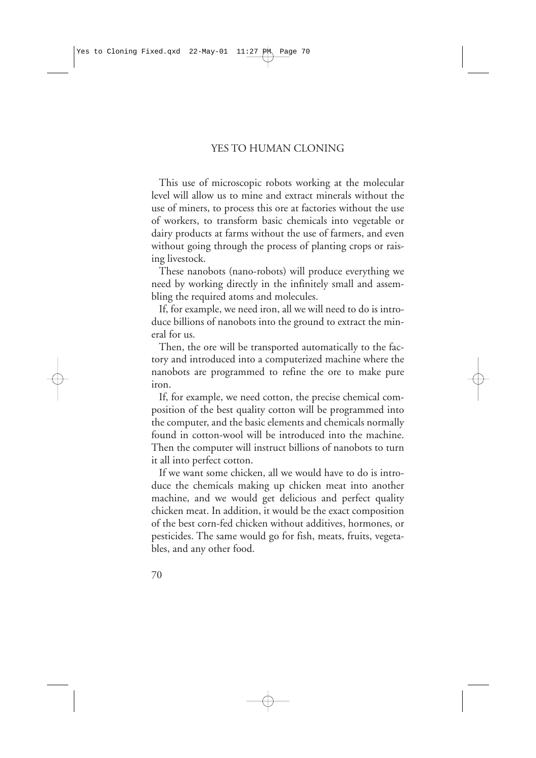This use of microscopic robots working at the molecular level will allow us to mine and extract minerals without the use of miners, to process this ore at factories without the use of workers, to transform basic chemicals into vegetable or dairy products at farms without the use of farmers, and even without going through the process of planting crops or raising livestock.

These nanobots (nano-robots) will produce everything we need by working directly in the infinitely small and assembling the required atoms and molecules.

If, for example, we need iron, all we will need to do is introduce billions of nanobots into the ground to extract the mineral for us.

Then, the ore will be transported automatically to the factory and introduced into a computerized machine where the nanobots are programmed to refine the ore to make pure iron.

If, for example, we need cotton, the precise chemical composition of the best quality cotton will be programmed into the computer, and the basic elements and chemicals normally found in cotton-wool will be introduced into the machine. Then the computer will instruct billions of nanobots to turn it all into perfect cotton.

If we want some chicken, all we would have to do is introduce the chemicals making up chicken meat into another machine, and we would get delicious and perfect quality chicken meat. In addition, it would be the exact composition of the best corn-fed chicken without additives, hormones, or pesticides. The same would go for fish, meats, fruits, vegetables, and any other food.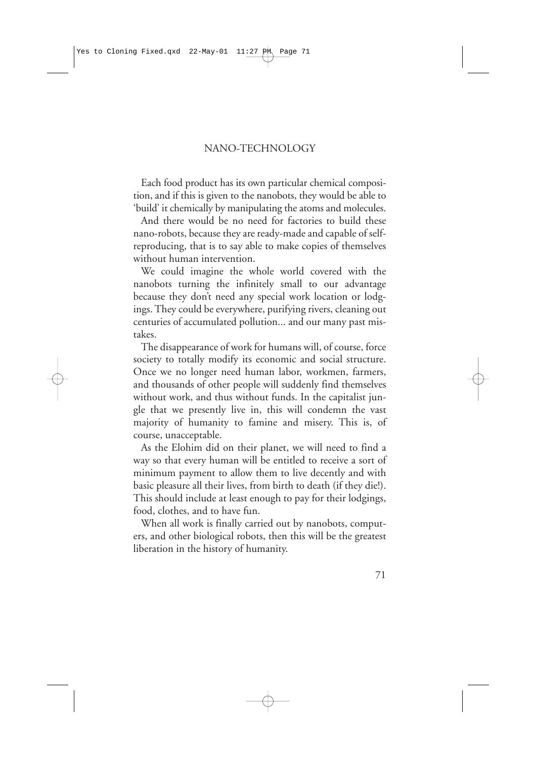Each food product has its own particular chemical composition, and if this is given to the nanobots, they would be able to 'build' it chemically by manipulating the atoms and molecules.

And there would be no need for factories to build these nano-robots, because they are ready-made and capable of selfreproducing, that is to say able to make copies of themselves without human intervention.

We could imagine the whole world covered with the nanobots turning the infinitely small to our advantage because they don't need any special work location or lodgings. They could be everywhere, purifying rivers, cleaning out centuries of accumulated pollution... and our many past mistakes.

The disappearance of work for humans will, of course, force society to totally modify its economic and social structure. Once we no longer need human labor, workmen, farmers, and thousands of other people will suddenly find themselves without work, and thus without funds. In the capitalist jungle that we presently live in, this will condemn the vast majority of humanity to famine and misery. This is, of course, unacceptable.

As the Elohim did on their planet, we will need to find a way so that every human will be entitled to receive a sort of minimum payment to allow them to live decently and with basic pleasure all their lives, from birth to death (if they die!). This should include at least enough to pay for their lodgings, food, clothes, and to have fun.

When all work is finally carried out by nanobots, computers, and other biological robots, then this will be the greatest liberation in the history of humanity.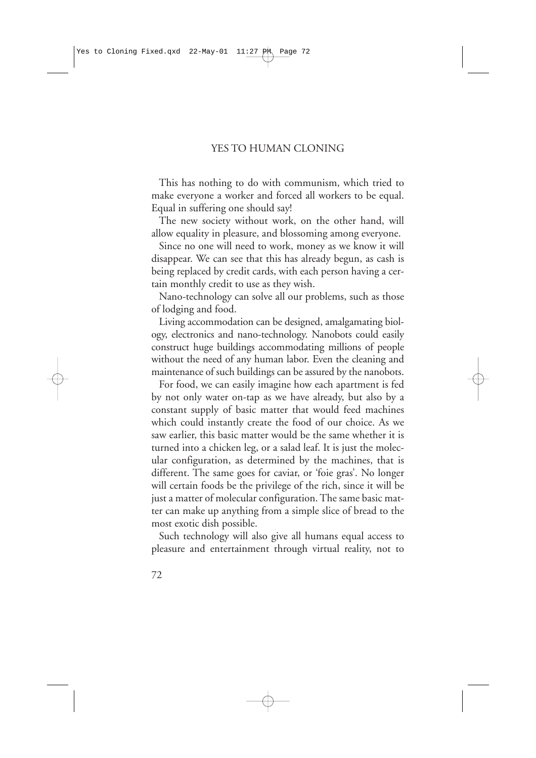This has nothing to do with communism, which tried to make everyone a worker and forced all workers to be equal. Equal in suffering one should say!

The new society without work, on the other hand, will allow equality in pleasure, and blossoming among everyone.

Since no one will need to work, money as we know it will disappear. We can see that this has already begun, as cash is being replaced by credit cards, with each person having a certain monthly credit to use as they wish.

Nano-technology can solve all our problems, such as those of lodging and food.

Living accommodation can be designed, amalgamating biology, electronics and nano-technology. Nanobots could easily construct huge buildings accommodating millions of people without the need of any human labor. Even the cleaning and maintenance of such buildings can be assured by the nanobots.

For food, we can easily imagine how each apartment is fed by not only water on-tap as we have already, but also by a constant supply of basic matter that would feed machines which could instantly create the food of our choice. As we saw earlier, this basic matter would be the same whether it is turned into a chicken leg, or a salad leaf. It is just the molecular configuration, as determined by the machines, that is different. The same goes for caviar, or 'foie gras'. No longer will certain foods be the privilege of the rich, since it will be just a matter of molecular configuration. The same basic matter can make up anything from a simple slice of bread to the most exotic dish possible.

Such technology will also give all humans equal access to pleasure and entertainment through virtual reality, not to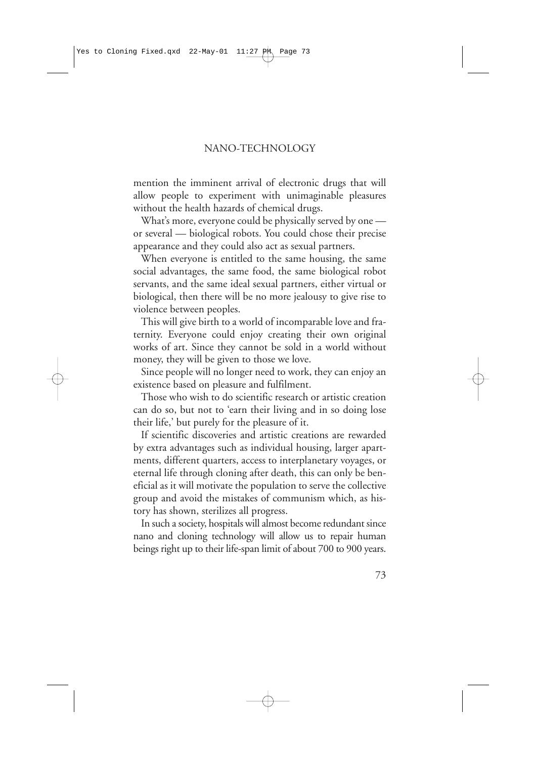mention the imminent arrival of electronic drugs that will allow people to experiment with unimaginable pleasures without the health hazards of chemical drugs.

What's more, everyone could be physically served by one or several — biological robots. You could chose their precise appearance and they could also act as sexual partners.

When everyone is entitled to the same housing, the same social advantages, the same food, the same biological robot servants, and the same ideal sexual partners, either virtual or biological, then there will be no more jealousy to give rise to violence between peoples.

This will give birth to a world of incomparable love and fraternity. Everyone could enjoy creating their own original works of art. Since they cannot be sold in a world without money, they will be given to those we love.

Since people will no longer need to work, they can enjoy an existence based on pleasure and fulfilment.

Those who wish to do scientific research or artistic creation can do so, but not to 'earn their living and in so doing lose their life,' but purely for the pleasure of it.

If scientific discoveries and artistic creations are rewarded by extra advantages such as individual housing, larger apartments, different quarters, access to interplanetary voyages, or eternal life through cloning after death, this can only be beneficial as it will motivate the population to serve the collective group and avoid the mistakes of communism which, as history has shown, sterilizes all progress.

In such a society, hospitals will almost become redundant since nano and cloning technology will allow us to repair human beings right up to their life-span limit of about 700 to 900 years.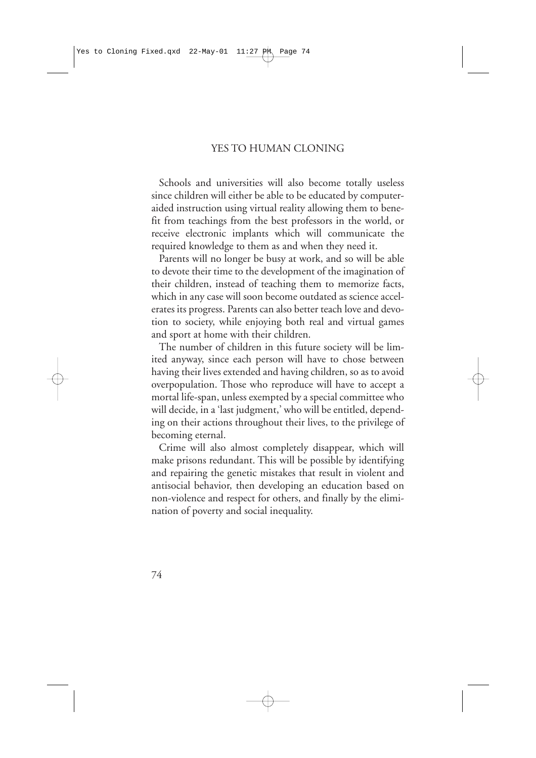Schools and universities will also become totally useless since children will either be able to be educated by computeraided instruction using virtual reality allowing them to benefit from teachings from the best professors in the world, or receive electronic implants which will communicate the required knowledge to them as and when they need it.

Parents will no longer be busy at work, and so will be able to devote their time to the development of the imagination of their children, instead of teaching them to memorize facts, which in any case will soon become outdated as science accelerates its progress. Parents can also better teach love and devotion to society, while enjoying both real and virtual games and sport at home with their children.

The number of children in this future society will be limited anyway, since each person will have to chose between having their lives extended and having children, so as to avoid overpopulation. Those who reproduce will have to accept a mortal life-span, unless exempted by a special committee who will decide, in a 'last judgment,' who will be entitled, depending on their actions throughout their lives, to the privilege of becoming eternal.

Crime will also almost completely disappear, which will make prisons redundant. This will be possible by identifying and repairing the genetic mistakes that result in violent and antisocial behavior, then developing an education based on non-violence and respect for others, and finally by the elimination of poverty and social inequality.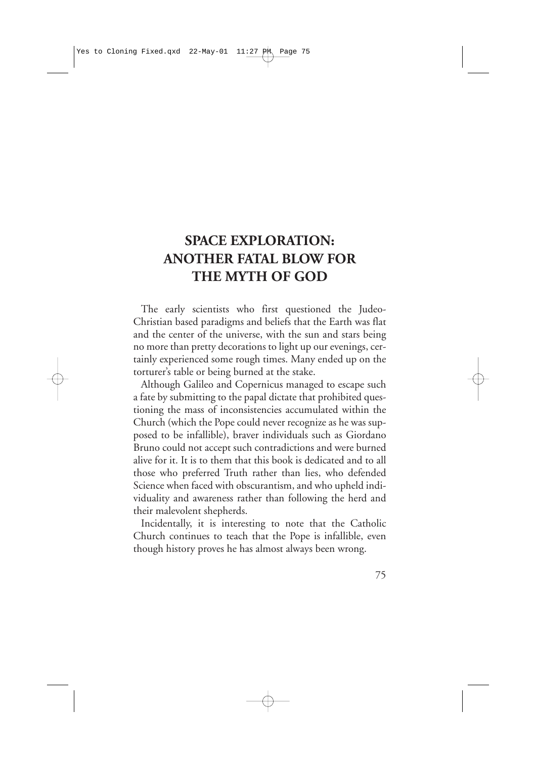# **SPACE EXPLORATION: ANOTHER FATAL BLOW FOR THE MYTH OF GOD**

The early scientists who first questioned the Judeo-Christian based paradigms and beliefs that the Earth was flat and the center of the universe, with the sun and stars being no more than pretty decorations to light up our evenings, certainly experienced some rough times. Many ended up on the torturer's table or being burned at the stake.

Although Galileo and Copernicus managed to escape such a fate by submitting to the papal dictate that prohibited questioning the mass of inconsistencies accumulated within the Church (which the Pope could never recognize as he was supposed to be infallible), braver individuals such as Giordano Bruno could not accept such contradictions and were burned alive for it. It is to them that this book is dedicated and to all those who preferred Truth rather than lies, who defended Science when faced with obscurantism, and who upheld individuality and awareness rather than following the herd and their malevolent shepherds.

Incidentally, it is interesting to note that the Catholic Church continues to teach that the Pope is infallible, even though history proves he has almost always been wrong.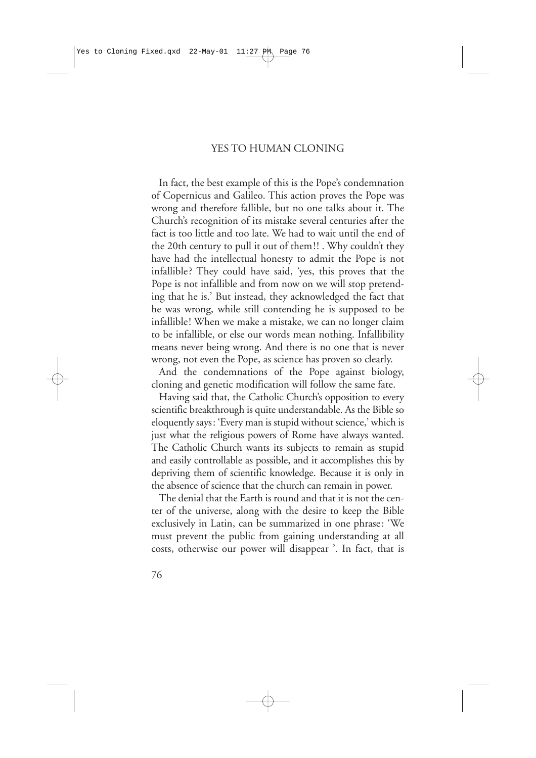In fact, the best example of this is the Pope's condemnation of Copernicus and Galileo. This action proves the Pope was wrong and therefore fallible, but no one talks about it. The Church's recognition of its mistake several centuries after the fact is too little and too late. We had to wait until the end of the 20th century to pull it out of them!! . Why couldn't they have had the intellectual honesty to admit the Pope is not infallible? They could have said, 'yes, this proves that the Pope is not infallible and from now on we will stop pretending that he is.' But instead, they acknowledged the fact that he was wrong, while still contending he is supposed to be infallible! When we make a mistake, we can no longer claim to be infallible, or else our words mean nothing. Infallibility means never being wrong. And there is no one that is never wrong, not even the Pope, as science has proven so clearly.

And the condemnations of the Pope against biology, cloning and genetic modification will follow the same fate.

Having said that, the Catholic Church's opposition to every scientific breakthrough is quite understandable. As the Bible so eloquently says: 'Every man is stupid without science,' which is just what the religious powers of Rome have always wanted. The Catholic Church wants its subjects to remain as stupid and easily controllable as possible, and it accomplishes this by depriving them of scientific knowledge. Because it is only in the absence of science that the church can remain in power.

The denial that the Earth is round and that it is not the center of the universe, along with the desire to keep the Bible exclusively in Latin, can be summarized in one phrase: 'We must prevent the public from gaining understanding at all costs, otherwise our power will disappear '. In fact, that is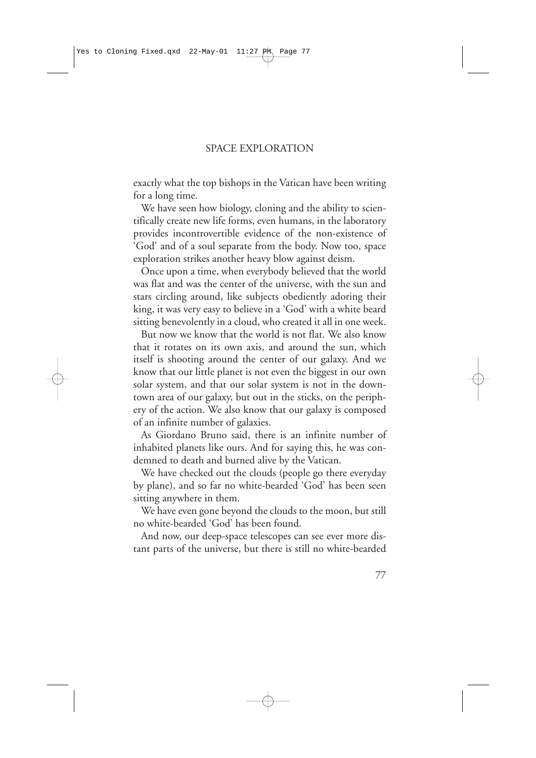#### SPACE EXPLORATION

exactly what the top bishops in the Vatican have been writing for a long time.

We have seen how biology, cloning and the ability to scientifically create new life forms, even humans, in the laboratory provides incontrovertible evidence of the non-existence of 'God' and of a soul separate from the body. Now too, space exploration strikes another heavy blow against deism.

Once upon a time, when everybody believed that the world was flat and was the center of the universe, with the sun and stars circling around, like subjects obediently adoring their king, it was very easy to believe in a 'God' with a white beard sitting benevolently in a cloud, who created it all in one week.

But now we know that the world is not flat. We also know that it rotates on its own axis, and around the sun, which itself is shooting around the center of our galaxy. And we know that our little planet is not even the biggest in our own solar system, and that our solar system is not in the downtown area of our galaxy, but out in the sticks, on the periphery of the action. We also know that our galaxy is composed of an infinite number of galaxies.

As Giordano Bruno said, there is an infinite number of inhabited planets like ours. And for saying this, he was condemned to death and burned alive by the Vatican.

We have checked out the clouds (people go there everyday by plane), and so far no white-bearded 'God' has been seen sitting anywhere in them.

We have even gone beyond the clouds to the moon, but still no white-bearded 'God' has been found.

And now, our deep-space telescopes can see ever more distant parts of the universe, but there is still no white-bearded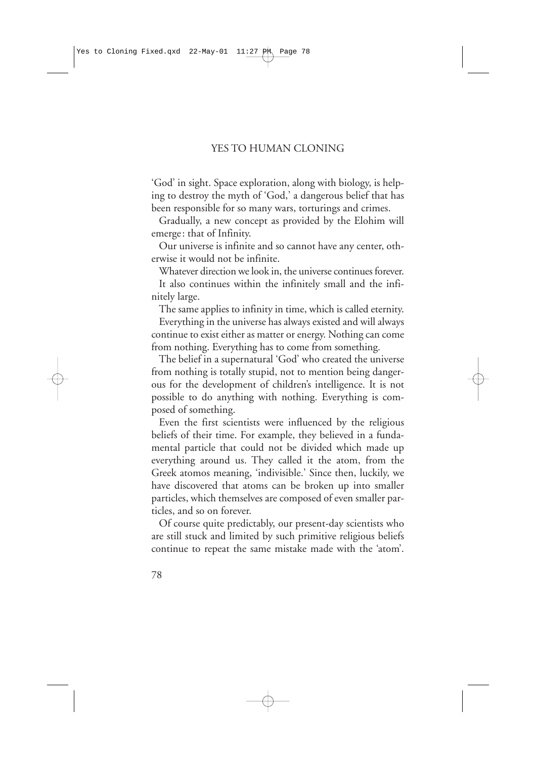'God' in sight. Space exploration, along with biology, is helping to destroy the myth of 'God,' a dangerous belief that has been responsible for so many wars, torturings and crimes.

Gradually, a new concept as provided by the Elohim will emerge: that of Infinity.

Our universe is infinite and so cannot have any center, otherwise it would not be infinite.

Whatever direction we look in, the universe continues forever.

It also continues within the infinitely small and the infinitely large.

The same applies to infinity in time, which is called eternity. Everything in the universe has always existed and will always continue to exist either as matter or energy. Nothing can come from nothing. Everything has to come from something.

The belief in a supernatural 'God' who created the universe from nothing is totally stupid, not to mention being dangerous for the development of children's intelligence. It is not possible to do anything with nothing. Everything is composed of something.

Even the first scientists were influenced by the religious beliefs of their time. For example, they believed in a fundamental particle that could not be divided which made up everything around us. They called it the atom, from the Greek atomos meaning, 'indivisible.' Since then, luckily, we have discovered that atoms can be broken up into smaller particles, which themselves are composed of even smaller particles, and so on forever.

Of course quite predictably, our present-day scientists who are still stuck and limited by such primitive religious beliefs continue to repeat the same mistake made with the 'atom'.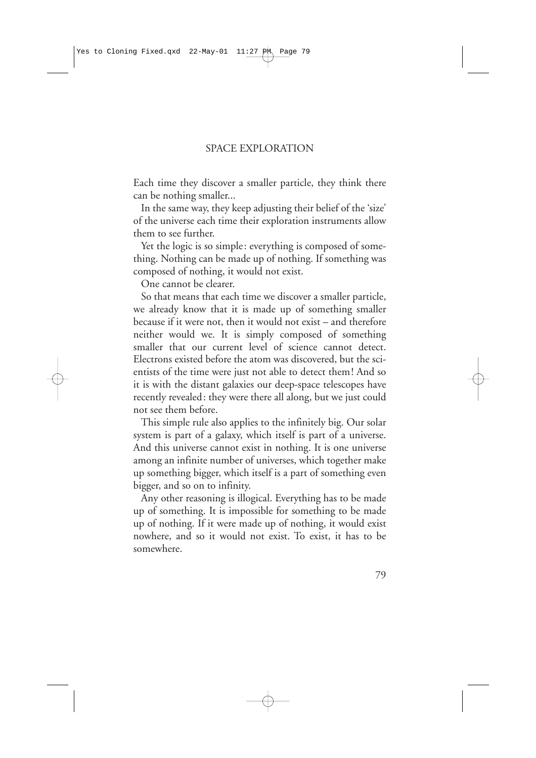Each time they discover a smaller particle, they think there can be nothing smaller...

In the same way, they keep adjusting their belief of the 'size' of the universe each time their exploration instruments allow them to see further.

Yet the logic is so simple: everything is composed of something. Nothing can be made up of nothing. If something was composed of nothing, it would not exist.

One cannot be clearer.

So that means that each time we discover a smaller particle, we already know that it is made up of something smaller because if it were not, then it would not exist – and therefore neither would we. It is simply composed of something smaller that our current level of science cannot detect. Electrons existed before the atom was discovered, but the scientists of the time were just not able to detect them! And so it is with the distant galaxies our deep-space telescopes have recently revealed: they were there all along, but we just could not see them before.

This simple rule also applies to the infinitely big. Our solar system is part of a galaxy, which itself is part of a universe. And this universe cannot exist in nothing. It is one universe among an infinite number of universes, which together make up something bigger, which itself is a part of something even bigger, and so on to infinity.

Any other reasoning is illogical. Everything has to be made up of something. It is impossible for something to be made up of nothing. If it were made up of nothing, it would exist nowhere, and so it would not exist. To exist, it has to be somewhere.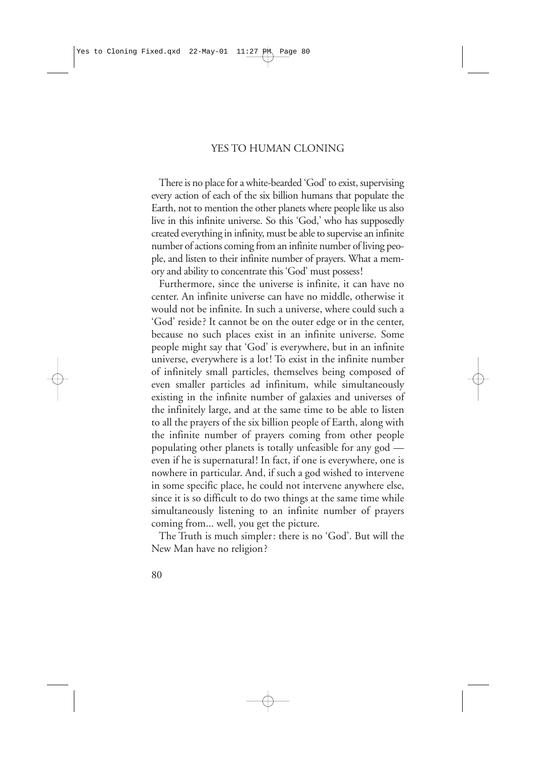There is no place for a white-bearded 'God' to exist, supervising every action of each of the six billion humans that populate the Earth, not to mention the other planets where people like us also live in this infinite universe. So this 'God,' who has supposedly created everything in infinity, must be able to supervise an infinite number of actions coming from an infinite number of living people, and listen to their infinite number of prayers. What a memory and ability to concentrate this 'God' must possess!

Furthermore, since the universe is infinite, it can have no center. An infinite universe can have no middle, otherwise it would not be infinite. In such a universe, where could such a 'God' reside? It cannot be on the outer edge or in the center, because no such places exist in an infinite universe. Some people might say that 'God' is everywhere, but in an infinite universe, everywhere is a lot! To exist in the infinite number of infinitely small particles, themselves being composed of even smaller particles ad infinitum, while simultaneously existing in the infinite number of galaxies and universes of the infinitely large, and at the same time to be able to listen to all the prayers of the six billion people of Earth, along with the infinite number of prayers coming from other people populating other planets is totally unfeasible for any god even if he is supernatural! In fact, if one is everywhere, one is nowhere in particular. And, if such a god wished to intervene in some specific place, he could not intervene anywhere else, since it is so difficult to do two things at the same time while simultaneously listening to an infinite number of prayers coming from... well, you get the picture.

The Truth is much simpler: there is no 'God'. But will the New Man have no religion?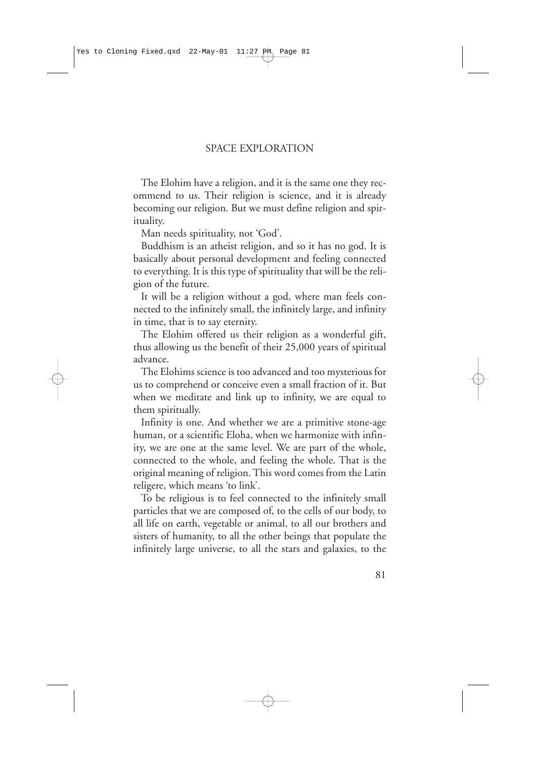The Elohim have a religion, and it is the same one they recommend to us. Their religion is science, and it is already becoming our religion. But we must define religion and spirituality.

Man needs spirituality, not 'God'.

Buddhism is an atheist religion, and so it has no god. It is basically about personal development and feeling connected to everything. It is this type of spirituality that will be the religion of the future.

It will be a religion without a god, where man feels connected to the infinitely small, the infinitely large, and infinity in time, that is to say eternity.

The Elohim offered us their religion as a wonderful gift, thus allowing us the benefit of their 25,000 years of spiritual advance.

The Elohims science is too advanced and too mysterious for us to comprehend or conceive even a small fraction of it. But when we meditate and link up to infinity, we are equal to them spiritually.

Infinity is one. And whether we are a primitive stone-age human, or a scientific Eloha, when we harmonize with infinity, we are one at the same level. We are part of the whole, connected to the whole, and feeling the whole. That is the original meaning of religion. This word comes from the Latin religere, which means 'to link'.

To be religious is to feel connected to the infinitely small particles that we are composed of, to the cells of our body, to all life on earth, vegetable or animal, to all our brothers and sisters of humanity, to all the other beings that populate the infinitely large universe, to all the stars and galaxies, to the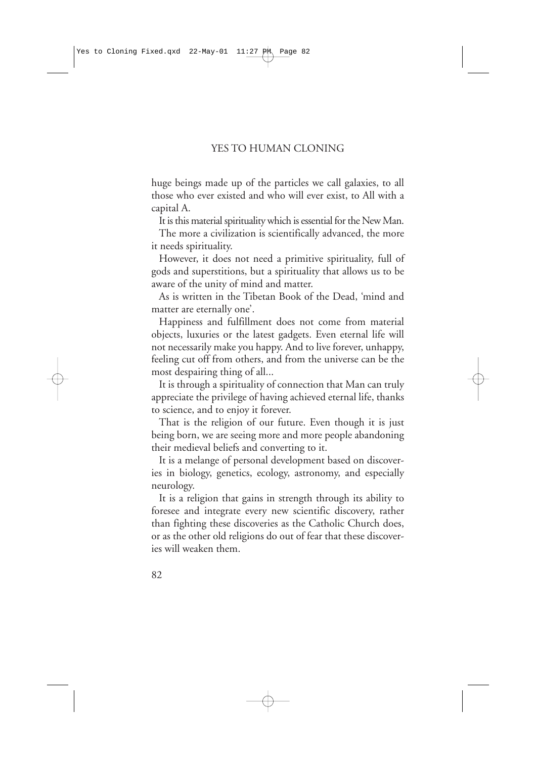huge beings made up of the particles we call galaxies, to all those who ever existed and who will ever exist, to All with a capital A.

It is this material spirituality which is essential for the New Man.

The more a civilization is scientifically advanced, the more it needs spirituality.

However, it does not need a primitive spirituality, full of gods and superstitions, but a spirituality that allows us to be aware of the unity of mind and matter.

As is written in the Tibetan Book of the Dead, 'mind and matter are eternally one'.

Happiness and fulfillment does not come from material objects, luxuries or the latest gadgets. Even eternal life will not necessarily make you happy. And to live forever, unhappy, feeling cut off from others, and from the universe can be the most despairing thing of all...

It is through a spirituality of connection that Man can truly appreciate the privilege of having achieved eternal life, thanks to science, and to enjoy it forever.

That is the religion of our future. Even though it is just being born, we are seeing more and more people abandoning their medieval beliefs and converting to it.

It is a melange of personal development based on discoveries in biology, genetics, ecology, astronomy, and especially neurology.

It is a religion that gains in strength through its ability to foresee and integrate every new scientific discovery, rather than fighting these discoveries as the Catholic Church does, or as the other old religions do out of fear that these discoveries will weaken them.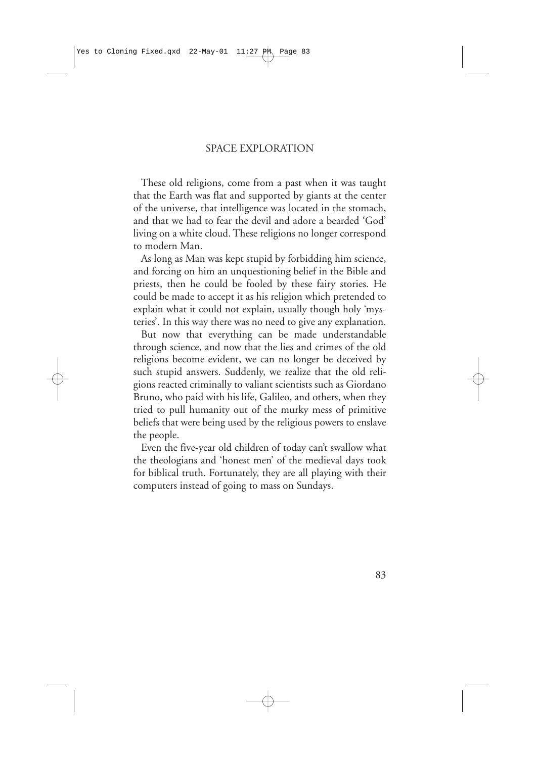#### SPACE EXPLORATION

These old religions, come from a past when it was taught that the Earth was flat and supported by giants at the center of the universe, that intelligence was located in the stomach, and that we had to fear the devil and adore a bearded 'God' living on a white cloud. These religions no longer correspond to modern Man.

As long as Man was kept stupid by forbidding him science, and forcing on him an unquestioning belief in the Bible and priests, then he could be fooled by these fairy stories. He could be made to accept it as his religion which pretended to explain what it could not explain, usually though holy 'mysteries'. In this way there was no need to give any explanation.

But now that everything can be made understandable through science, and now that the lies and crimes of the old religions become evident, we can no longer be deceived by such stupid answers. Suddenly, we realize that the old religions reacted criminally to valiant scientists such as Giordano Bruno, who paid with his life, Galileo, and others, when they tried to pull humanity out of the murky mess of primitive beliefs that were being used by the religious powers to enslave the people.

Even the five-year old children of today can't swallow what the theologians and 'honest men' of the medieval days took for biblical truth. Fortunately, they are all playing with their computers instead of going to mass on Sundays.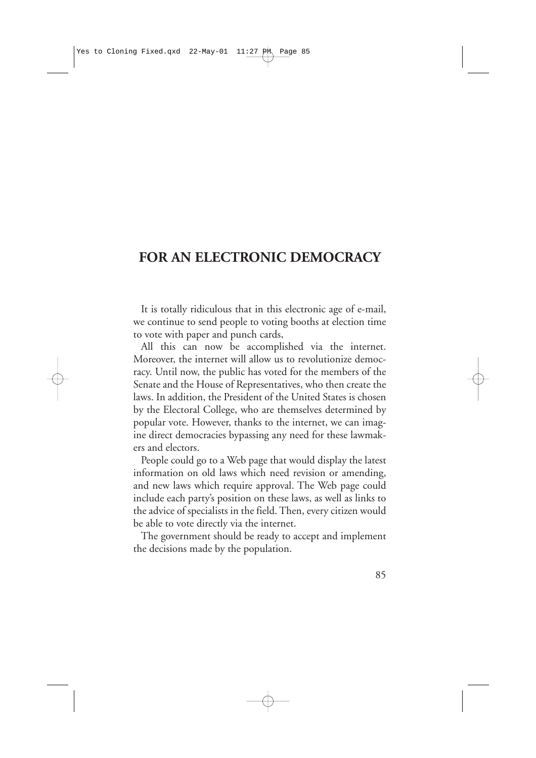# **FOR AN ELECTRONIC DEMOCRACY**

It is totally ridiculous that in this electronic age of e-mail, we continue to send people to voting booths at election time to vote with paper and punch cards,

All this can now be accomplished via the internet. Moreover, the internet will allow us to revolutionize democracy. Until now, the public has voted for the members of the Senate and the House of Representatives, who then create the laws. In addition, the President of the United States is chosen by the Electoral College, who are themselves determined by popular vote. However, thanks to the internet, we can imagine direct democracies bypassing any need for these lawmakers and electors.

People could go to a Web page that would display the latest information on old laws which need revision or amending, and new laws which require approval. The Web page could include each party's position on these laws, as well as links to the advice of specialists in the field. Then, every citizen would be able to vote directly via the internet.

The government should be ready to accept and implement the decisions made by the population.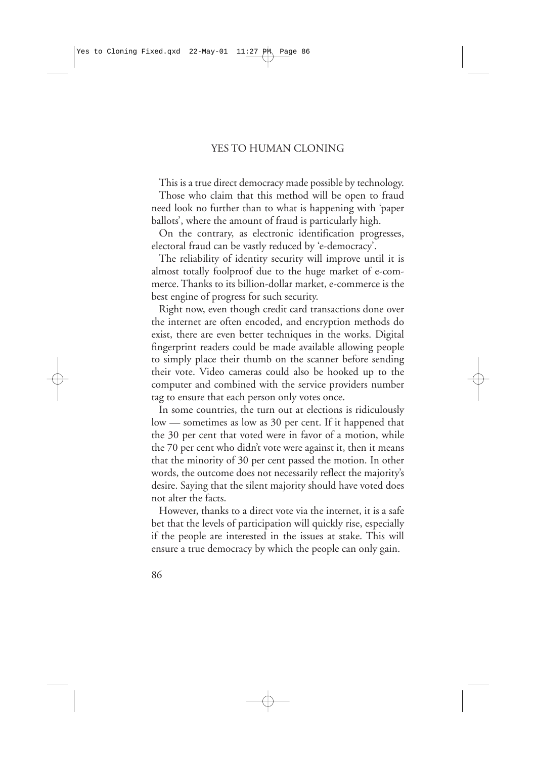This is a true direct democracy made possible by technology.

Those who claim that this method will be open to fraud need look no further than to what is happening with 'paper ballots', where the amount of fraud is particularly high.

On the contrary, as electronic identification progresses, electoral fraud can be vastly reduced by 'e-democracy'.

The reliability of identity security will improve until it is almost totally foolproof due to the huge market of e-commerce. Thanks to its billion-dollar market, e-commerce is the best engine of progress for such security.

Right now, even though credit card transactions done over the internet are often encoded, and encryption methods do exist, there are even better techniques in the works. Digital fingerprint readers could be made available allowing people to simply place their thumb on the scanner before sending their vote. Video cameras could also be hooked up to the computer and combined with the service providers number tag to ensure that each person only votes once.

In some countries, the turn out at elections is ridiculously low — sometimes as low as 30 per cent. If it happened that the 30 per cent that voted were in favor of a motion, while the 70 per cent who didn't vote were against it, then it means that the minority of 30 per cent passed the motion. In other words, the outcome does not necessarily reflect the majority's desire. Saying that the silent majority should have voted does not alter the facts.

However, thanks to a direct vote via the internet, it is a safe bet that the levels of participation will quickly rise, especially if the people are interested in the issues at stake. This will ensure a true democracy by which the people can only gain.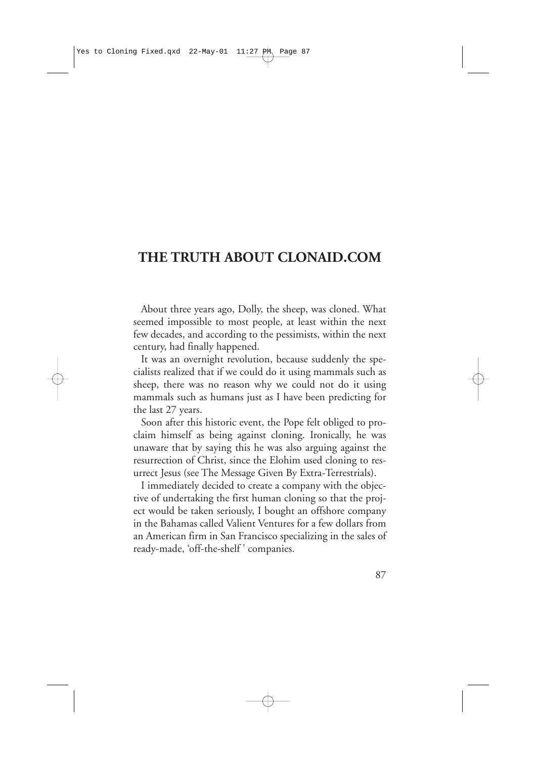### **THE TRUTH ABOUT CLONAID.COM**

About three years ago, Dolly, the sheep, was cloned. What seemed impossible to most people, at least within the next few decades, and according to the pessimists, within the next century, had finally happened.

It was an overnight revolution, because suddenly the specialists realized that if we could do it using mammals such as sheep, there was no reason why we could not do it using mammals such as humans just as I have been predicting for the last 27 years.

Soon after this historic event, the Pope felt obliged to proclaim himself as being against cloning. Ironically, he was unaware that by saying this he was also arguing against the resurrection of Christ, since the Elohim used cloning to resurrect Jesus (see The Message Given By Extra-Terrestrials).

I immediately decided to create a company with the objective of undertaking the first human cloning so that the project would be taken seriously, I bought an offshore company in the Bahamas called Valient Ventures for a few dollars from an American firm in San Francisco specializing in the sales of ready-made, 'off-the-shelf ' companies.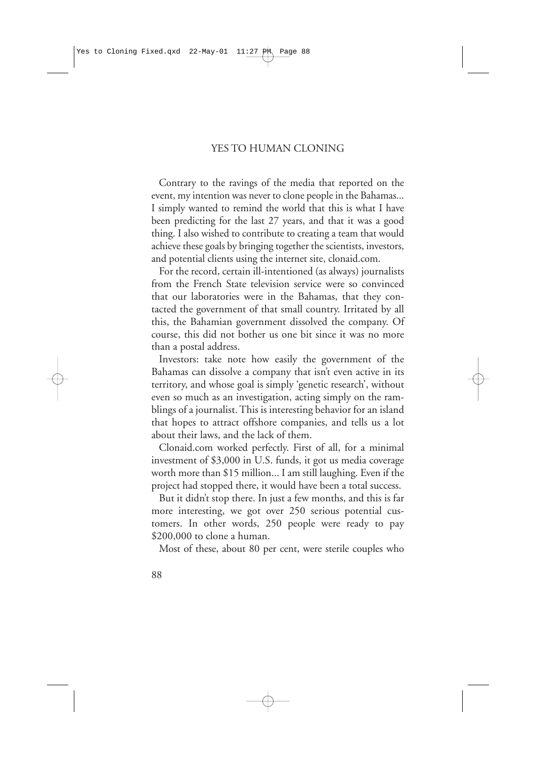Contrary to the ravings of the media that reported on the event, my intention was never to clone people in the Bahamas... I simply wanted to remind the world that this is what I have been predicting for the last 27 years, and that it was a good thing. I also wished to contribute to creating a team that would achieve these goals by bringing together the scientists, investors, and potential clients using the internet site, clonaid.com.

For the record, certain ill-intentioned (as always) journalists from the French State television service were so convinced that our laboratories were in the Bahamas, that they contacted the government of that small country. Irritated by all this, the Bahamian government dissolved the company. Of course, this did not bother us one bit since it was no more than a postal address.

Investors: take note how easily the government of the Bahamas can dissolve a company that isn't even active in its territory, and whose goal is simply 'genetic research', without even so much as an investigation, acting simply on the ramblings of a journalist. This is interesting behavior for an island that hopes to attract offshore companies, and tells us a lot about their laws, and the lack of them.

Clonaid.com worked perfectly. First of all, for a minimal investment of \$3,000 in U.S. funds, it got us media coverage worth more than \$15 million... I am still laughing. Even if the project had stopped there, it would have been a total success.

But it didn't stop there. In just a few months, and this is far more interesting, we got over 250 serious potential customers. In other words, 250 people were ready to pay \$200,000 to clone a human.

Most of these, about 80 per cent, were sterile couples who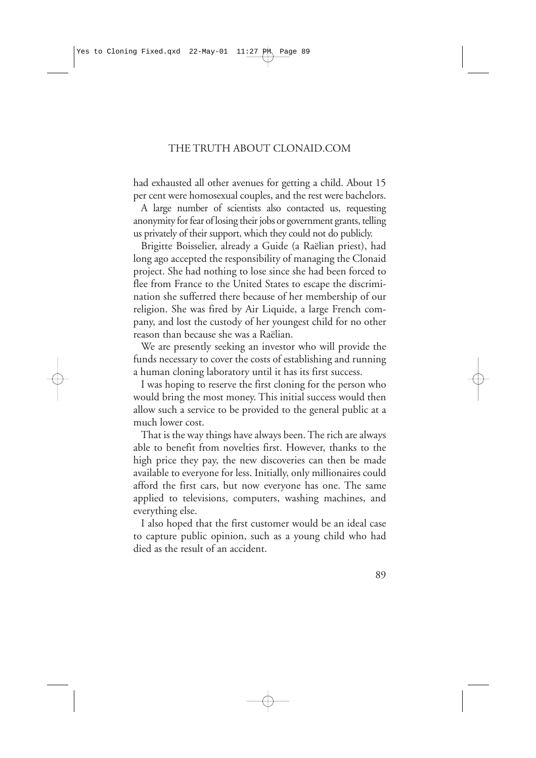had exhausted all other avenues for getting a child. About 15 per cent were homosexual couples, and the rest were bachelors.

A large number of scientists also contacted us, requesting anonymity for fear of losing their jobs or government grants, telling us privately of their support, which they could not do publicly.

Brigitte Boisselier, already a Guide (a Raëlian priest), had long ago accepted the responsibility of managing the Clonaid project. She had nothing to lose since she had been forced to flee from France to the United States to escape the discrimination she sufferred there because of her membership of our religion. She was fired by Air Liquide, a large French company, and lost the custody of her youngest child for no other reason than because she was a Raëlian.

We are presently seeking an investor who will provide the funds necessary to cover the costs of establishing and running a human cloning laboratory until it has its first success.

I was hoping to reserve the first cloning for the person who would bring the most money. This initial success would then allow such a service to be provided to the general public at a much lower cost.

That is the way things have always been. The rich are always able to benefit from novelties first. However, thanks to the high price they pay, the new discoveries can then be made available to everyone for less. Initially, only millionaires could afford the first cars, but now everyone has one. The same applied to televisions, computers, washing machines, and everything else.

I also hoped that the first customer would be an ideal case to capture public opinion, such as a young child who had died as the result of an accident.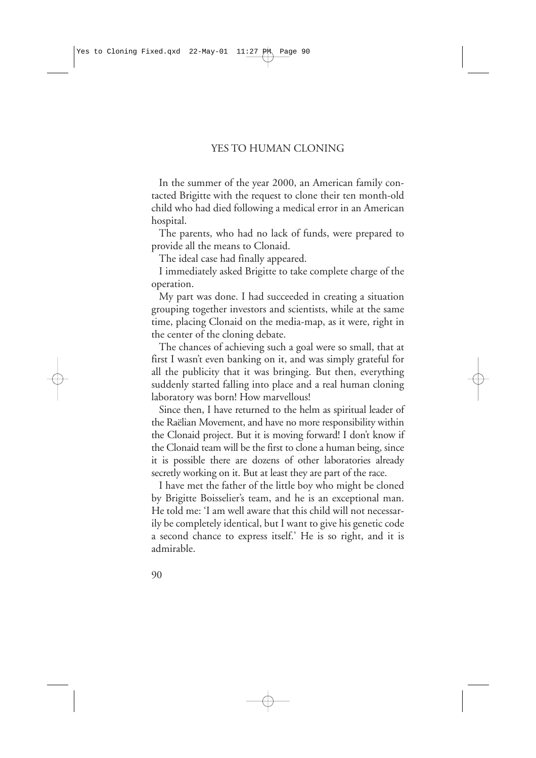In the summer of the year 2000, an American family contacted Brigitte with the request to clone their ten month-old child who had died following a medical error in an American hospital.

The parents, who had no lack of funds, were prepared to provide all the means to Clonaid.

The ideal case had finally appeared.

I immediately asked Brigitte to take complete charge of the operation.

My part was done. I had succeeded in creating a situation grouping together investors and scientists, while at the same time, placing Clonaid on the media-map, as it were, right in the center of the cloning debate.

The chances of achieving such a goal were so small, that at first I wasn't even banking on it, and was simply grateful for all the publicity that it was bringing. But then, everything suddenly started falling into place and a real human cloning laboratory was born! How marvellous!

Since then, I have returned to the helm as spiritual leader of the Raëlian Movement, and have no more responsibility within the Clonaid project. But it is moving forward! I don't know if the Clonaid team will be the first to clone a human being, since it is possible there are dozens of other laboratories already secretly working on it. But at least they are part of the race.

I have met the father of the little boy who might be cloned by Brigitte Boisselier's team, and he is an exceptional man. He told me: 'I am well aware that this child will not necessarily be completely identical, but I want to give his genetic code a second chance to express itself.' He is so right, and it is admirable.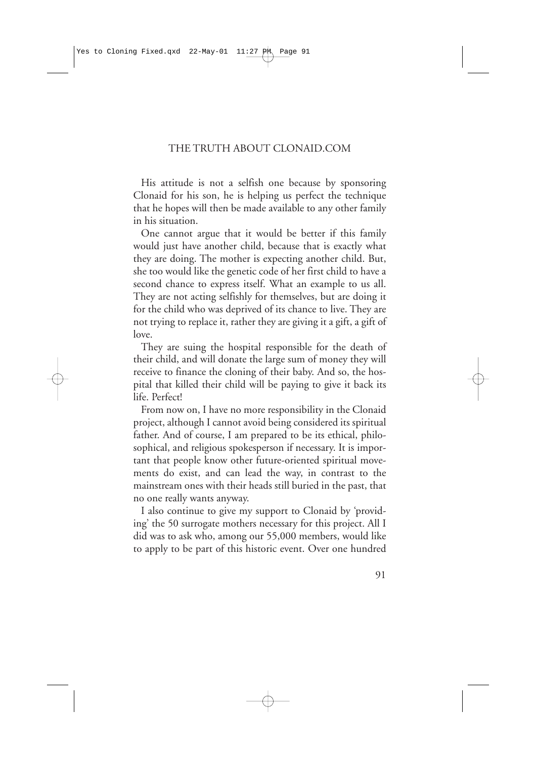His attitude is not a selfish one because by sponsoring Clonaid for his son, he is helping us perfect the technique that he hopes will then be made available to any other family in his situation.

One cannot argue that it would be better if this family would just have another child, because that is exactly what they are doing. The mother is expecting another child. But, she too would like the genetic code of her first child to have a second chance to express itself. What an example to us all. They are not acting selfishly for themselves, but are doing it for the child who was deprived of its chance to live. They are not trying to replace it, rather they are giving it a gift, a gift of love.

They are suing the hospital responsible for the death of their child, and will donate the large sum of money they will receive to finance the cloning of their baby. And so, the hospital that killed their child will be paying to give it back its life. Perfect!

From now on, I have no more responsibility in the Clonaid project, although I cannot avoid being considered its spiritual father. And of course, I am prepared to be its ethical, philosophical, and religious spokesperson if necessary. It is important that people know other future-oriented spiritual movements do exist, and can lead the way, in contrast to the mainstream ones with their heads still buried in the past, that no one really wants anyway.

I also continue to give my support to Clonaid by 'providing' the 50 surrogate mothers necessary for this project. All I did was to ask who, among our 55,000 members, would like to apply to be part of this historic event. Over one hundred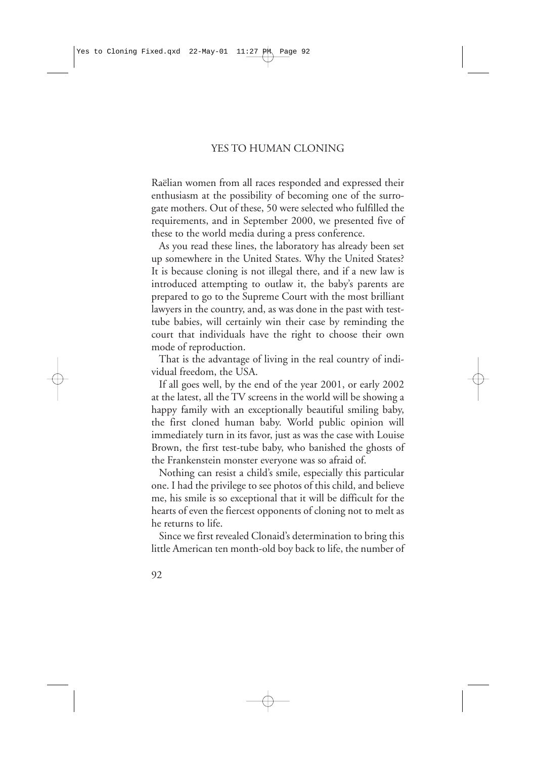Raëlian women from all races responded and expressed their enthusiasm at the possibility of becoming one of the surrogate mothers. Out of these, 50 were selected who fulfilled the requirements, and in September 2000, we presented five of these to the world media during a press conference.

As you read these lines, the laboratory has already been set up somewhere in the United States. Why the United States? It is because cloning is not illegal there, and if a new law is introduced attempting to outlaw it, the baby's parents are prepared to go to the Supreme Court with the most brilliant lawyers in the country, and, as was done in the past with testtube babies, will certainly win their case by reminding the court that individuals have the right to choose their own mode of reproduction.

That is the advantage of living in the real country of individual freedom, the USA.

If all goes well, by the end of the year 2001, or early 2002 at the latest, all the TV screens in the world will be showing a happy family with an exceptionally beautiful smiling baby, the first cloned human baby. World public opinion will immediately turn in its favor, just as was the case with Louise Brown, the first test-tube baby, who banished the ghosts of the Frankenstein monster everyone was so afraid of.

Nothing can resist a child's smile, especially this particular one. I had the privilege to see photos of this child, and believe me, his smile is so exceptional that it will be difficult for the hearts of even the fiercest opponents of cloning not to melt as he returns to life.

Since we first revealed Clonaid's determination to bring this little American ten month-old boy back to life, the number of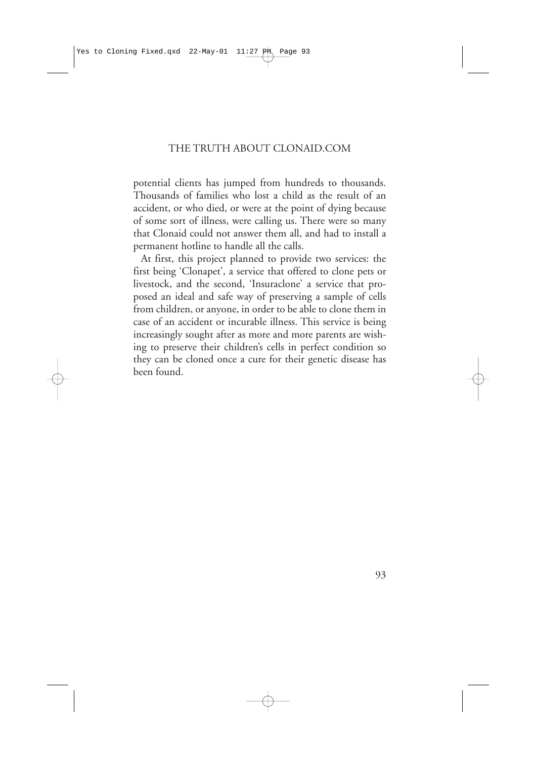potential clients has jumped from hundreds to thousands. Thousands of families who lost a child as the result of an accident, or who died, or were at the point of dying because of some sort of illness, were calling us. There were so many that Clonaid could not answer them all, and had to install a permanent hotline to handle all the calls.

At first, this project planned to provide two services: the first being 'Clonapet', a service that offered to clone pets or livestock, and the second, 'Insuraclone' a service that proposed an ideal and safe way of preserving a sample of cells from children, or anyone, in order to be able to clone them in case of an accident or incurable illness. This service is being increasingly sought after as more and more parents are wishing to preserve their children's cells in perfect condition so they can be cloned once a cure for their genetic disease has been found.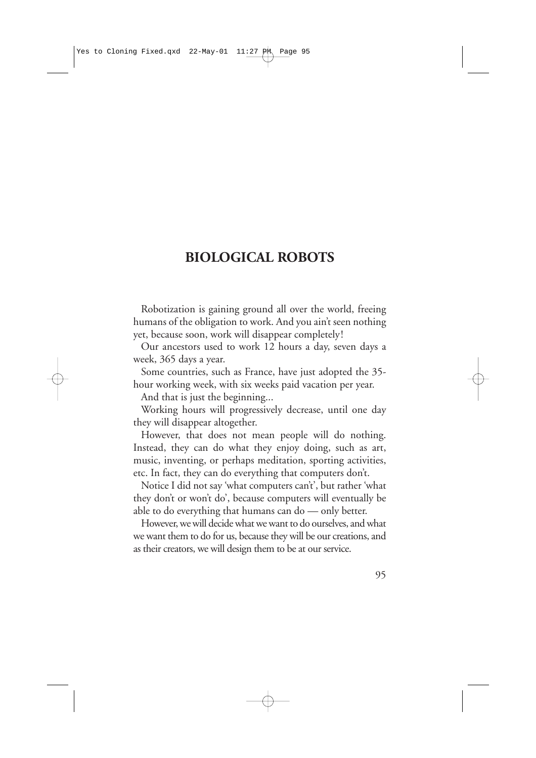### **BIOLOGICAL ROBOTS**

Robotization is gaining ground all over the world, freeing humans of the obligation to work. And you ain't seen nothing yet, because soon, work will disappear completely!

Our ancestors used to work 12 hours a day, seven days a week, 365 days a year.

Some countries, such as France, have just adopted the 35 hour working week, with six weeks paid vacation per year.

And that is just the beginning...

Working hours will progressively decrease, until one day they will disappear altogether.

However, that does not mean people will do nothing. Instead, they can do what they enjoy doing, such as art, music, inventing, or perhaps meditation, sporting activities, etc. In fact, they can do everything that computers don't.

Notice I did not say 'what computers can't', but rather 'what they don't or won't do', because computers will eventually be able to do everything that humans can do — only better.

However, we will decide what we want to do ourselves, and what we want them to do for us, because they will be our creations, and as their creators, we will design them to be at our service.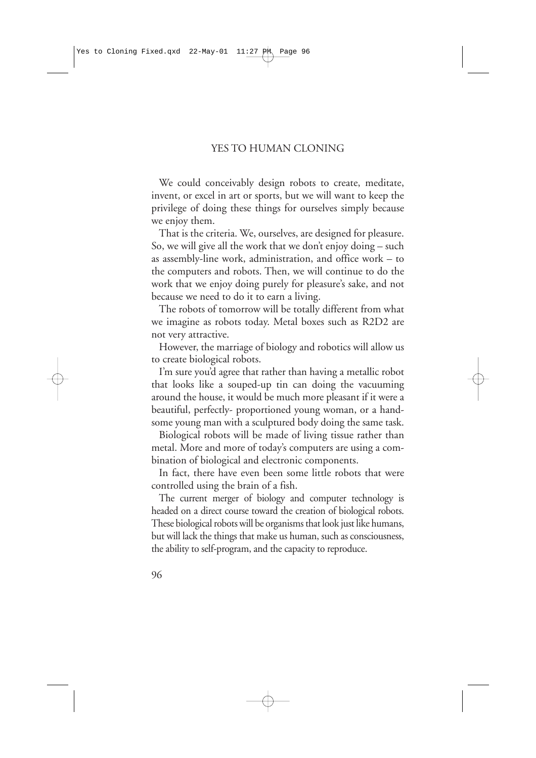We could conceivably design robots to create, meditate, invent, or excel in art or sports, but we will want to keep the privilege of doing these things for ourselves simply because we enjoy them.

That is the criteria. We, ourselves, are designed for pleasure. So, we will give all the work that we don't enjoy doing – such as assembly-line work, administration, and office work – to the computers and robots. Then, we will continue to do the work that we enjoy doing purely for pleasure's sake, and not because we need to do it to earn a living.

The robots of tomorrow will be totally different from what we imagine as robots today. Metal boxes such as R2D2 are not very attractive.

However, the marriage of biology and robotics will allow us to create biological robots.

I'm sure you'd agree that rather than having a metallic robot that looks like a souped-up tin can doing the vacuuming around the house, it would be much more pleasant if it were a beautiful, perfectly- proportioned young woman, or a handsome young man with a sculptured body doing the same task.

Biological robots will be made of living tissue rather than metal. More and more of today's computers are using a combination of biological and electronic components.

In fact, there have even been some little robots that were controlled using the brain of a fish.

The current merger of biology and computer technology is headed on a direct course toward the creation of biological robots. These biological robots will be organisms that look just like humans, but will lack the things that make us human, such as consciousness, the ability to self-program, and the capacity to reproduce.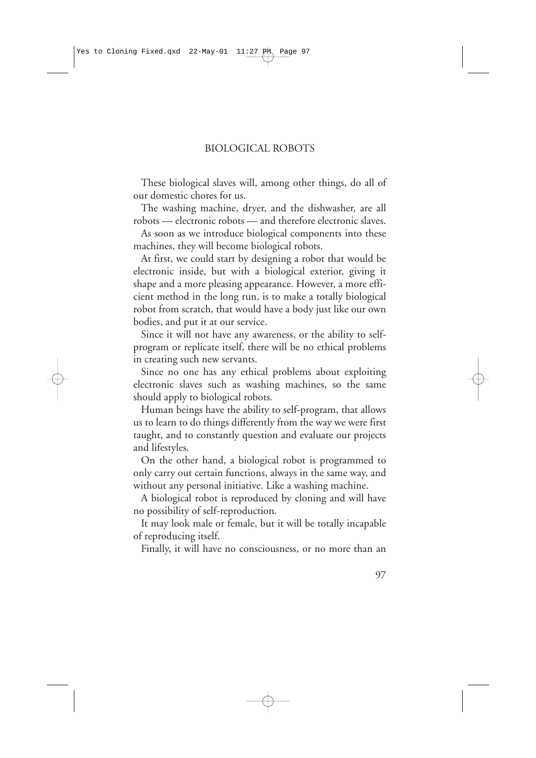These biological slaves will, among other things, do all of our domestic chores for us.

The washing machine, dryer, and the dishwasher, are all robots — electronic robots — and therefore electronic slaves.

As soon as we introduce biological components into these machines, they will become biological robots.

At first, we could start by designing a robot that would be electronic inside, but with a biological exterior, giving it shape and a more pleasing appearance. However, a more efficient method in the long run, is to make a totally biological robot from scratch, that would have a body just like our own bodies, and put it at our service.

Since it will not have any awareness, or the ability to selfprogram or replicate itself, there will be no ethical problems in creating such new servants.

Since no one has any ethical problems about exploiting electronic slaves such as washing machines, so the same should apply to biological robots.

Human beings have the ability to self-program, that allows us to learn to do things differently from the way we were first taught, and to constantly question and evaluate our projects and lifestyles.

On the other hand, a biological robot is programmed to only carry out certain functions, always in the same way, and without any personal initiative. Like a washing machine.

A biological robot is reproduced by cloning and will have no possibility of self-reproduction.

It may look male or female, but it will be totally incapable of reproducing itself.

Finally, it will have no consciousness, or no more than an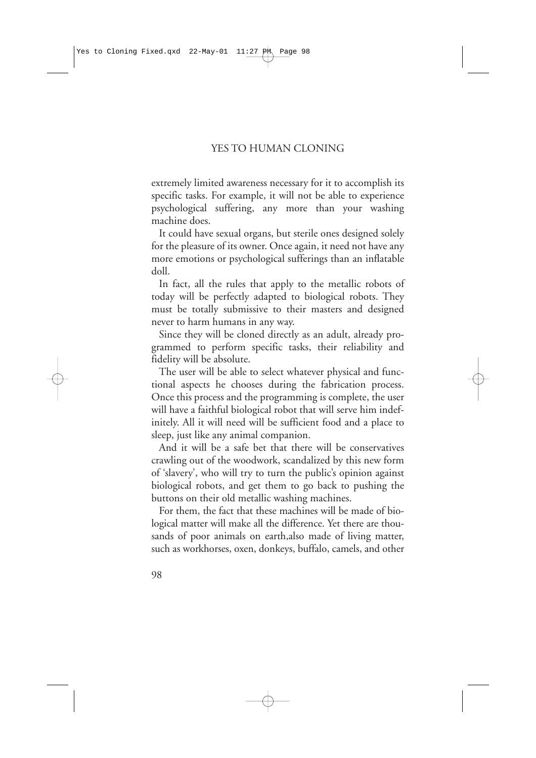extremely limited awareness necessary for it to accomplish its specific tasks. For example, it will not be able to experience psychological suffering, any more than your washing machine does.

It could have sexual organs, but sterile ones designed solely for the pleasure of its owner. Once again, it need not have any more emotions or psychological sufferings than an inflatable doll.

In fact, all the rules that apply to the metallic robots of today will be perfectly adapted to biological robots. They must be totally submissive to their masters and designed never to harm humans in any way.

Since they will be cloned directly as an adult, already programmed to perform specific tasks, their reliability and fidelity will be absolute.

The user will be able to select whatever physical and functional aspects he chooses during the fabrication process. Once this process and the programming is complete, the user will have a faithful biological robot that will serve him indefinitely. All it will need will be sufficient food and a place to sleep, just like any animal companion.

And it will be a safe bet that there will be conservatives crawling out of the woodwork, scandalized by this new form of 'slavery', who will try to turn the public's opinion against biological robots, and get them to go back to pushing the buttons on their old metallic washing machines.

For them, the fact that these machines will be made of biological matter will make all the difference. Yet there are thousands of poor animals on earth,also made of living matter, such as workhorses, oxen, donkeys, buffalo, camels, and other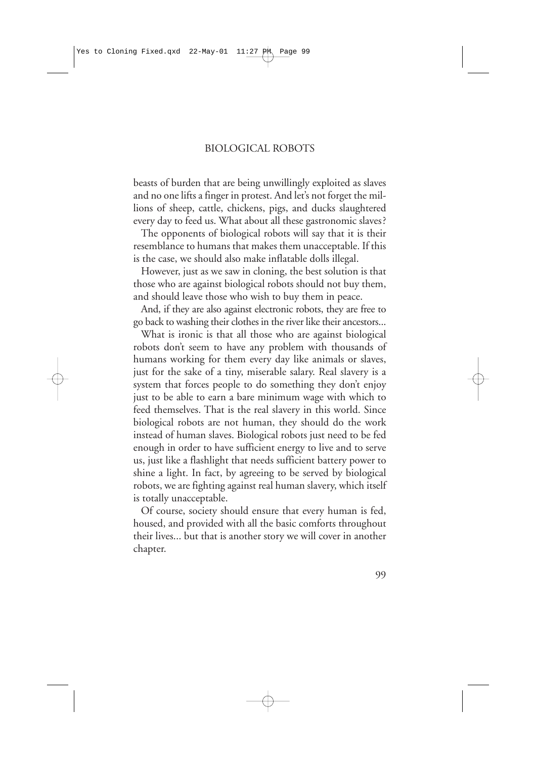#### BIOLOGICAL ROBOTS

beasts of burden that are being unwillingly exploited as slaves and no one lifts a finger in protest. And let's not forget the millions of sheep, cattle, chickens, pigs, and ducks slaughtered every day to feed us. What about all these gastronomic slaves?

The opponents of biological robots will say that it is their resemblance to humans that makes them unacceptable. If this is the case, we should also make inflatable dolls illegal.

However, just as we saw in cloning, the best solution is that those who are against biological robots should not buy them, and should leave those who wish to buy them in peace.

And, if they are also against electronic robots, they are free to go back to washing their clothes in the river like their ancestors...

What is ironic is that all those who are against biological robots don't seem to have any problem with thousands of humans working for them every day like animals or slaves, just for the sake of a tiny, miserable salary. Real slavery is a system that forces people to do something they don't enjoy just to be able to earn a bare minimum wage with which to feed themselves. That is the real slavery in this world. Since biological robots are not human, they should do the work instead of human slaves. Biological robots just need to be fed enough in order to have sufficient energy to live and to serve us, just like a flashlight that needs sufficient battery power to shine a light. In fact, by agreeing to be served by biological robots, we are fighting against real human slavery, which itself is totally unacceptable.

Of course, society should ensure that every human is fed, housed, and provided with all the basic comforts throughout their lives... but that is another story we will cover in another chapter.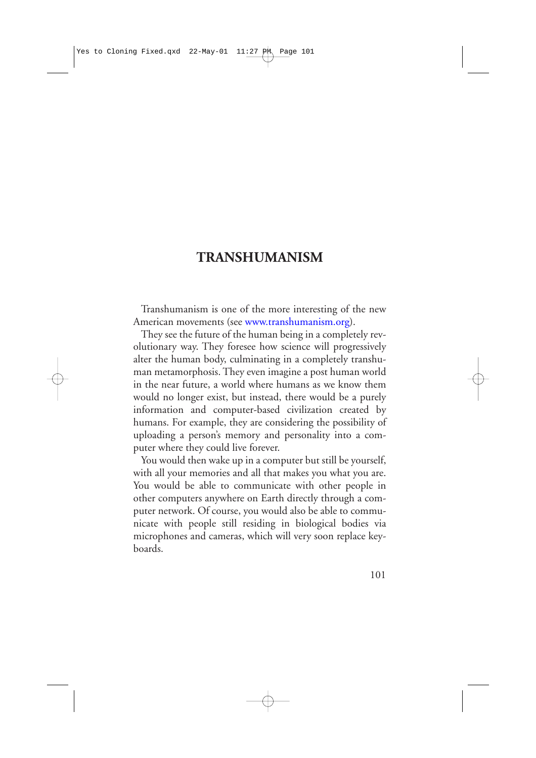# **TRANSHUMANISM**

Transhumanism is one of the more interesting of the new American movements (see [www.transhumanism.org\)](http://www.transhumanism.org).

They see the future of the human being in a completely revolutionary way. They foresee how science will progressively alter the human body, culminating in a completely transhuman metamorphosis. They even imagine a post human world in the near future, a world where humans as we know them would no longer exist, but instead, there would be a purely information and computer-based civilization created by humans. For example, they are considering the possibility of uploading a person's memory and personality into a computer where they could live forever.

You would then wake up in a computer but still be yourself, with all your memories and all that makes you what you are. You would be able to communicate with other people in other computers anywhere on Earth directly through a computer network. Of course, you would also be able to communicate with people still residing in biological bodies via microphones and cameras, which will very soon replace keyboards.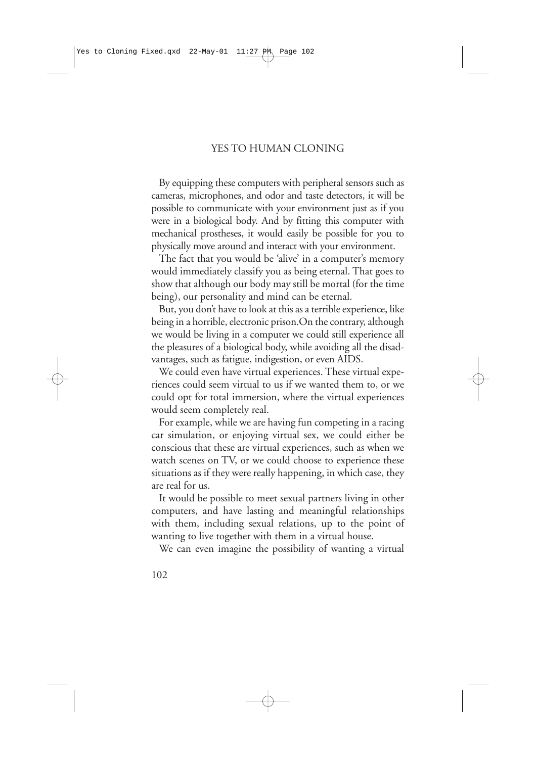By equipping these computers with peripheral sensors such as cameras, microphones, and odor and taste detectors, it will be possible to communicate with your environment just as if you were in a biological body. And by fitting this computer with mechanical prostheses, it would easily be possible for you to physically move around and interact with your environment.

The fact that you would be 'alive' in a computer's memory would immediately classify you as being eternal. That goes to show that although our body may still be mortal (for the time being), our personality and mind can be eternal.

But, you don't have to look at this as a terrible experience, like being in a horrible, electronic prison.On the contrary, although we would be living in a computer we could still experience all the pleasures of a biological body, while avoiding all the disadvantages, such as fatigue, indigestion, or even AIDS.

We could even have virtual experiences. These virtual experiences could seem virtual to us if we wanted them to, or we could opt for total immersion, where the virtual experiences would seem completely real.

For example, while we are having fun competing in a racing car simulation, or enjoying virtual sex, we could either be conscious that these are virtual experiences, such as when we watch scenes on TV, or we could choose to experience these situations as if they were really happening, in which case, they are real for us.

It would be possible to meet sexual partners living in other computers, and have lasting and meaningful relationships with them, including sexual relations, up to the point of wanting to live together with them in a virtual house.

We can even imagine the possibility of wanting a virtual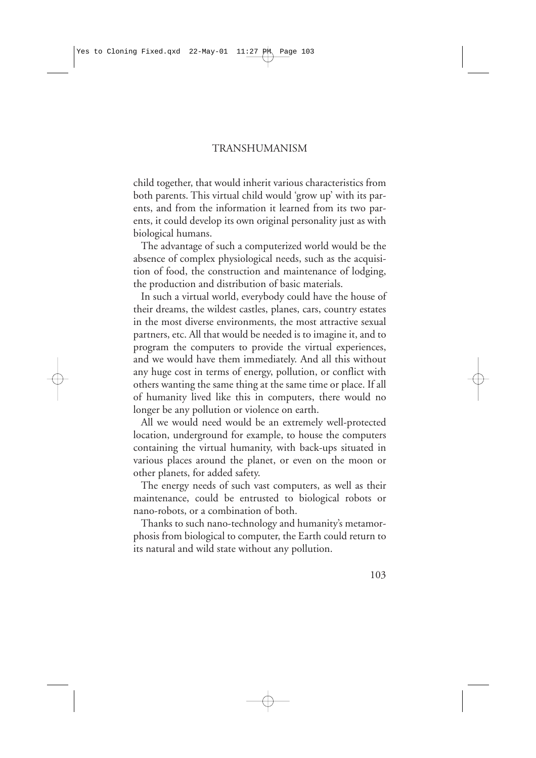child together, that would inherit various characteristics from both parents. This virtual child would 'grow up' with its parents, and from the information it learned from its two parents, it could develop its own original personality just as with biological humans.

The advantage of such a computerized world would be the absence of complex physiological needs, such as the acquisition of food, the construction and maintenance of lodging, the production and distribution of basic materials.

In such a virtual world, everybody could have the house of their dreams, the wildest castles, planes, cars, country estates in the most diverse environments, the most attractive sexual partners, etc. All that would be needed is to imagine it, and to program the computers to provide the virtual experiences, and we would have them immediately. And all this without any huge cost in terms of energy, pollution, or conflict with others wanting the same thing at the same time or place. If all of humanity lived like this in computers, there would no longer be any pollution or violence on earth.

All we would need would be an extremely well-protected location, underground for example, to house the computers containing the virtual humanity, with back-ups situated in various places around the planet, or even on the moon or other planets, for added safety.

The energy needs of such vast computers, as well as their maintenance, could be entrusted to biological robots or nano-robots, or a combination of both.

Thanks to such nano-technology and humanity's metamorphosis from biological to computer, the Earth could return to its natural and wild state without any pollution.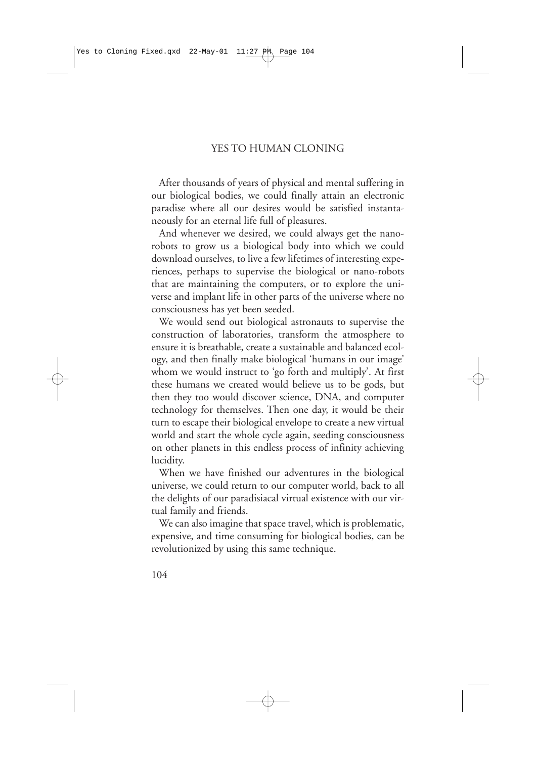After thousands of years of physical and mental suffering in our biological bodies, we could finally attain an electronic paradise where all our desires would be satisfied instantaneously for an eternal life full of pleasures.

And whenever we desired, we could always get the nanorobots to grow us a biological body into which we could download ourselves, to live a few lifetimes of interesting experiences, perhaps to supervise the biological or nano-robots that are maintaining the computers, or to explore the universe and implant life in other parts of the universe where no consciousness has yet been seeded.

We would send out biological astronauts to supervise the construction of laboratories, transform the atmosphere to ensure it is breathable, create a sustainable and balanced ecology, and then finally make biological 'humans in our image' whom we would instruct to 'go forth and multiply'. At first these humans we created would believe us to be gods, but then they too would discover science, DNA, and computer technology for themselves. Then one day, it would be their turn to escape their biological envelope to create a new virtual world and start the whole cycle again, seeding consciousness on other planets in this endless process of infinity achieving lucidity.

When we have finished our adventures in the biological universe, we could return to our computer world, back to all the delights of our paradisiacal virtual existence with our virtual family and friends.

We can also imagine that space travel, which is problematic, expensive, and time consuming for biological bodies, can be revolutionized by using this same technique.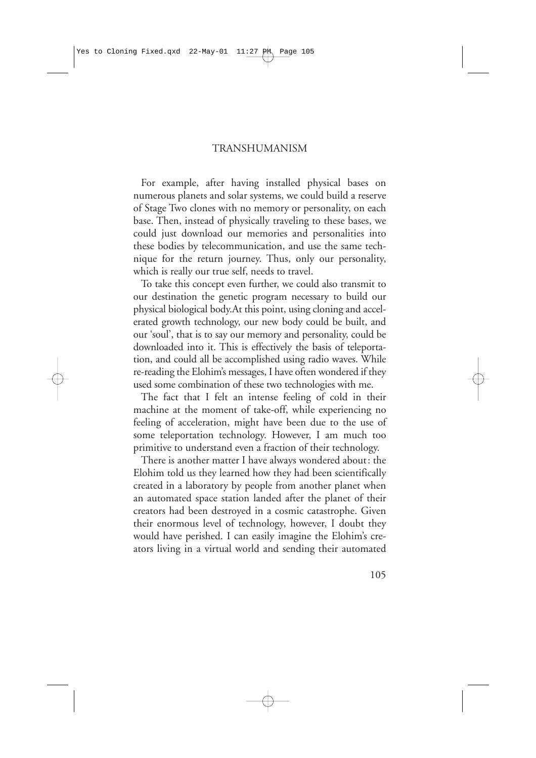For example, after having installed physical bases on numerous planets and solar systems, we could build a reserve of Stage Two clones with no memory or personality, on each base. Then, instead of physically traveling to these bases, we could just download our memories and personalities into these bodies by telecommunication, and use the same technique for the return journey. Thus, only our personality, which is really our true self, needs to travel.

To take this concept even further, we could also transmit to our destination the genetic program necessary to build our physical biological body.At this point, using cloning and accelerated growth technology, our new body could be built, and our 'soul', that is to say our memory and personality, could be downloaded into it. This is effectively the basis of teleportation, and could all be accomplished using radio waves. While re-reading the Elohim's messages, I have often wondered if they used some combination of these two technologies with me.

The fact that I felt an intense feeling of cold in their machine at the moment of take-off, while experiencing no feeling of acceleration, might have been due to the use of some teleportation technology. However, I am much too primitive to understand even a fraction of their technology.

There is another matter I have always wondered about: the Elohim told us they learned how they had been scientifically created in a laboratory by people from another planet when an automated space station landed after the planet of their creators had been destroyed in a cosmic catastrophe. Given their enormous level of technology, however, I doubt they would have perished. I can easily imagine the Elohim's creators living in a virtual world and sending their automated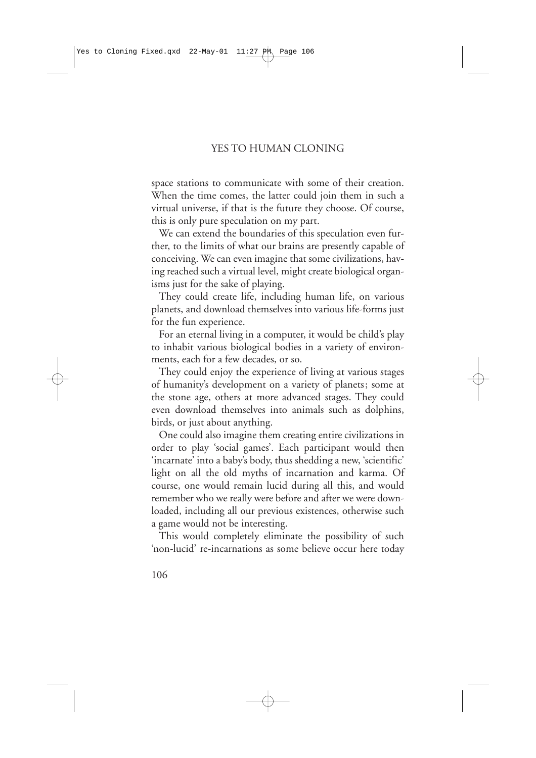space stations to communicate with some of their creation. When the time comes, the latter could join them in such a virtual universe, if that is the future they choose. Of course, this is only pure speculation on my part.

We can extend the boundaries of this speculation even further, to the limits of what our brains are presently capable of conceiving. We can even imagine that some civilizations, having reached such a virtual level, might create biological organisms just for the sake of playing.

They could create life, including human life, on various planets, and download themselves into various life-forms just for the fun experience.

For an eternal living in a computer, it would be child's play to inhabit various biological bodies in a variety of environments, each for a few decades, or so.

They could enjoy the experience of living at various stages of humanity's development on a variety of planets; some at the stone age, others at more advanced stages. They could even download themselves into animals such as dolphins, birds, or just about anything.

One could also imagine them creating entire civilizations in order to play 'social games'. Each participant would then 'incarnate' into a baby's body, thus shedding a new, 'scientific' light on all the old myths of incarnation and karma. Of course, one would remain lucid during all this, and would remember who we really were before and after we were downloaded, including all our previous existences, otherwise such a game would not be interesting.

This would completely eliminate the possibility of such 'non-lucid' re-incarnations as some believe occur here today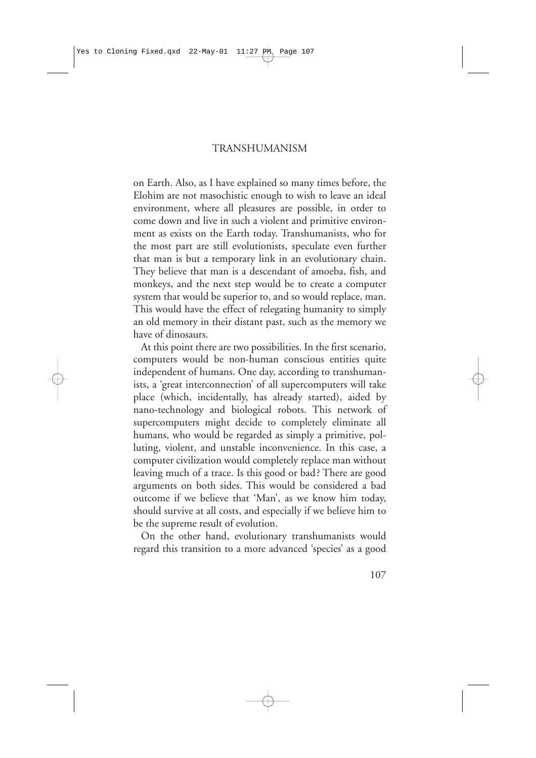#### TRANSHUMANISM

on Earth. Also, as I have explained so many times before, the Elohim are not masochistic enough to wish to leave an ideal environment, where all pleasures are possible, in order to come down and live in such a violent and primitive environment as exists on the Earth today. Transhumanists, who for the most part are still evolutionists, speculate even further that man is but a temporary link in an evolutionary chain. They believe that man is a descendant of amoeba, fish, and monkeys, and the next step would be to create a computer system that would be superior to, and so would replace, man. This would have the effect of relegating humanity to simply an old memory in their distant past, such as the memory we have of dinosaurs.

At this point there are two possibilities. In the first scenario, computers would be non-human conscious entities quite independent of humans. One day, according to transhumanists, a 'great interconnection' of all supercomputers will take place (which, incidentally, has already started), aided by nano-technology and biological robots. This network of supercomputers might decide to completely eliminate all humans, who would be regarded as simply a primitive, polluting, violent, and unstable inconvenience. In this case, a computer civilization would completely replace man without leaving much of a trace. Is this good or bad? There are good arguments on both sides. This would be considered a bad outcome if we believe that 'Man', as we know him today, should survive at all costs, and especially if we believe him to be the supreme result of evolution.

On the other hand, evolutionary transhumanists would regard this transition to a more advanced 'species' as a good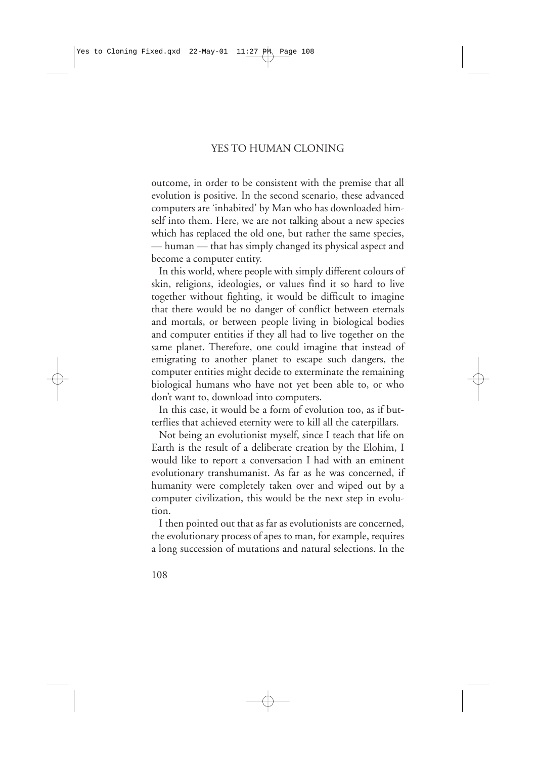outcome, in order to be consistent with the premise that all evolution is positive. In the second scenario, these advanced computers are 'inhabited' by Man who has downloaded himself into them. Here, we are not talking about a new species which has replaced the old one, but rather the same species, — human — that has simply changed its physical aspect and become a computer entity.

In this world, where people with simply different colours of skin, religions, ideologies, or values find it so hard to live together without fighting, it would be difficult to imagine that there would be no danger of conflict between eternals and mortals, or between people living in biological bodies and computer entities if they all had to live together on the same planet. Therefore, one could imagine that instead of emigrating to another planet to escape such dangers, the computer entities might decide to exterminate the remaining biological humans who have not yet been able to, or who don't want to, download into computers.

In this case, it would be a form of evolution too, as if butterflies that achieved eternity were to kill all the caterpillars.

Not being an evolutionist myself, since I teach that life on Earth is the result of a deliberate creation by the Elohim, I would like to report a conversation I had with an eminent evolutionary transhumanist. As far as he was concerned, if humanity were completely taken over and wiped out by a computer civilization, this would be the next step in evolution.

I then pointed out that as far as evolutionists are concerned, the evolutionary process of apes to man, for example, requires a long succession of mutations and natural selections. In the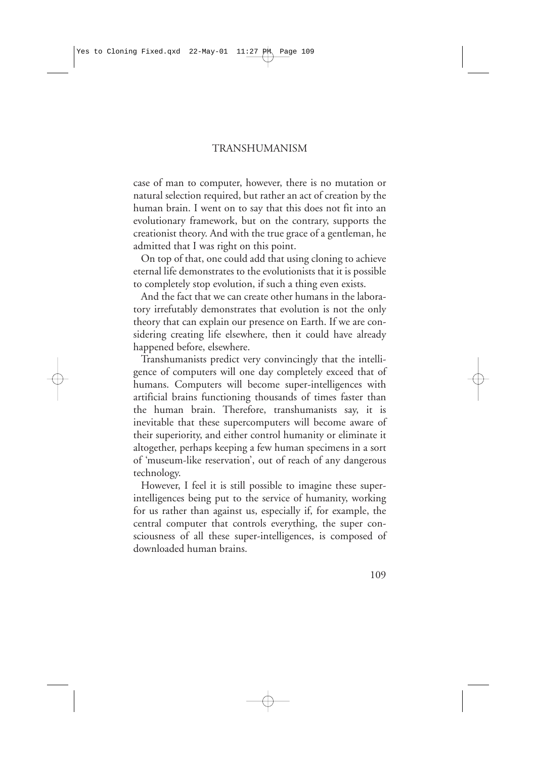case of man to computer, however, there is no mutation or natural selection required, but rather an act of creation by the human brain. I went on to say that this does not fit into an evolutionary framework, but on the contrary, supports the creationist theory. And with the true grace of a gentleman, he admitted that I was right on this point.

On top of that, one could add that using cloning to achieve eternal life demonstrates to the evolutionists that it is possible to completely stop evolution, if such a thing even exists.

And the fact that we can create other humans in the laboratory irrefutably demonstrates that evolution is not the only theory that can explain our presence on Earth. If we are considering creating life elsewhere, then it could have already happened before, elsewhere.

Transhumanists predict very convincingly that the intelligence of computers will one day completely exceed that of humans. Computers will become super-intelligences with artificial brains functioning thousands of times faster than the human brain. Therefore, transhumanists say, it is inevitable that these supercomputers will become aware of their superiority, and either control humanity or eliminate it altogether, perhaps keeping a few human specimens in a sort of 'museum-like reservation', out of reach of any dangerous technology.

However, I feel it is still possible to imagine these superintelligences being put to the service of humanity, working for us rather than against us, especially if, for example, the central computer that controls everything, the super consciousness of all these super-intelligences, is composed of downloaded human brains.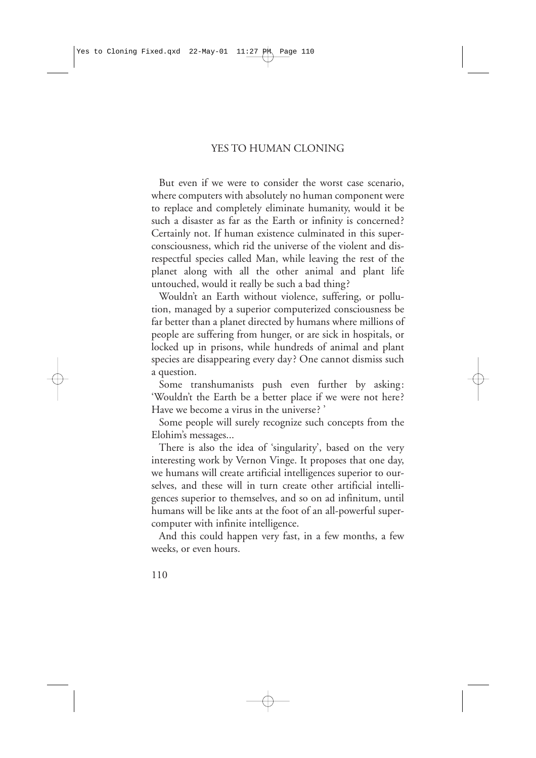But even if we were to consider the worst case scenario, where computers with absolutely no human component were to replace and completely eliminate humanity, would it be such a disaster as far as the Earth or infinity is concerned? Certainly not. If human existence culminated in this superconsciousness, which rid the universe of the violent and disrespectful species called Man, while leaving the rest of the planet along with all the other animal and plant life untouched, would it really be such a bad thing?

Wouldn't an Earth without violence, suffering, or pollution, managed by a superior computerized consciousness be far better than a planet directed by humans where millions of people are suffering from hunger, or are sick in hospitals, or locked up in prisons, while hundreds of animal and plant species are disappearing every day? One cannot dismiss such a question.

Some transhumanists push even further by asking: 'Wouldn't the Earth be a better place if we were not here? Have we become a virus in the universe? '

Some people will surely recognize such concepts from the Elohim's messages...

There is also the idea of 'singularity', based on the very interesting work by Vernon Vinge. It proposes that one day, we humans will create artificial intelligences superior to ourselves, and these will in turn create other artificial intelligences superior to themselves, and so on ad infinitum, until humans will be like ants at the foot of an all-powerful supercomputer with infinite intelligence.

And this could happen very fast, in a few months, a few weeks, or even hours.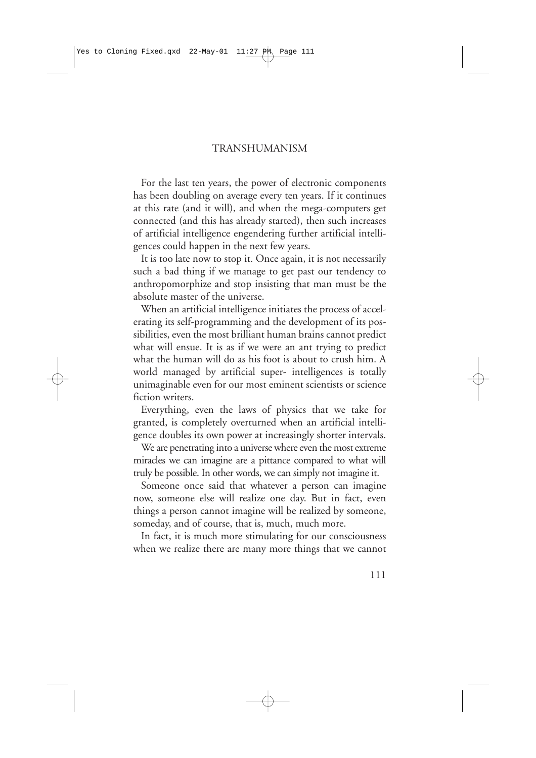For the last ten years, the power of electronic components has been doubling on average every ten years. If it continues at this rate (and it will), and when the mega-computers get connected (and this has already started), then such increases of artificial intelligence engendering further artificial intelligences could happen in the next few years.

It is too late now to stop it. Once again, it is not necessarily such a bad thing if we manage to get past our tendency to anthropomorphize and stop insisting that man must be the absolute master of the universe.

When an artificial intelligence initiates the process of accelerating its self-programming and the development of its possibilities, even the most brilliant human brains cannot predict what will ensue. It is as if we were an ant trying to predict what the human will do as his foot is about to crush him. A world managed by artificial super- intelligences is totally unimaginable even for our most eminent scientists or science fiction writers.

Everything, even the laws of physics that we take for granted, is completely overturned when an artificial intelligence doubles its own power at increasingly shorter intervals.

We are penetrating into a universe where even the most extreme miracles we can imagine are a pittance compared to what will truly be possible. In other words, we can simply not imagine it.

Someone once said that whatever a person can imagine now, someone else will realize one day. But in fact, even things a person cannot imagine will be realized by someone, someday, and of course, that is, much, much more.

In fact, it is much more stimulating for our consciousness when we realize there are many more things that we cannot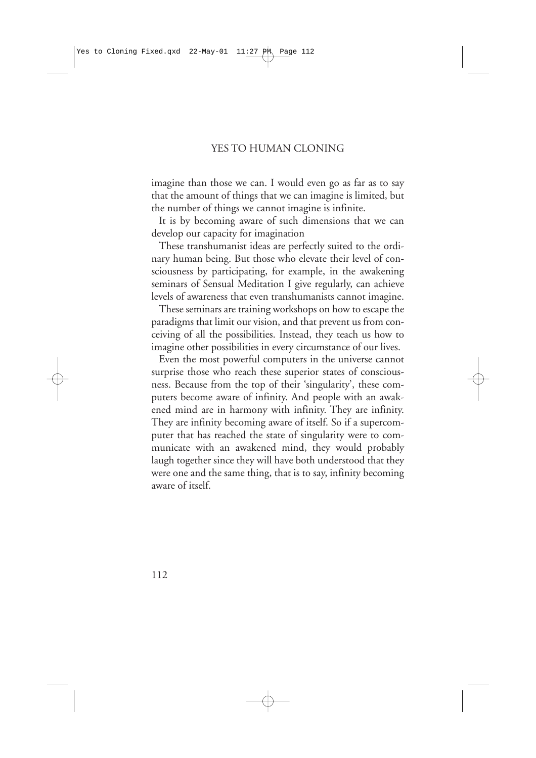#### YES TO HUMAN CLONING

imagine than those we can. I would even go as far as to say that the amount of things that we can imagine is limited, but the number of things we cannot imagine is infinite.

It is by becoming aware of such dimensions that we can develop our capacity for imagination

These transhumanist ideas are perfectly suited to the ordinary human being. But those who elevate their level of consciousness by participating, for example, in the awakening seminars of Sensual Meditation I give regularly, can achieve levels of awareness that even transhumanists cannot imagine.

These seminars are training workshops on how to escape the paradigms that limit our vision, and that prevent us from conceiving of all the possibilities. Instead, they teach us how to imagine other possibilities in every circumstance of our lives.

Even the most powerful computers in the universe cannot surprise those who reach these superior states of consciousness. Because from the top of their 'singularity', these computers become aware of infinity. And people with an awakened mind are in harmony with infinity. They are infinity. They are infinity becoming aware of itself. So if a supercomputer that has reached the state of singularity were to communicate with an awakened mind, they would probably laugh together since they will have both understood that they were one and the same thing, that is to say, infinity becoming aware of itself.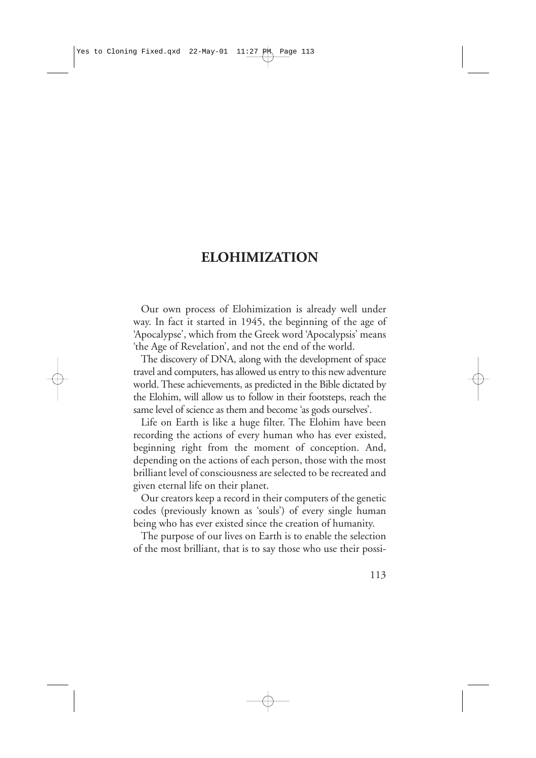### **ELOHIMIZATION**

Our own process of Elohimization is already well under way. In fact it started in 1945, the beginning of the age of 'Apocalypse', which from the Greek word 'Apocalypsis' means 'the Age of Revelation', and not the end of the world.

The discovery of DNA, along with the development of space travel and computers, has allowed us entry to this new adventure world. These achievements, as predicted in the Bible dictated by the Elohim, will allow us to follow in their footsteps, reach the same level of science as them and become 'as gods ourselves'.

Life on Earth is like a huge filter. The Elohim have been recording the actions of every human who has ever existed, beginning right from the moment of conception. And, depending on the actions of each person, those with the most brilliant level of consciousness are selected to be recreated and given eternal life on their planet.

Our creators keep a record in their computers of the genetic codes (previously known as 'souls') of every single human being who has ever existed since the creation of humanity.

The purpose of our lives on Earth is to enable the selection of the most brilliant, that is to say those who use their possi-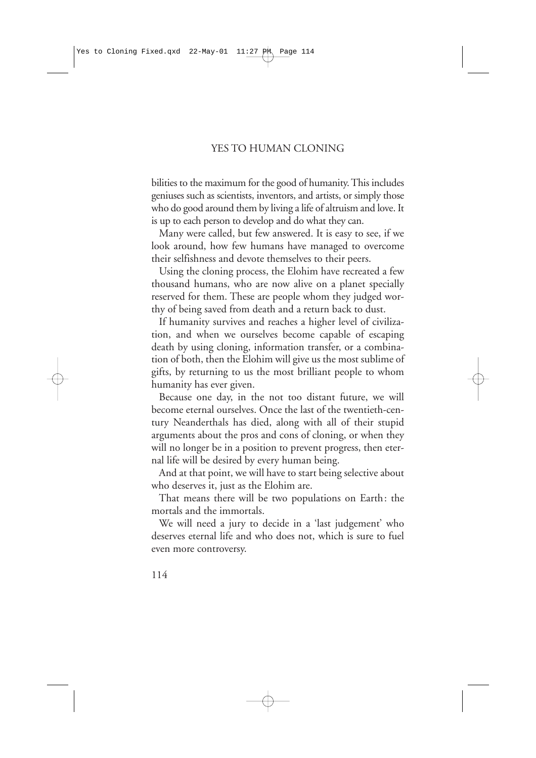#### YES TO HUMAN CLONING

bilities to the maximum for the good of humanity. This includes geniuses such as scientists, inventors, and artists, or simply those who do good around them by living a life of altruism and love. It is up to each person to develop and do what they can.

Many were called, but few answered. It is easy to see, if we look around, how few humans have managed to overcome their selfishness and devote themselves to their peers.

Using the cloning process, the Elohim have recreated a few thousand humans, who are now alive on a planet specially reserved for them. These are people whom they judged worthy of being saved from death and a return back to dust.

If humanity survives and reaches a higher level of civilization, and when we ourselves become capable of escaping death by using cloning, information transfer, or a combination of both, then the Elohim will give us the most sublime of gifts, by returning to us the most brilliant people to whom humanity has ever given.

Because one day, in the not too distant future, we will become eternal ourselves. Once the last of the twentieth-century Neanderthals has died, along with all of their stupid arguments about the pros and cons of cloning, or when they will no longer be in a position to prevent progress, then eternal life will be desired by every human being.

And at that point, we will have to start being selective about who deserves it, just as the Elohim are.

That means there will be two populations on Earth: the mortals and the immortals.

We will need a jury to decide in a 'last judgement' who deserves eternal life and who does not, which is sure to fuel even more controversy.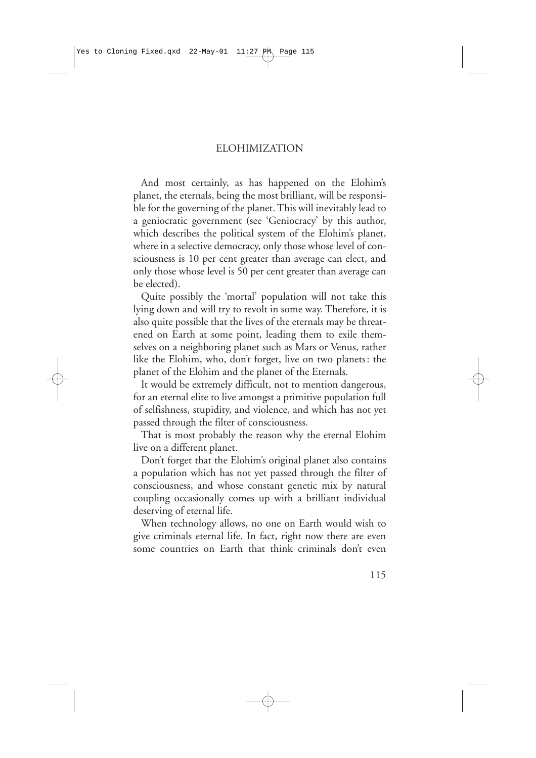#### ELOHIMIZATION

And most certainly, as has happened on the Elohim's planet, the eternals, being the most brilliant, will be responsible for the governing of the planet. This will inevitably lead to a geniocratic government (see 'Geniocracy' by this author, which describes the political system of the Elohim's planet, where in a selective democracy, only those whose level of consciousness is 10 per cent greater than average can elect, and only those whose level is 50 per cent greater than average can be elected).

Quite possibly the 'mortal' population will not take this lying down and will try to revolt in some way. Therefore, it is also quite possible that the lives of the eternals may be threatened on Earth at some point, leading them to exile themselves on a neighboring planet such as Mars or Venus, rather like the Elohim, who, don't forget, live on two planets: the planet of the Elohim and the planet of the Eternals.

It would be extremely difficult, not to mention dangerous, for an eternal elite to live amongst a primitive population full of selfishness, stupidity, and violence, and which has not yet passed through the filter of consciousness.

That is most probably the reason why the eternal Elohim live on a different planet.

Don't forget that the Elohim's original planet also contains a population which has not yet passed through the filter of consciousness, and whose constant genetic mix by natural coupling occasionally comes up with a brilliant individual deserving of eternal life.

When technology allows, no one on Earth would wish to give criminals eternal life. In fact, right now there are even some countries on Earth that think criminals don't even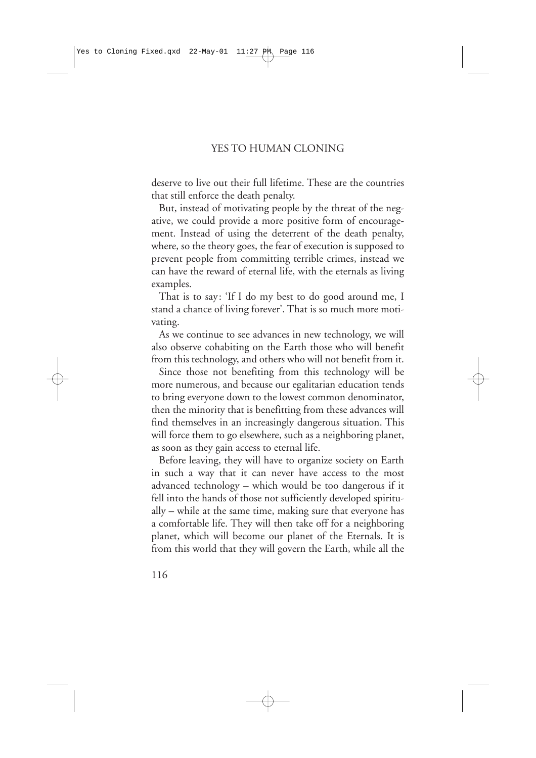deserve to live out their full lifetime. These are the countries that still enforce the death penalty.

But, instead of motivating people by the threat of the negative, we could provide a more positive form of encouragement. Instead of using the deterrent of the death penalty, where, so the theory goes, the fear of execution is supposed to prevent people from committing terrible crimes, instead we can have the reward of eternal life, with the eternals as living examples.

That is to say: 'If I do my best to do good around me, I stand a chance of living forever'. That is so much more motivating.

As we continue to see advances in new technology, we will also observe cohabiting on the Earth those who will benefit from this technology, and others who will not benefit from it.

Since those not benefiting from this technology will be more numerous, and because our egalitarian education tends to bring everyone down to the lowest common denominator, then the minority that is benefitting from these advances will find themselves in an increasingly dangerous situation. This will force them to go elsewhere, such as a neighboring planet, as soon as they gain access to eternal life.

Before leaving, they will have to organize society on Earth in such a way that it can never have access to the most advanced technology – which would be too dangerous if it fell into the hands of those not sufficiently developed spiritually – while at the same time, making sure that everyone has a comfortable life. They will then take off for a neighboring planet, which will become our planet of the Eternals. It is from this world that they will govern the Earth, while all the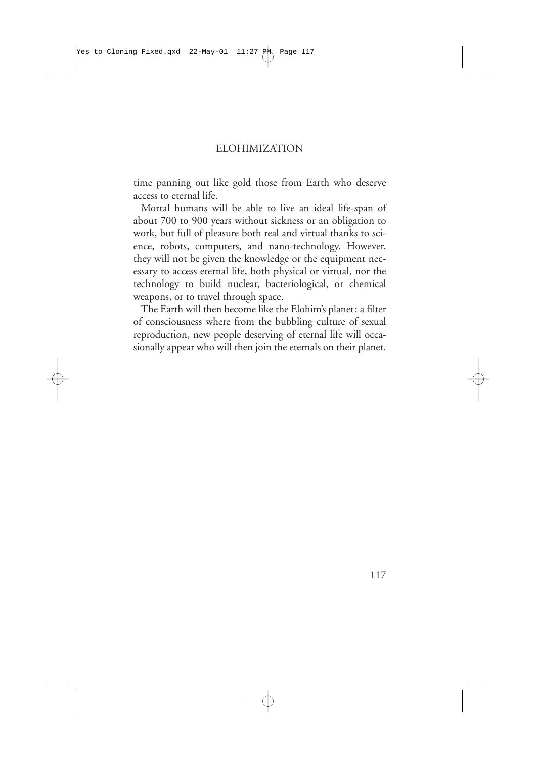#### ELOHIMIZATION

time panning out like gold those from Earth who deserve access to eternal life.

Mortal humans will be able to live an ideal life-span of about 700 to 900 years without sickness or an obligation to work, but full of pleasure both real and virtual thanks to science, robots, computers, and nano-technology. However, they will not be given the knowledge or the equipment necessary to access eternal life, both physical or virtual, nor the technology to build nuclear, bacteriological, or chemical weapons, or to travel through space.

The Earth will then become like the Elohim's planet: a filter of consciousness where from the bubbling culture of sexual reproduction, new people deserving of eternal life will occasionally appear who will then join the eternals on their planet.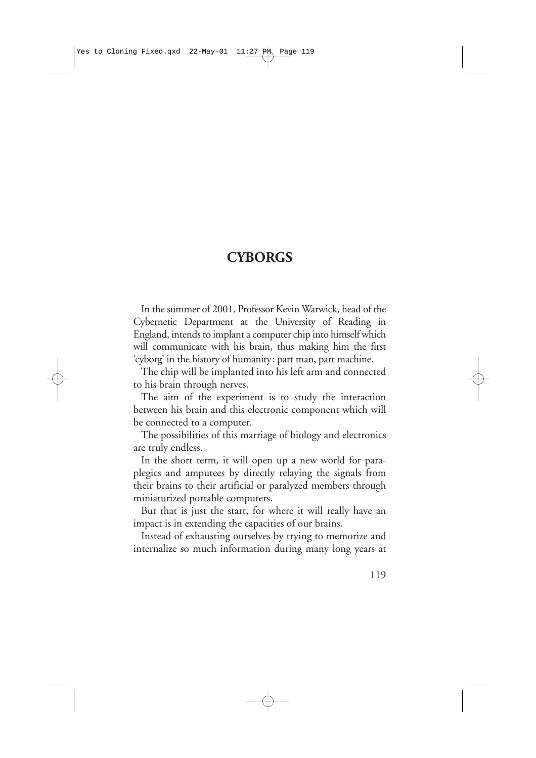### **CYBORGS**

In the summer of 2001, Professor Kevin Warwick, head of the Cybernetic Department at the University of Reading in England, intends to implant a computer chip into himself which will communicate with his brain, thus making him the first 'cyborg' in the history of humanity: part man, part machine.

The chip will be implanted into his left arm and connected to his brain through nerves.

The aim of the experiment is to study the interaction between his brain and this electronic component which will be connected to a computer.

The possibilities of this marriage of biology and electronics are truly endless.

In the short term, it will open up a new world for paraplegics and amputees by directly relaying the signals from their brains to their artificial or paralyzed members through miniaturized portable computers.

But that is just the start, for where it will really have an impact is in extending the capacities of our brains.

Instead of exhausting ourselves by trying to memorize and internalize so much information during many long years at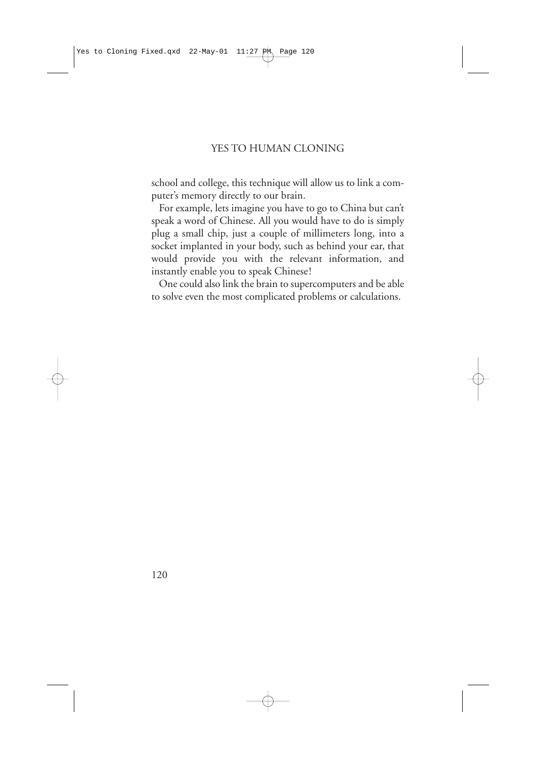school and college, this technique will allow us to link a computer's memory directly to our brain.

For example, lets imagine you have to go to China but can't speak a word of Chinese. All you would have to do is simply plug a small chip, just a couple of millimeters long, into a socket implanted in your body, such as behind your ear, that would provide you with the relevant information, and instantly enable you to speak Chinese!

One could also link the brain to supercomputers and be able to solve even the most complicated problems or calculations.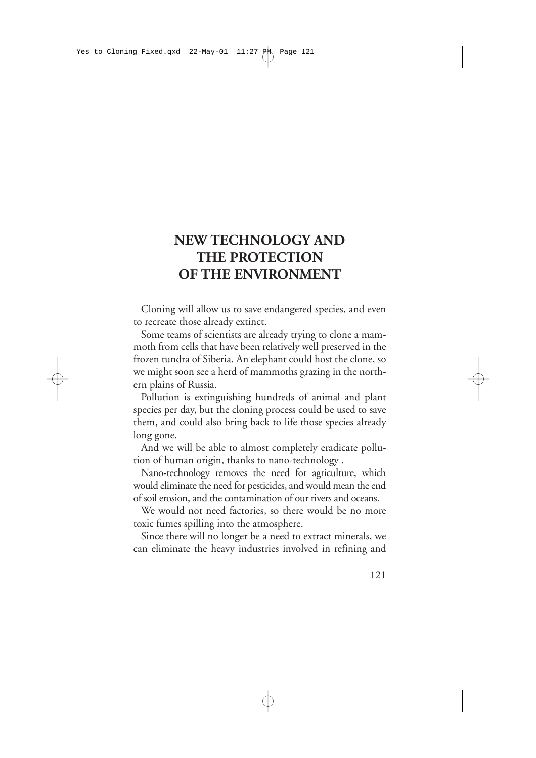# **NEW TECHNOLOGY AND THE PROTECTION OF THE ENVIRONMENT**

Cloning will allow us to save endangered species, and even to recreate those already extinct.

Some teams of scientists are already trying to clone a mammoth from cells that have been relatively well preserved in the frozen tundra of Siberia. An elephant could host the clone, so we might soon see a herd of mammoths grazing in the northern plains of Russia.

Pollution is extinguishing hundreds of animal and plant species per day, but the cloning process could be used to save them, and could also bring back to life those species already long gone.

And we will be able to almost completely eradicate pollution of human origin, thanks to nano-technology .

Nano-technology removes the need for agriculture, which would eliminate the need for pesticides, and would mean the end of soil erosion, and the contamination of our rivers and oceans.

We would not need factories, so there would be no more toxic fumes spilling into the atmosphere.

Since there will no longer be a need to extract minerals, we can eliminate the heavy industries involved in refining and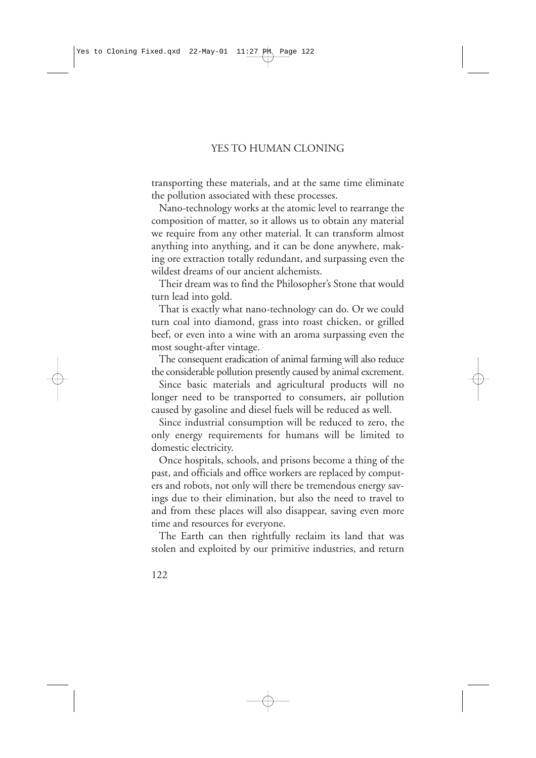transporting these materials, and at the same time eliminate the pollution associated with these processes.

Nano-technology works at the atomic level to rearrange the composition of matter, so it allows us to obtain any material we require from any other material. It can transform almost anything into anything, and it can be done anywhere, making ore extraction totally redundant, and surpassing even the wildest dreams of our ancient alchemists.

Their dream was to find the Philosopher's Stone that would turn lead into gold.

That is exactly what nano-technology can do. Or we could turn coal into diamond, grass into roast chicken, or grilled beef, or even into a wine with an aroma surpassing even the most sought-after vintage.

The consequent eradication of animal farming will also reduce the considerable pollution presently caused by animal excrement.

Since basic materials and agricultural products will no longer need to be transported to consumers, air pollution caused by gasoline and diesel fuels will be reduced as well.

Since industrial consumption will be reduced to zero, the only energy requirements for humans will be limited to domestic electricity.

Once hospitals, schools, and prisons become a thing of the past, and officials and office workers are replaced by computers and robots, not only will there be tremendous energy savings due to their elimination, but also the need to travel to and from these places will also disappear, saving even more time and resources for everyone.

The Earth can then rightfully reclaim its land that was stolen and exploited by our primitive industries, and return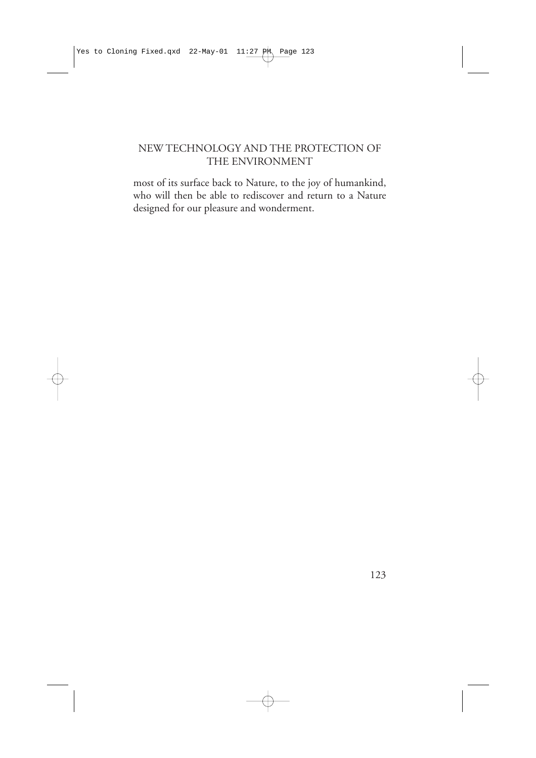### NEW TECHNOLOGY AND THE PROTECTION OF THE ENVIRONMENT

most of its surface back to Nature, to the joy of humankind, who will then be able to rediscover and return to a Nature designed for our pleasure and wonderment.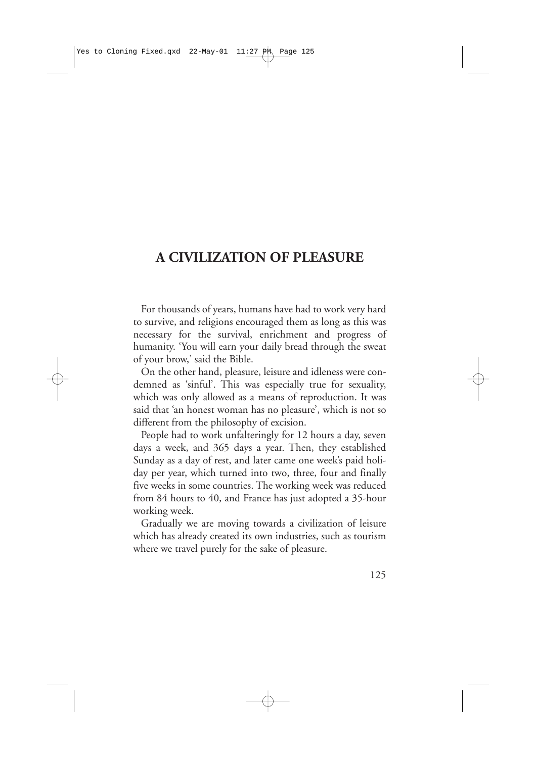## **A CIVILIZATION OF PLEASURE**

For thousands of years, humans have had to work very hard to survive, and religions encouraged them as long as this was necessary for the survival, enrichment and progress of humanity. 'You will earn your daily bread through the sweat of your brow,' said the Bible.

On the other hand, pleasure, leisure and idleness were condemned as 'sinful'. This was especially true for sexuality, which was only allowed as a means of reproduction. It was said that 'an honest woman has no pleasure', which is not so different from the philosophy of excision.

People had to work unfalteringly for 12 hours a day, seven days a week, and 365 days a year. Then, they established Sunday as a day of rest, and later came one week's paid holiday per year, which turned into two, three, four and finally five weeks in some countries. The working week was reduced from 84 hours to 40, and France has just adopted a 35-hour working week.

Gradually we are moving towards a civilization of leisure which has already created its own industries, such as tourism where we travel purely for the sake of pleasure.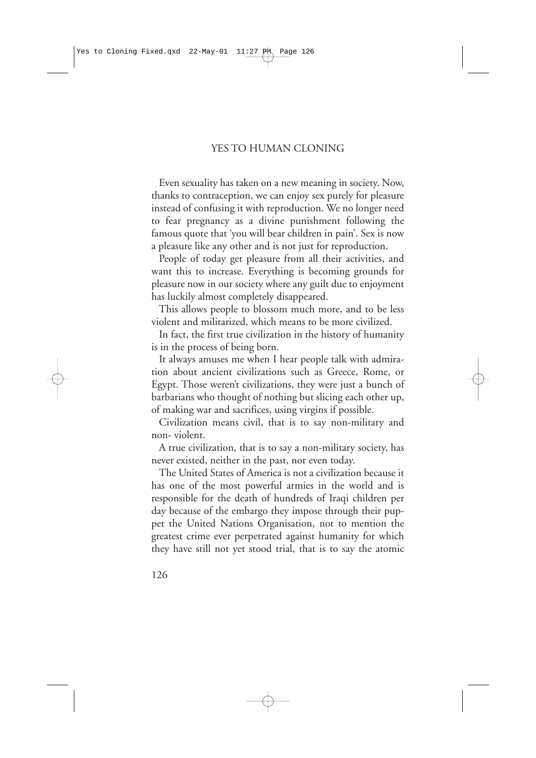Even sexuality has taken on a new meaning in society. Now, thanks to contraception, we can enjoy sex purely for pleasure instead of confusing it with reproduction. We no longer need to fear pregnancy as a divine punishment following the famous quote that 'you will bear children in pain'. Sex is now a pleasure like any other and is not just for reproduction.

People of today get pleasure from all their activities, and want this to increase. Everything is becoming grounds for pleasure now in our society where any guilt due to enjoyment has luckily almost completely disappeared.

This allows people to blossom much more, and to be less violent and militarized, which means to be more civilized.

In fact, the first true civilization in the history of humanity is in the process of being born.

It always amuses me when I hear people talk with admiration about ancient civilizations such as Greece, Rome, or Egypt. Those weren't civilizations, they were just a bunch of barbarians who thought of nothing but slicing each other up, of making war and sacrifices, using virgins if possible.

Civilization means civil, that is to say non-military and non- violent.

A true civilization, that is to say a non-military society, has never existed, neither in the past, nor even today.

The United States of America is not a civilization because it has one of the most powerful armies in the world and is responsible for the death of hundreds of Iraqi children per day because of the embargo they impose through their puppet the United Nations Organisation, not to mention the greatest crime ever perpetrated against humanity for which they have still not yet stood trial, that is to say the atomic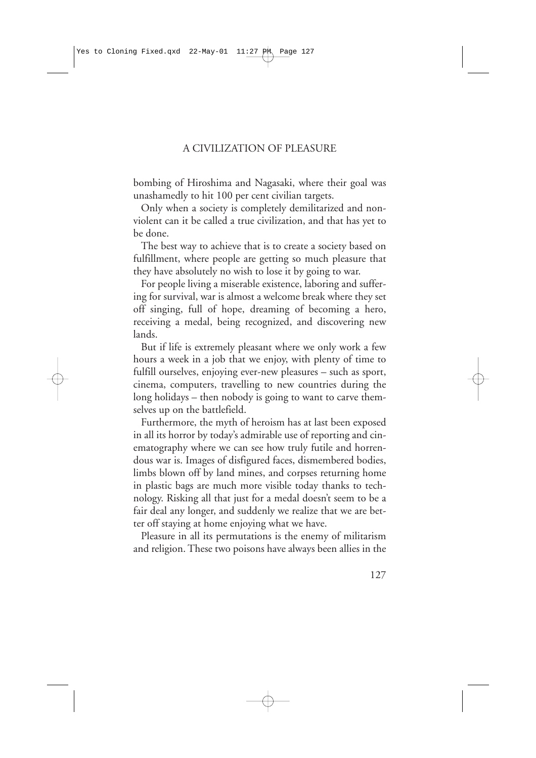#### A CIVILIZATION OF PLEASURE

bombing of Hiroshima and Nagasaki, where their goal was unashamedly to hit 100 per cent civilian targets.

Only when a society is completely demilitarized and nonviolent can it be called a true civilization, and that has yet to be done.

The best way to achieve that is to create a society based on fulfillment, where people are getting so much pleasure that they have absolutely no wish to lose it by going to war.

For people living a miserable existence, laboring and suffering for survival, war is almost a welcome break where they set off singing, full of hope, dreaming of becoming a hero, receiving a medal, being recognized, and discovering new lands.

But if life is extremely pleasant where we only work a few hours a week in a job that we enjoy, with plenty of time to fulfill ourselves, enjoying ever-new pleasures – such as sport, cinema, computers, travelling to new countries during the long holidays – then nobody is going to want to carve themselves up on the battlefield.

Furthermore, the myth of heroism has at last been exposed in all its horror by today's admirable use of reporting and cinematography where we can see how truly futile and horrendous war is. Images of disfigured faces, dismembered bodies, limbs blown off by land mines, and corpses returning home in plastic bags are much more visible today thanks to technology. Risking all that just for a medal doesn't seem to be a fair deal any longer, and suddenly we realize that we are better off staying at home enjoying what we have.

Pleasure in all its permutations is the enemy of militarism and religion. These two poisons have always been allies in the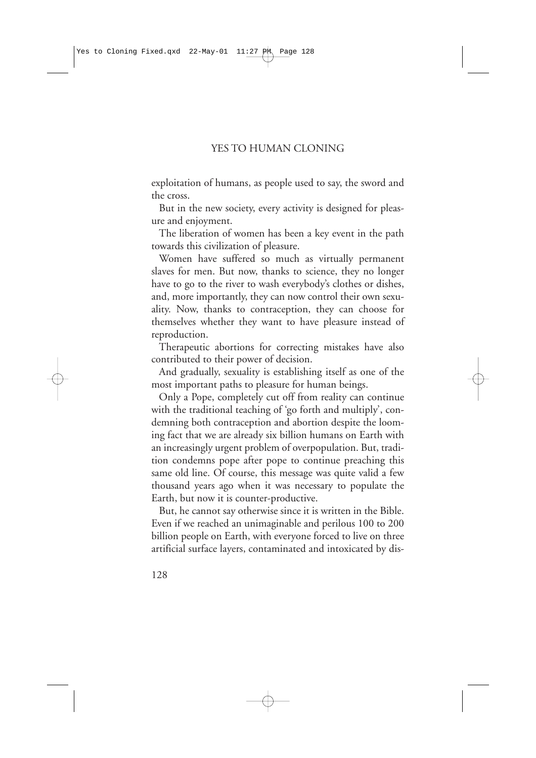exploitation of humans, as people used to say, the sword and the cross.

But in the new society, every activity is designed for pleasure and enjoyment.

The liberation of women has been a key event in the path towards this civilization of pleasure.

Women have suffered so much as virtually permanent slaves for men. But now, thanks to science, they no longer have to go to the river to wash everybody's clothes or dishes, and, more importantly, they can now control their own sexuality. Now, thanks to contraception, they can choose for themselves whether they want to have pleasure instead of reproduction.

Therapeutic abortions for correcting mistakes have also contributed to their power of decision.

And gradually, sexuality is establishing itself as one of the most important paths to pleasure for human beings.

Only a Pope, completely cut off from reality can continue with the traditional teaching of 'go forth and multiply', condemning both contraception and abortion despite the looming fact that we are already six billion humans on Earth with an increasingly urgent problem of overpopulation. But, tradition condemns pope after pope to continue preaching this same old line. Of course, this message was quite valid a few thousand years ago when it was necessary to populate the Earth, but now it is counter-productive.

But, he cannot say otherwise since it is written in the Bible. Even if we reached an unimaginable and perilous 100 to 200 billion people on Earth, with everyone forced to live on three artificial surface layers, contaminated and intoxicated by dis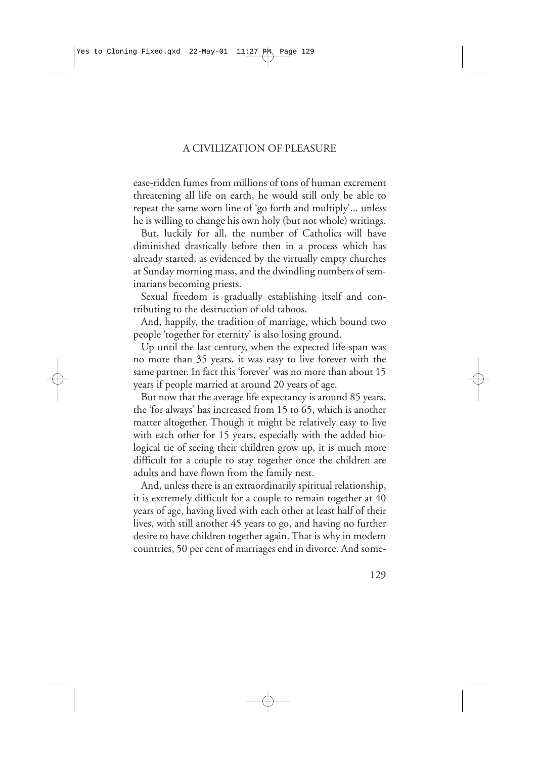ease-ridden fumes from millions of tons of human excrement threatening all life on earth, he would still only be able to repeat the same worn line of 'go forth and multiply'... unless he is willing to change his own holy (but not whole) writings.

But, luckily for all, the number of Catholics will have diminished drastically before then in a process which has already started, as evidenced by the virtually empty churches at Sunday morning mass, and the dwindling numbers of seminarians becoming priests.

Sexual freedom is gradually establishing itself and contributing to the destruction of old taboos.

And, happily, the tradition of marriage, which bound two people 'together for eternity' is also losing ground.

Up until the last century, when the expected life-span was no more than 35 years, it was easy to live forever with the same partner. In fact this 'forever' was no more than about 15 years if people married at around 20 years of age.

But now that the average life expectancy is around 85 years, the 'for always' has increased from 15 to 65, which is another matter altogether. Though it might be relatively easy to live with each other for 15 years, especially with the added biological tie of seeing their children grow up, it is much more difficult for a couple to stay together once the children are adults and have flown from the family nest.

And, unless there is an extraordinarily spiritual relationship, it is extremely difficult for a couple to remain together at 40 years of age, having lived with each other at least half of their lives, with still another 45 years to go, and having no further desire to have children together again. That is why in modern countries, 50 per cent of marriages end in divorce. And some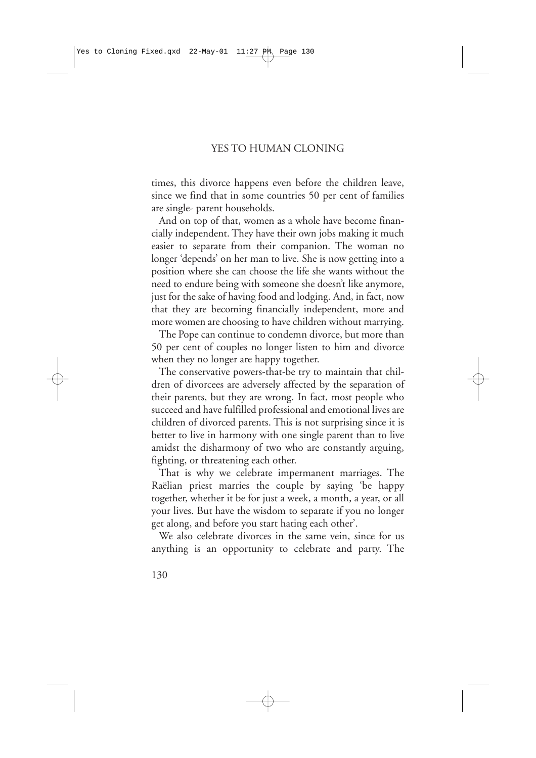times, this divorce happens even before the children leave, since we find that in some countries 50 per cent of families are single- parent households.

And on top of that, women as a whole have become financially independent. They have their own jobs making it much easier to separate from their companion. The woman no longer 'depends' on her man to live. She is now getting into a position where she can choose the life she wants without the need to endure being with someone she doesn't like anymore, just for the sake of having food and lodging. And, in fact, now that they are becoming financially independent, more and more women are choosing to have children without marrying.

The Pope can continue to condemn divorce, but more than 50 per cent of couples no longer listen to him and divorce when they no longer are happy together.

The conservative powers-that-be try to maintain that children of divorcees are adversely affected by the separation of their parents, but they are wrong. In fact, most people who succeed and have fulfilled professional and emotional lives are children of divorced parents. This is not surprising since it is better to live in harmony with one single parent than to live amidst the disharmony of two who are constantly arguing, fighting, or threatening each other.

That is why we celebrate impermanent marriages. The Raëlian priest marries the couple by saying 'be happy together, whether it be for just a week, a month, a year, or all your lives. But have the wisdom to separate if you no longer get along, and before you start hating each other'.

We also celebrate divorces in the same vein, since for us anything is an opportunity to celebrate and party. The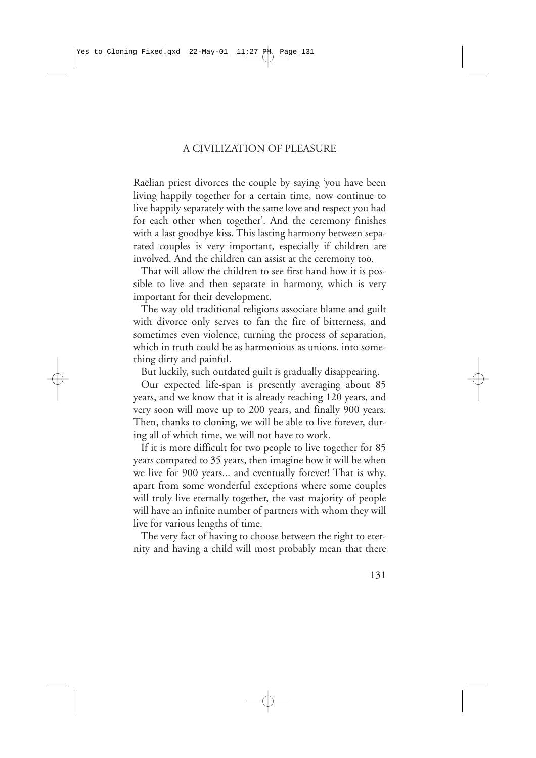#### A CIVILIZATION OF PLEASURE

Raëlian priest divorces the couple by saying 'you have been living happily together for a certain time, now continue to live happily separately with the same love and respect you had for each other when together'. And the ceremony finishes with a last goodbye kiss. This lasting harmony between separated couples is very important, especially if children are involved. And the children can assist at the ceremony too.

That will allow the children to see first hand how it is possible to live and then separate in harmony, which is very important for their development.

The way old traditional religions associate blame and guilt with divorce only serves to fan the fire of bitterness, and sometimes even violence, turning the process of separation, which in truth could be as harmonious as unions, into something dirty and painful.

But luckily, such outdated guilt is gradually disappearing.

Our expected life-span is presently averaging about 85 years, and we know that it is already reaching 120 years, and very soon will move up to 200 years, and finally 900 years. Then, thanks to cloning, we will be able to live forever, during all of which time, we will not have to work.

If it is more difficult for two people to live together for 85 years compared to 35 years, then imagine how it will be when we live for 900 years... and eventually forever! That is why, apart from some wonderful exceptions where some couples will truly live eternally together, the vast majority of people will have an infinite number of partners with whom they will live for various lengths of time.

The very fact of having to choose between the right to eternity and having a child will most probably mean that there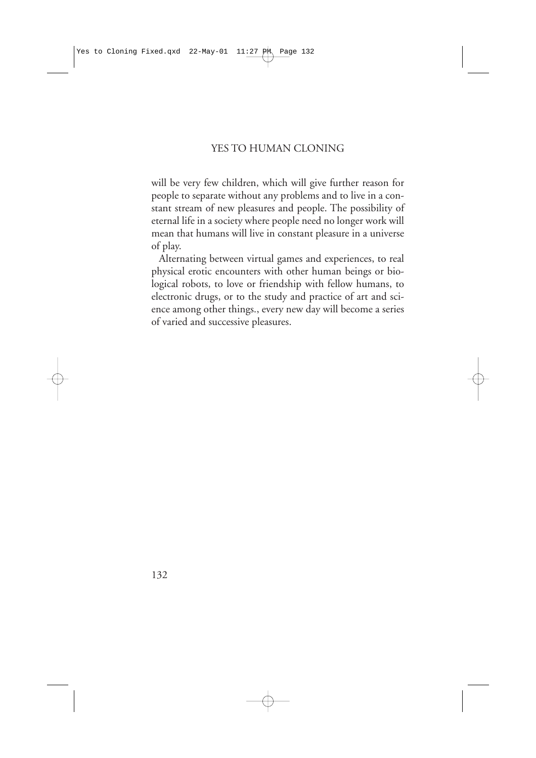will be very few children, which will give further reason for people to separate without any problems and to live in a constant stream of new pleasures and people. The possibility of eternal life in a society where people need no longer work will mean that humans will live in constant pleasure in a universe of play.

Alternating between virtual games and experiences, to real physical erotic encounters with other human beings or biological robots, to love or friendship with fellow humans, to electronic drugs, or to the study and practice of art and science among other things., every new day will become a series of varied and successive pleasures.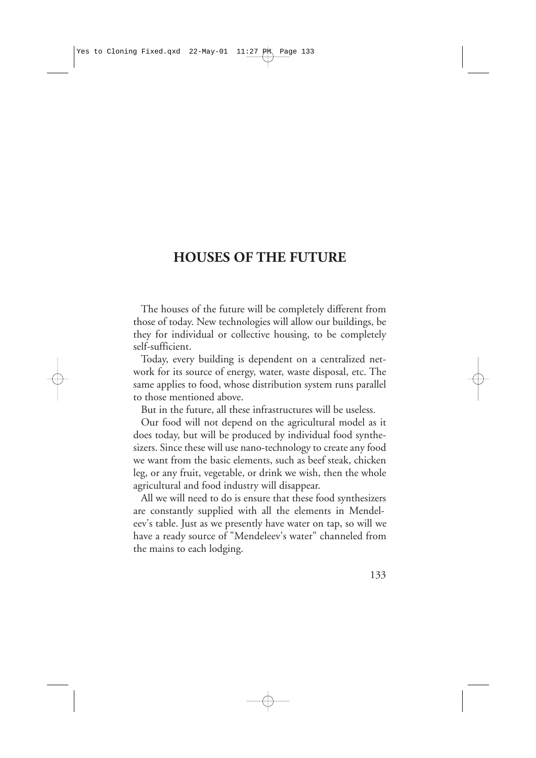### **HOUSES OF THE FUTURE**

The houses of the future will be completely different from those of today. New technologies will allow our buildings, be they for individual or collective housing, to be completely self-sufficient.

Today, every building is dependent on a centralized network for its source of energy, water, waste disposal, etc. The same applies to food, whose distribution system runs parallel to those mentioned above.

But in the future, all these infrastructures will be useless.

Our food will not depend on the agricultural model as it does today, but will be produced by individual food synthesizers. Since these will use nano-technology to create any food we want from the basic elements, such as beef steak, chicken leg, or any fruit, vegetable, or drink we wish, then the whole agricultural and food industry will disappear.

All we will need to do is ensure that these food synthesizers are constantly supplied with all the elements in Mendeleev's table. Just as we presently have water on tap, so will we have a ready source of "Mendeleev's water" channeled from the mains to each lodging.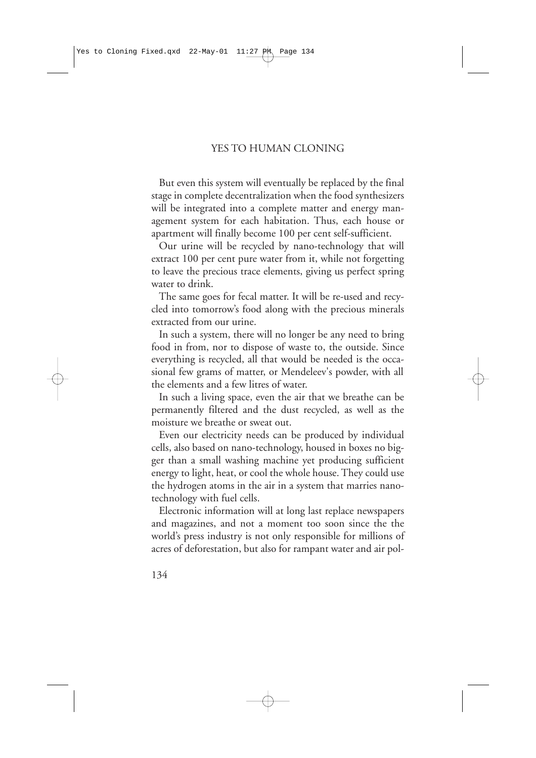But even this system will eventually be replaced by the final stage in complete decentralization when the food synthesizers will be integrated into a complete matter and energy management system for each habitation. Thus, each house or apartment will finally become 100 per cent self-sufficient.

Our urine will be recycled by nano-technology that will extract 100 per cent pure water from it, while not forgetting to leave the precious trace elements, giving us perfect spring water to drink.

The same goes for fecal matter. It will be re-used and recycled into tomorrow's food along with the precious minerals extracted from our urine.

In such a system, there will no longer be any need to bring food in from, nor to dispose of waste to, the outside. Since everything is recycled, all that would be needed is the occasional few grams of matter, or Mendeleev's powder, with all the elements and a few litres of water.

In such a living space, even the air that we breathe can be permanently filtered and the dust recycled, as well as the moisture we breathe or sweat out.

Even our electricity needs can be produced by individual cells, also based on nano-technology, housed in boxes no bigger than a small washing machine yet producing sufficient energy to light, heat, or cool the whole house. They could use the hydrogen atoms in the air in a system that marries nanotechnology with fuel cells.

Electronic information will at long last replace newspapers and magazines, and not a moment too soon since the the world's press industry is not only responsible for millions of acres of deforestation, but also for rampant water and air pol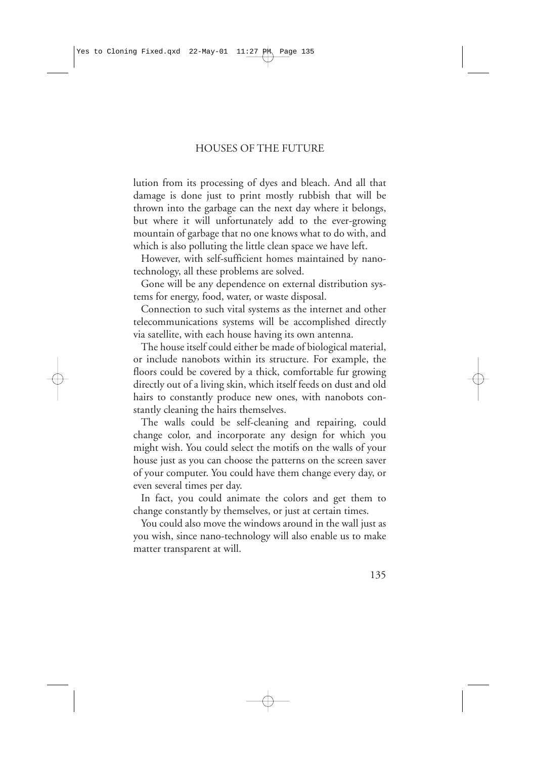lution from its processing of dyes and bleach. And all that damage is done just to print mostly rubbish that will be thrown into the garbage can the next day where it belongs, but where it will unfortunately add to the ever-growing mountain of garbage that no one knows what to do with, and which is also polluting the little clean space we have left.

However, with self-sufficient homes maintained by nanotechnology, all these problems are solved.

Gone will be any dependence on external distribution systems for energy, food, water, or waste disposal.

Connection to such vital systems as the internet and other telecommunications systems will be accomplished directly via satellite, with each house having its own antenna.

The house itself could either be made of biological material, or include nanobots within its structure. For example, the floors could be covered by a thick, comfortable fur growing directly out of a living skin, which itself feeds on dust and old hairs to constantly produce new ones, with nanobots constantly cleaning the hairs themselves.

The walls could be self-cleaning and repairing, could change color, and incorporate any design for which you might wish. You could select the motifs on the walls of your house just as you can choose the patterns on the screen saver of your computer. You could have them change every day, or even several times per day.

In fact, you could animate the colors and get them to change constantly by themselves, or just at certain times.

You could also move the windows around in the wall just as you wish, since nano-technology will also enable us to make matter transparent at will.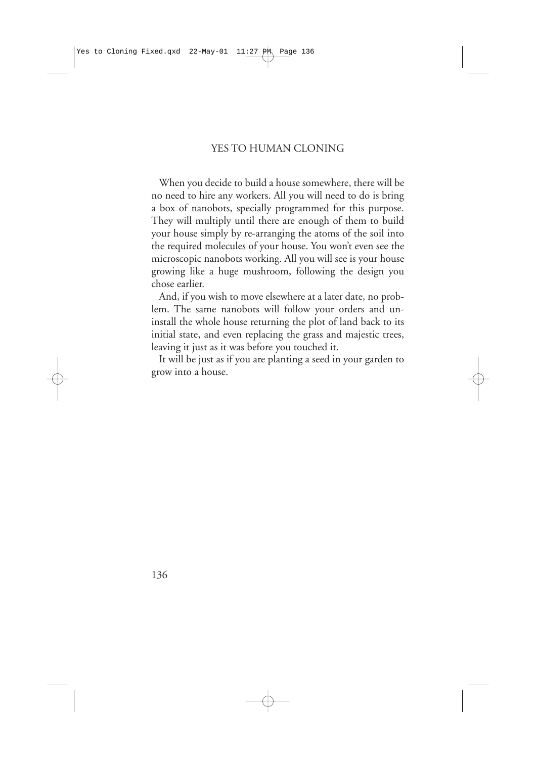When you decide to build a house somewhere, there will be no need to hire any workers. All you will need to do is bring a box of nanobots, specially programmed for this purpose. They will multiply until there are enough of them to build your house simply by re-arranging the atoms of the soil into the required molecules of your house. You won't even see the microscopic nanobots working. All you will see is your house growing like a huge mushroom, following the design you chose earlier.

And, if you wish to move elsewhere at a later date, no problem. The same nanobots will follow your orders and uninstall the whole house returning the plot of land back to its initial state, and even replacing the grass and majestic trees, leaving it just as it was before you touched it.

It will be just as if you are planting a seed in your garden to grow into a house.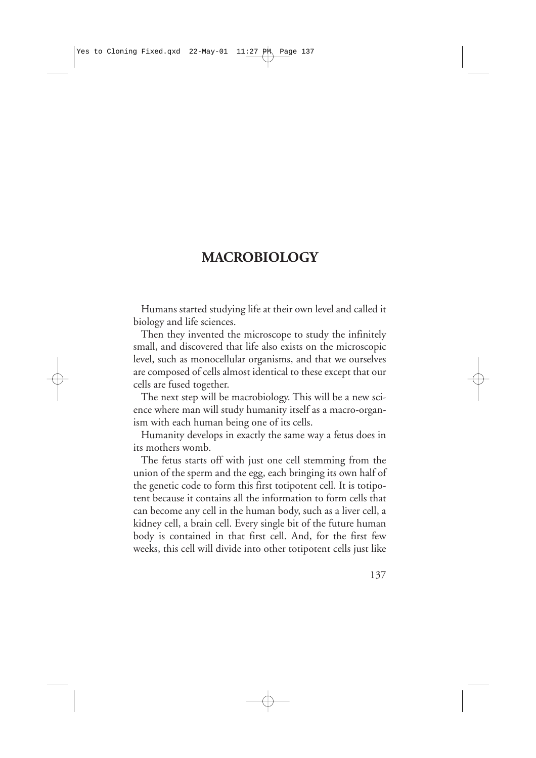## **MACROBIOLOGY**

Humans started studying life at their own level and called it biology and life sciences.

Then they invented the microscope to study the infinitely small, and discovered that life also exists on the microscopic level, such as monocellular organisms, and that we ourselves are composed of cells almost identical to these except that our cells are fused together.

The next step will be macrobiology. This will be a new science where man will study humanity itself as a macro-organism with each human being one of its cells.

Humanity develops in exactly the same way a fetus does in its mothers womb.

The fetus starts off with just one cell stemming from the union of the sperm and the egg, each bringing its own half of the genetic code to form this first totipotent cell. It is totipotent because it contains all the information to form cells that can become any cell in the human body, such as a liver cell, a kidney cell, a brain cell. Every single bit of the future human body is contained in that first cell. And, for the first few weeks, this cell will divide into other totipotent cells just like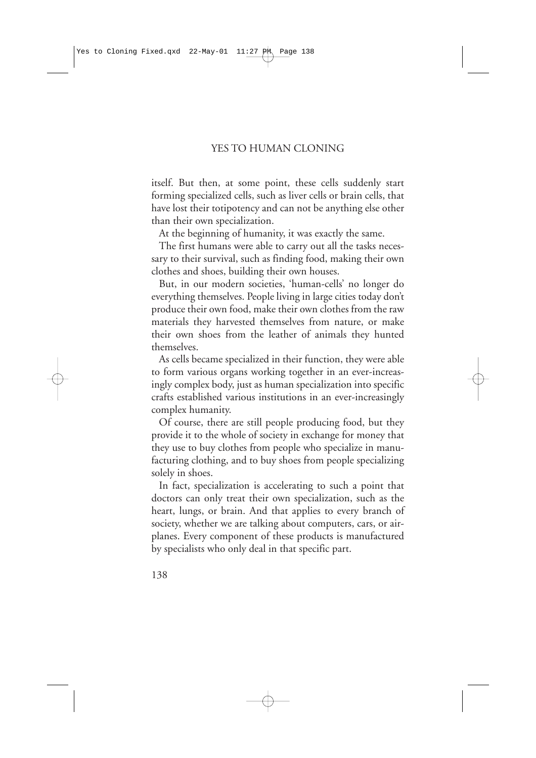itself. But then, at some point, these cells suddenly start forming specialized cells, such as liver cells or brain cells, that have lost their totipotency and can not be anything else other than their own specialization.

At the beginning of humanity, it was exactly the same.

The first humans were able to carry out all the tasks necessary to their survival, such as finding food, making their own clothes and shoes, building their own houses.

But, in our modern societies, 'human-cells' no longer do everything themselves. People living in large cities today don't produce their own food, make their own clothes from the raw materials they harvested themselves from nature, or make their own shoes from the leather of animals they hunted themselves.

As cells became specialized in their function, they were able to form various organs working together in an ever-increasingly complex body, just as human specialization into specific crafts established various institutions in an ever-increasingly complex humanity.

Of course, there are still people producing food, but they provide it to the whole of society in exchange for money that they use to buy clothes from people who specialize in manufacturing clothing, and to buy shoes from people specializing solely in shoes.

In fact, specialization is accelerating to such a point that doctors can only treat their own specialization, such as the heart, lungs, or brain. And that applies to every branch of society, whether we are talking about computers, cars, or airplanes. Every component of these products is manufactured by specialists who only deal in that specific part.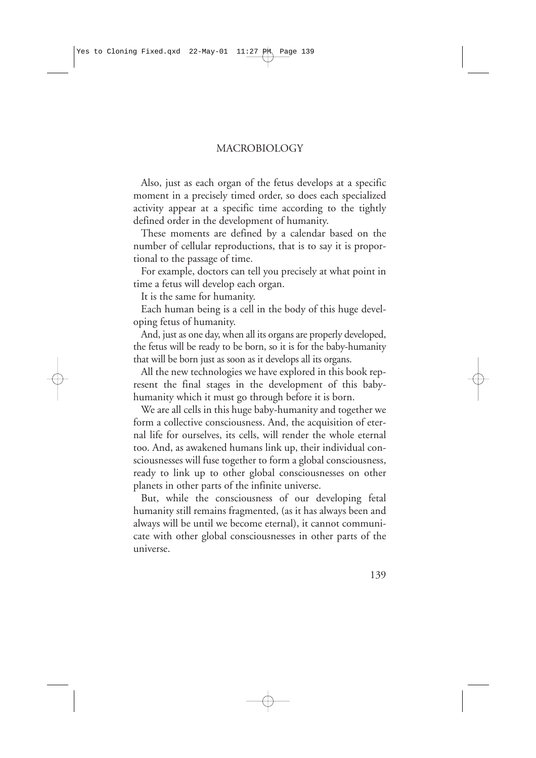#### MACROBIOLOGY

Also, just as each organ of the fetus develops at a specific moment in a precisely timed order, so does each specialized activity appear at a specific time according to the tightly defined order in the development of humanity.

These moments are defined by a calendar based on the number of cellular reproductions, that is to say it is proportional to the passage of time.

For example, doctors can tell you precisely at what point in time a fetus will develop each organ.

It is the same for humanity.

Each human being is a cell in the body of this huge developing fetus of humanity.

And, just as one day, when all its organs are properly developed, the fetus will be ready to be born, so it is for the baby-humanity that will be born just as soon as it develops all its organs.

All the new technologies we have explored in this book represent the final stages in the development of this babyhumanity which it must go through before it is born.

We are all cells in this huge baby-humanity and together we form a collective consciousness. And, the acquisition of eternal life for ourselves, its cells, will render the whole eternal too. And, as awakened humans link up, their individual consciousnesses will fuse together to form a global consciousness, ready to link up to other global consciousnesses on other planets in other parts of the infinite universe.

But, while the consciousness of our developing fetal humanity still remains fragmented, (as it has always been and always will be until we become eternal), it cannot communicate with other global consciousnesses in other parts of the universe.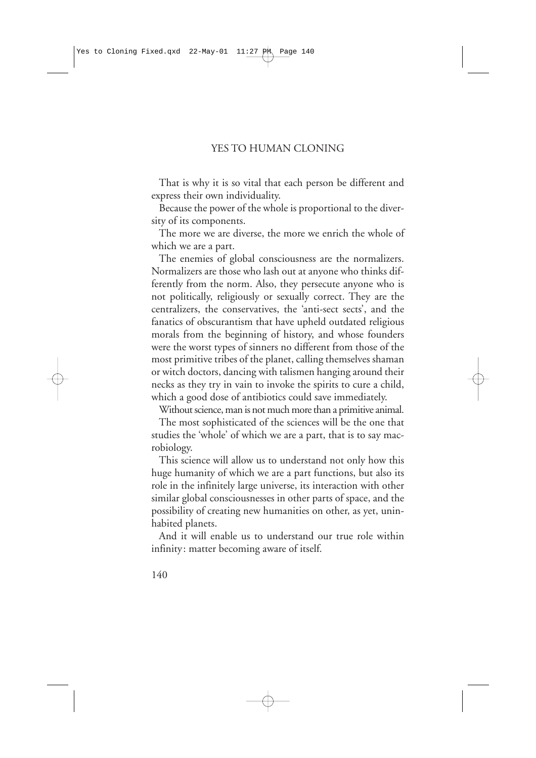That is why it is so vital that each person be different and express their own individuality.

Because the power of the whole is proportional to the diversity of its components.

The more we are diverse, the more we enrich the whole of which we are a part.

The enemies of global consciousness are the normalizers. Normalizers are those who lash out at anyone who thinks differently from the norm. Also, they persecute anyone who is not politically, religiously or sexually correct. They are the centralizers, the conservatives, the 'anti-sect sects', and the fanatics of obscurantism that have upheld outdated religious morals from the beginning of history, and whose founders were the worst types of sinners no different from those of the most primitive tribes of the planet, calling themselves shaman or witch doctors, dancing with talismen hanging around their necks as they try in vain to invoke the spirits to cure a child, which a good dose of antibiotics could save immediately.

Without science, man is not much more than a primitive animal.

The most sophisticated of the sciences will be the one that studies the 'whole' of which we are a part, that is to say macrobiology.

This science will allow us to understand not only how this huge humanity of which we are a part functions, but also its role in the infinitely large universe, its interaction with other similar global consciousnesses in other parts of space, and the possibility of creating new humanities on other, as yet, uninhabited planets.

And it will enable us to understand our true role within infinity: matter becoming aware of itself.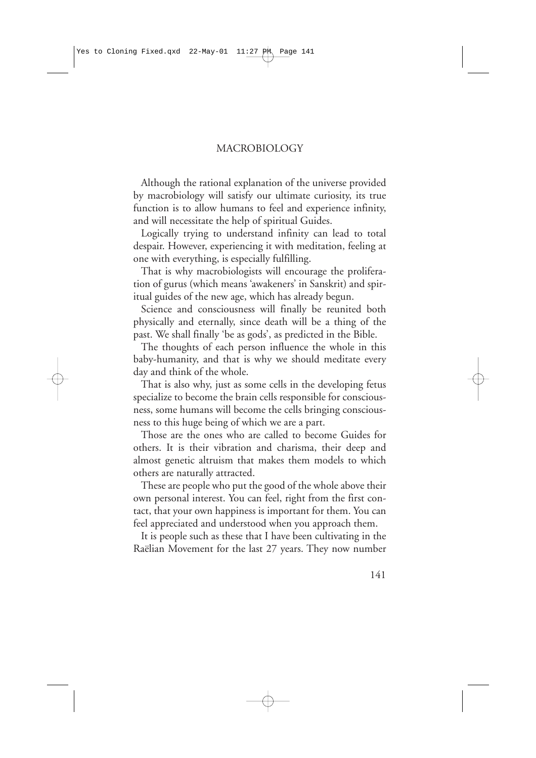#### MACROBIOLOGY

Although the rational explanation of the universe provided by macrobiology will satisfy our ultimate curiosity, its true function is to allow humans to feel and experience infinity, and will necessitate the help of spiritual Guides.

Logically trying to understand infinity can lead to total despair. However, experiencing it with meditation, feeling at one with everything, is especially fulfilling.

That is why macrobiologists will encourage the proliferation of gurus (which means 'awakeners' in Sanskrit) and spiritual guides of the new age, which has already begun.

Science and consciousness will finally be reunited both physically and eternally, since death will be a thing of the past. We shall finally 'be as gods', as predicted in the Bible.

The thoughts of each person influence the whole in this baby-humanity, and that is why we should meditate every day and think of the whole.

That is also why, just as some cells in the developing fetus specialize to become the brain cells responsible for consciousness, some humans will become the cells bringing consciousness to this huge being of which we are a part.

Those are the ones who are called to become Guides for others. It is their vibration and charisma, their deep and almost genetic altruism that makes them models to which others are naturally attracted.

These are people who put the good of the whole above their own personal interest. You can feel, right from the first contact, that your own happiness is important for them. You can feel appreciated and understood when you approach them.

It is people such as these that I have been cultivating in the Raëlian Movement for the last 27 years. They now number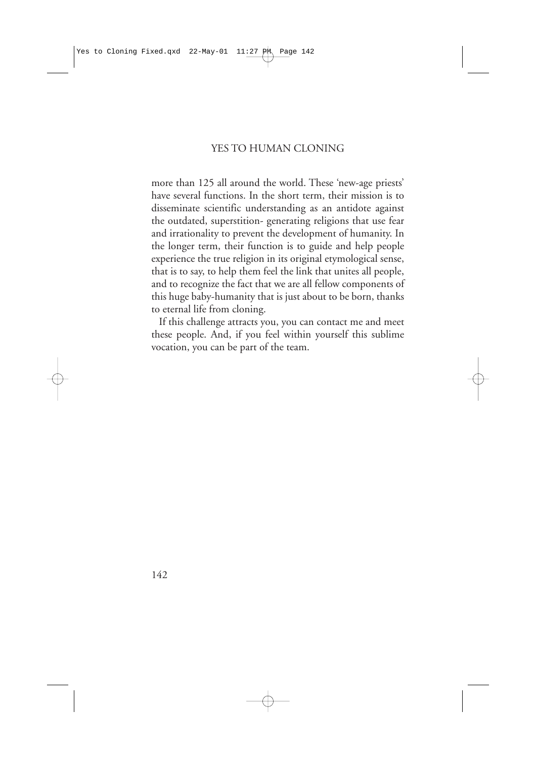### YES TO HUMAN CLONING

more than 125 all around the world. These 'new-age priests' have several functions. In the short term, their mission is to disseminate scientific understanding as an antidote against the outdated, superstition- generating religions that use fear and irrationality to prevent the development of humanity. In the longer term, their function is to guide and help people experience the true religion in its original etymological sense, that is to say, to help them feel the link that unites all people, and to recognize the fact that we are all fellow components of this huge baby-humanity that is just about to be born, thanks to eternal life from cloning.

If this challenge attracts you, you can contact me and meet these people. And, if you feel within yourself this sublime vocation, you can be part of the team.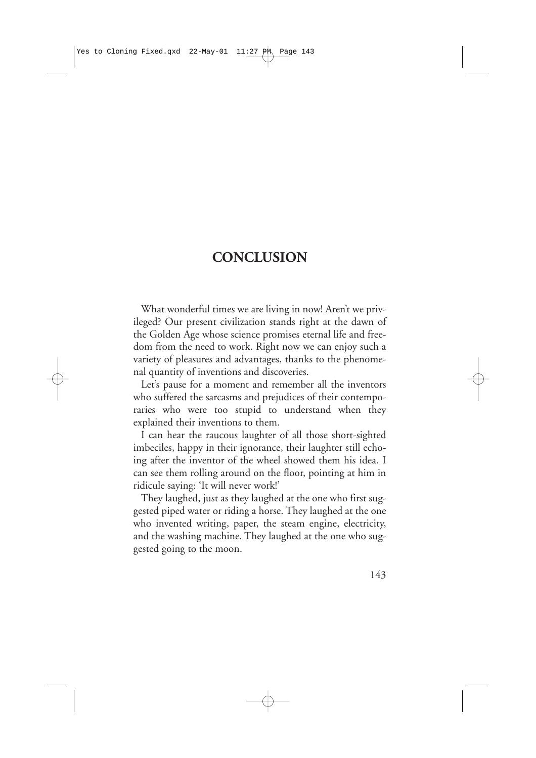# **CONCLUSION**

What wonderful times we are living in now! Aren't we privileged? Our present civilization stands right at the dawn of the Golden Age whose science promises eternal life and freedom from the need to work. Right now we can enjoy such a variety of pleasures and advantages, thanks to the phenomenal quantity of inventions and discoveries.

Let's pause for a moment and remember all the inventors who suffered the sarcasms and prejudices of their contemporaries who were too stupid to understand when they explained their inventions to them.

I can hear the raucous laughter of all those short-sighted imbeciles, happy in their ignorance, their laughter still echoing after the inventor of the wheel showed them his idea. I can see them rolling around on the floor, pointing at him in ridicule saying: 'It will never work!'

They laughed, just as they laughed at the one who first suggested piped water or riding a horse. They laughed at the one who invented writing, paper, the steam engine, electricity, and the washing machine. They laughed at the one who suggested going to the moon.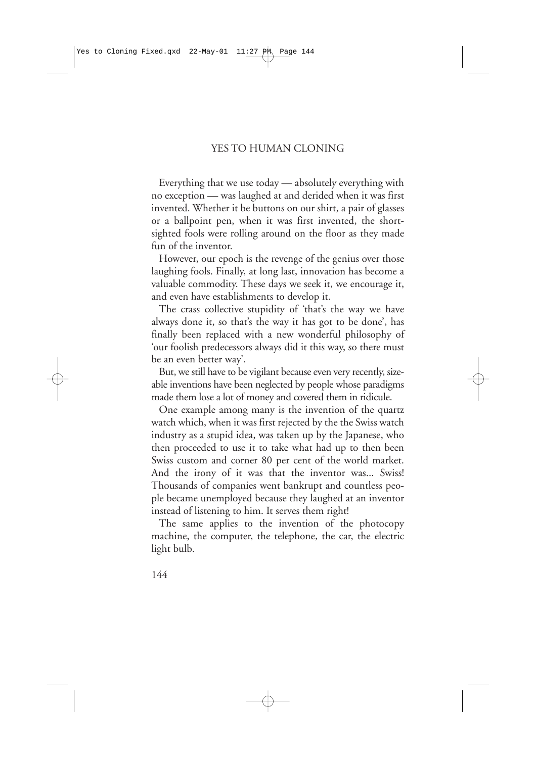Everything that we use today — absolutely everything with no exception — was laughed at and derided when it was first invented. Whether it be buttons on our shirt, a pair of glasses or a ballpoint pen, when it was first invented, the shortsighted fools were rolling around on the floor as they made fun of the inventor.

However, our epoch is the revenge of the genius over those laughing fools. Finally, at long last, innovation has become a valuable commodity. These days we seek it, we encourage it, and even have establishments to develop it.

The crass collective stupidity of 'that's the way we have always done it, so that's the way it has got to be done', has finally been replaced with a new wonderful philosophy of 'our foolish predecessors always did it this way, so there must be an even better way'.

But, we still have to be vigilant because even very recently, sizeable inventions have been neglected by people whose paradigms made them lose a lot of money and covered them in ridicule.

One example among many is the invention of the quartz watch which, when it was first rejected by the the Swiss watch industry as a stupid idea, was taken up by the Japanese, who then proceeded to use it to take what had up to then been Swiss custom and corner 80 per cent of the world market. And the irony of it was that the inventor was... Swiss! Thousands of companies went bankrupt and countless people became unemployed because they laughed at an inventor instead of listening to him. It serves them right!

The same applies to the invention of the photocopy machine, the computer, the telephone, the car, the electric light bulb.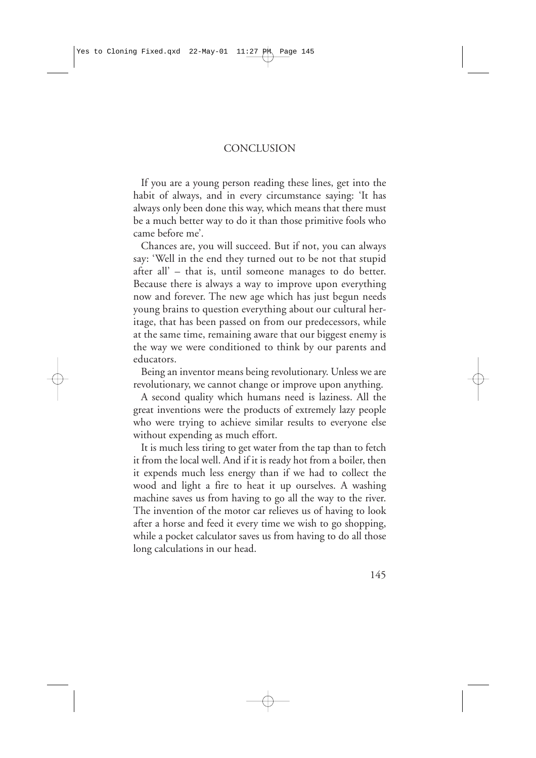### **CONCLUSION**

If you are a young person reading these lines, get into the habit of always, and in every circumstance saying: 'It has always only been done this way, which means that there must be a much better way to do it than those primitive fools who came before me'.

Chances are, you will succeed. But if not, you can always say: 'Well in the end they turned out to be not that stupid after all' – that is, until someone manages to do better. Because there is always a way to improve upon everything now and forever. The new age which has just begun needs young brains to question everything about our cultural heritage, that has been passed on from our predecessors, while at the same time, remaining aware that our biggest enemy is the way we were conditioned to think by our parents and educators.

Being an inventor means being revolutionary. Unless we are revolutionary, we cannot change or improve upon anything.

A second quality which humans need is laziness. All the great inventions were the products of extremely lazy people who were trying to achieve similar results to everyone else without expending as much effort.

It is much less tiring to get water from the tap than to fetch it from the local well. And if it is ready hot from a boiler, then it expends much less energy than if we had to collect the wood and light a fire to heat it up ourselves. A washing machine saves us from having to go all the way to the river. The invention of the motor car relieves us of having to look after a horse and feed it every time we wish to go shopping, while a pocket calculator saves us from having to do all those long calculations in our head.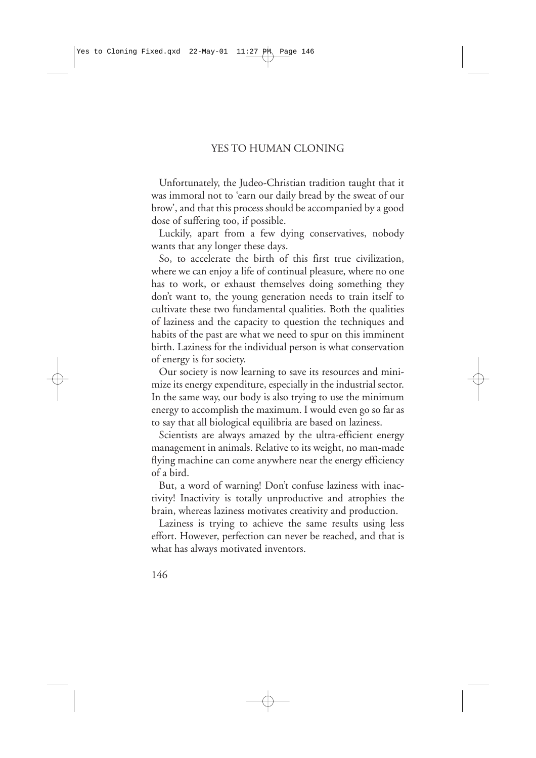Unfortunately, the Judeo-Christian tradition taught that it was immoral not to 'earn our daily bread by the sweat of our brow', and that this process should be accompanied by a good dose of suffering too, if possible.

Luckily, apart from a few dying conservatives, nobody wants that any longer these days.

So, to accelerate the birth of this first true civilization, where we can enjoy a life of continual pleasure, where no one has to work, or exhaust themselves doing something they don't want to, the young generation needs to train itself to cultivate these two fundamental qualities. Both the qualities of laziness and the capacity to question the techniques and habits of the past are what we need to spur on this imminent birth. Laziness for the individual person is what conservation of energy is for society.

Our society is now learning to save its resources and minimize its energy expenditure, especially in the industrial sector. In the same way, our body is also trying to use the minimum energy to accomplish the maximum. I would even go so far as to say that all biological equilibria are based on laziness.

Scientists are always amazed by the ultra-efficient energy management in animals. Relative to its weight, no man-made flying machine can come anywhere near the energy efficiency of a bird.

But, a word of warning! Don't confuse laziness with inactivity! Inactivity is totally unproductive and atrophies the brain, whereas laziness motivates creativity and production.

Laziness is trying to achieve the same results using less effort. However, perfection can never be reached, and that is what has always motivated inventors.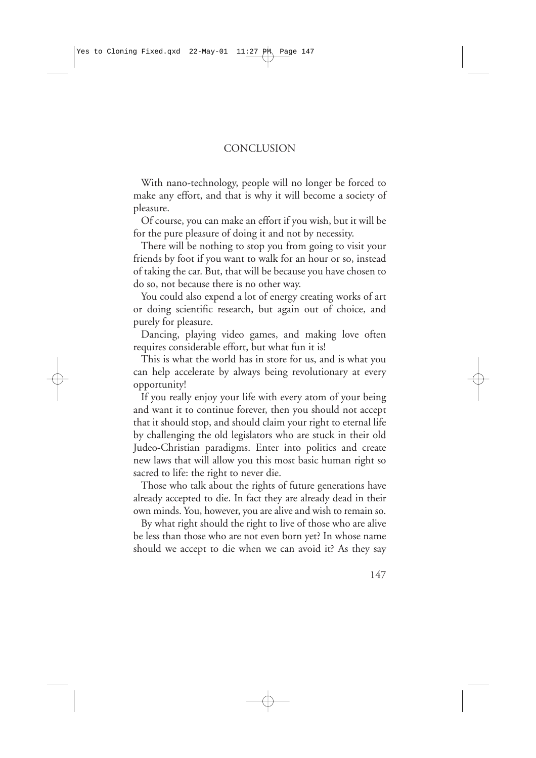## **CONCLUSION**

With nano-technology, people will no longer be forced to make any effort, and that is why it will become a society of pleasure.

Of course, you can make an effort if you wish, but it will be for the pure pleasure of doing it and not by necessity.

There will be nothing to stop you from going to visit your friends by foot if you want to walk for an hour or so, instead of taking the car. But, that will be because you have chosen to do so, not because there is no other way.

You could also expend a lot of energy creating works of art or doing scientific research, but again out of choice, and purely for pleasure.

Dancing, playing video games, and making love often requires considerable effort, but what fun it is!

This is what the world has in store for us, and is what you can help accelerate by always being revolutionary at every opportunity!

If you really enjoy your life with every atom of your being and want it to continue forever, then you should not accept that it should stop, and should claim your right to eternal life by challenging the old legislators who are stuck in their old Judeo-Christian paradigms. Enter into politics and create new laws that will allow you this most basic human right so sacred to life: the right to never die.

Those who talk about the rights of future generations have already accepted to die. In fact they are already dead in their own minds. You, however, you are alive and wish to remain so.

By what right should the right to live of those who are alive be less than those who are not even born yet? In whose name should we accept to die when we can avoid it? As they say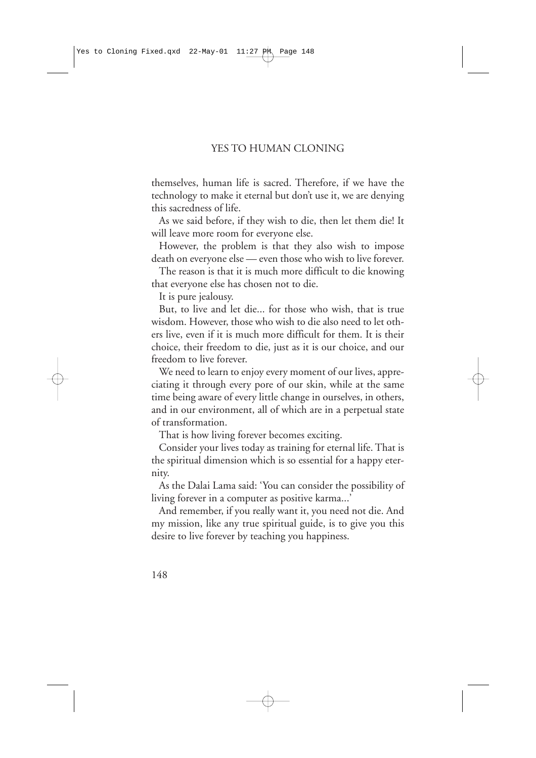themselves, human life is sacred. Therefore, if we have the technology to make it eternal but don't use it, we are denying this sacredness of life.

As we said before, if they wish to die, then let them die! It will leave more room for everyone else.

However, the problem is that they also wish to impose death on everyone else — even those who wish to live forever.

The reason is that it is much more difficult to die knowing that everyone else has chosen not to die.

It is pure jealousy.

But, to live and let die... for those who wish, that is true wisdom. However, those who wish to die also need to let others live, even if it is much more difficult for them. It is their choice, their freedom to die, just as it is our choice, and our freedom to live forever.

We need to learn to enjoy every moment of our lives, appreciating it through every pore of our skin, while at the same time being aware of every little change in ourselves, in others, and in our environment, all of which are in a perpetual state of transformation.

That is how living forever becomes exciting.

Consider your lives today as training for eternal life. That is the spiritual dimension which is so essential for a happy eternity.

As the Dalai Lama said: 'You can consider the possibility of living forever in a computer as positive karma...'

And remember, if you really want it, you need not die. And my mission, like any true spiritual guide, is to give you this desire to live forever by teaching you happiness.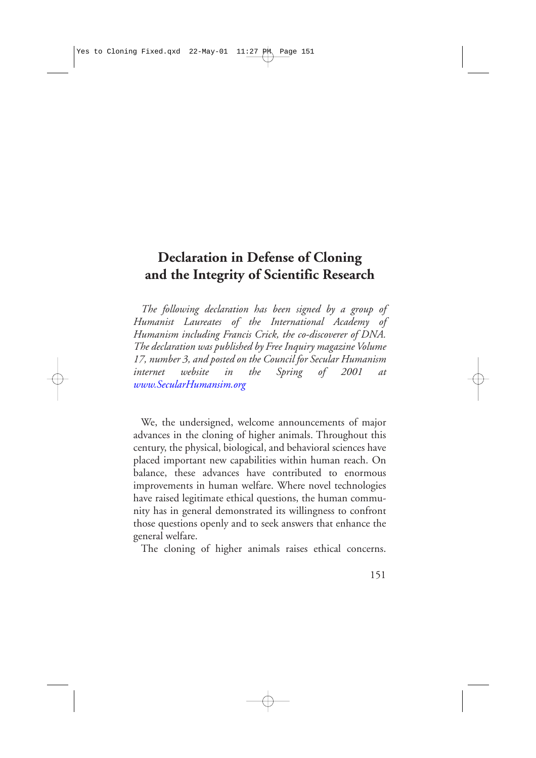# **Declaration in Defense of Cloning and the Integrity of Scientific Research**

*The following declaration has been signed by a group of Humanist Laureates of the International Academy of Humanism including Francis Crick, the co-discoverer of DNA. The declaration was published by Free Inquiry magazine Volume 17, number 3, and posted on the Council for Secular Humanism internet website in the Spring of 2001 at [www.SecularHumansim.org](http://www.SecularHumansim.org)*

We, the undersigned, welcome announcements of major advances in the cloning of higher animals. Throughout this century, the physical, biological, and behavioral sciences have placed important new capabilities within human reach. On balance, these advances have contributed to enormous improvements in human welfare. Where novel technologies have raised legitimate ethical questions, the human community has in general demonstrated its willingness to confront those questions openly and to seek answers that enhance the general welfare.

The cloning of higher animals raises ethical concerns.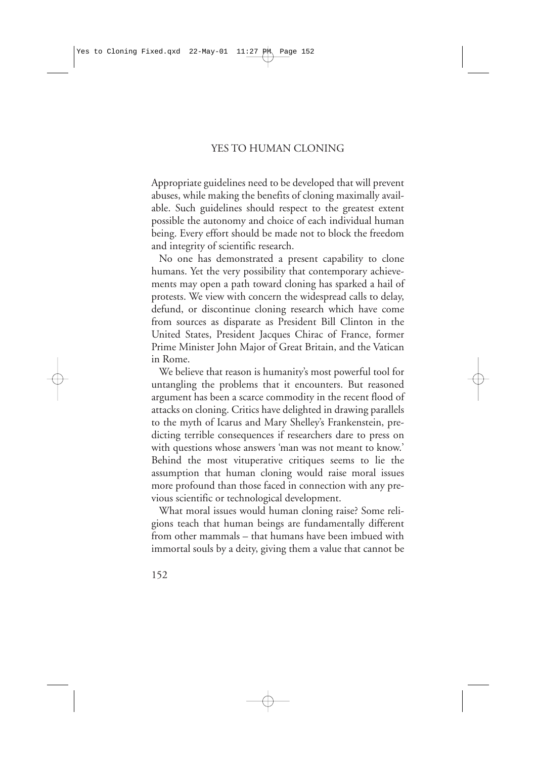Appropriate guidelines need to be developed that will prevent abuses, while making the benefits of cloning maximally available. Such guidelines should respect to the greatest extent possible the autonomy and choice of each individual human being. Every effort should be made not to block the freedom and integrity of scientific research.

No one has demonstrated a present capability to clone humans. Yet the very possibility that contemporary achievements may open a path toward cloning has sparked a hail of protests. We view with concern the widespread calls to delay, defund, or discontinue cloning research which have come from sources as disparate as President Bill Clinton in the United States, President Jacques Chirac of France, former Prime Minister John Major of Great Britain, and the Vatican in Rome.

We believe that reason is humanity's most powerful tool for untangling the problems that it encounters. But reasoned argument has been a scarce commodity in the recent flood of attacks on cloning. Critics have delighted in drawing parallels to the myth of Icarus and Mary Shelley's Frankenstein, predicting terrible consequences if researchers dare to press on with questions whose answers 'man was not meant to know.' Behind the most vituperative critiques seems to lie the assumption that human cloning would raise moral issues more profound than those faced in connection with any previous scientific or technological development.

What moral issues would human cloning raise? Some religions teach that human beings are fundamentally different from other mammals – that humans have been imbued with immortal souls by a deity, giving them a value that cannot be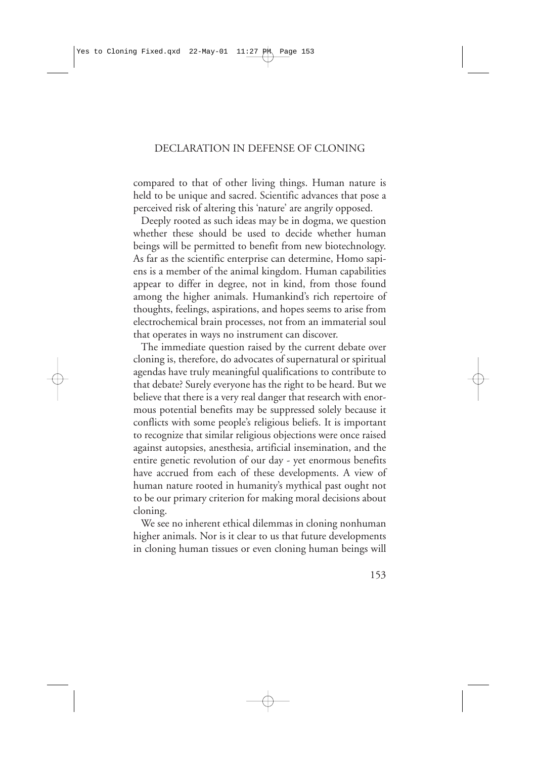compared to that of other living things. Human nature is held to be unique and sacred. Scientific advances that pose a perceived risk of altering this 'nature' are angrily opposed.

Deeply rooted as such ideas may be in dogma, we question whether these should be used to decide whether human beings will be permitted to benefit from new biotechnology. As far as the scientific enterprise can determine, Homo sapiens is a member of the animal kingdom. Human capabilities appear to differ in degree, not in kind, from those found among the higher animals. Humankind's rich repertoire of thoughts, feelings, aspirations, and hopes seems to arise from electrochemical brain processes, not from an immaterial soul that operates in ways no instrument can discover.

The immediate question raised by the current debate over cloning is, therefore, do advocates of supernatural or spiritual agendas have truly meaningful qualifications to contribute to that debate? Surely everyone has the right to be heard. But we believe that there is a very real danger that research with enormous potential benefits may be suppressed solely because it conflicts with some people's religious beliefs. It is important to recognize that similar religious objections were once raised against autopsies, anesthesia, artificial insemination, and the entire genetic revolution of our day - yet enormous benefits have accrued from each of these developments. A view of human nature rooted in humanity's mythical past ought not to be our primary criterion for making moral decisions about cloning.

We see no inherent ethical dilemmas in cloning nonhuman higher animals. Nor is it clear to us that future developments in cloning human tissues or even cloning human beings will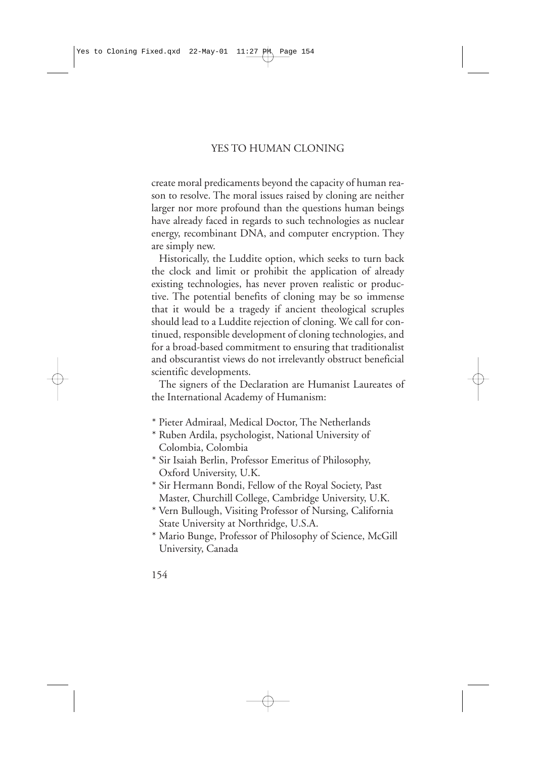create moral predicaments beyond the capacity of human reason to resolve. The moral issues raised by cloning are neither larger nor more profound than the questions human beings have already faced in regards to such technologies as nuclear energy, recombinant DNA, and computer encryption. They are simply new.

Historically, the Luddite option, which seeks to turn back the clock and limit or prohibit the application of already existing technologies, has never proven realistic or productive. The potential benefits of cloning may be so immense that it would be a tragedy if ancient theological scruples should lead to a Luddite rejection of cloning. We call for continued, responsible development of cloning technologies, and for a broad-based commitment to ensuring that traditionalist and obscurantist views do not irrelevantly obstruct beneficial scientific developments.

The signers of the Declaration are Humanist Laureates of the International Academy of Humanism:

- \* Pieter Admiraal, Medical Doctor, The Netherlands
- \* Ruben Ardila, psychologist, National University of Colombia, Colombia
- \* Sir Isaiah Berlin, Professor Emeritus of Philosophy, Oxford University, U.K.
- \* Sir Hermann Bondi, Fellow of the Royal Society, Past Master, Churchill College, Cambridge University, U.K.
- \* Vern Bullough, Visiting Professor of Nursing, California State University at Northridge, U.S.A.
- \* Mario Bunge, Professor of Philosophy of Science, McGill University, Canada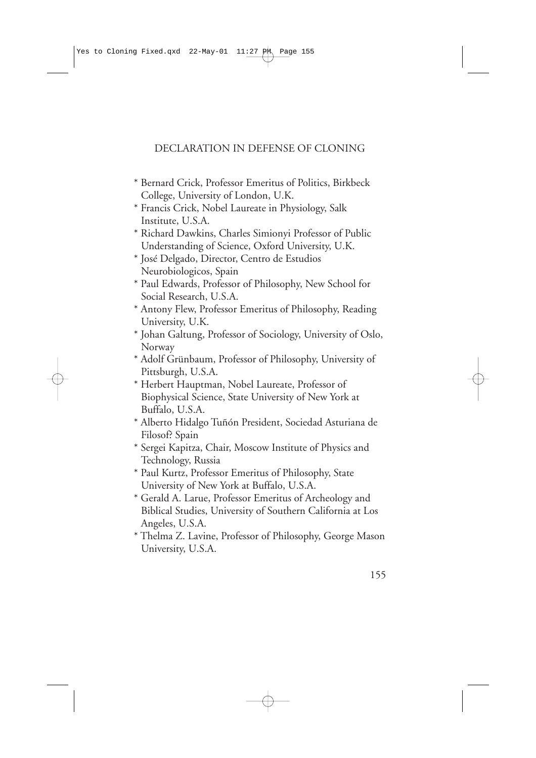- \* Bernard Crick, Professor Emeritus of Politics, Birkbeck College, University of London, U.K.
- \* Francis Crick, Nobel Laureate in Physiology, Salk Institute, U.S.A.
- \* Richard Dawkins, Charles Simionyi Professor of Public Understanding of Science, Oxford University, U.K.
- \* José Delgado, Director, Centro de Estudios Neurobiologicos, Spain
- \* Paul Edwards, Professor of Philosophy, New School for Social Research, U.S.A.
- \* Antony Flew, Professor Emeritus of Philosophy, Reading University, U.K.
- \* Johan Galtung, Professor of Sociology, University of Oslo, Norway
- \* Adolf Grünbaum, Professor of Philosophy, University of Pittsburgh, U.S.A.
- \* Herbert Hauptman, Nobel Laureate, Professor of Biophysical Science, State University of New York at Buffalo, U.S.A.
- \* Alberto Hidalgo Tuñón President, Sociedad Asturiana de Filosof? Spain
- \* Sergei Kapitza, Chair, Moscow Institute of Physics and Technology, Russia
- \* Paul Kurtz, Professor Emeritus of Philosophy, State University of New York at Buffalo, U.S.A.
- \* Gerald A. Larue, Professor Emeritus of Archeology and Biblical Studies, University of Southern California at Los Angeles, U.S.A.
- \* Thelma Z. Lavine, Professor of Philosophy, George Mason University, U.S.A.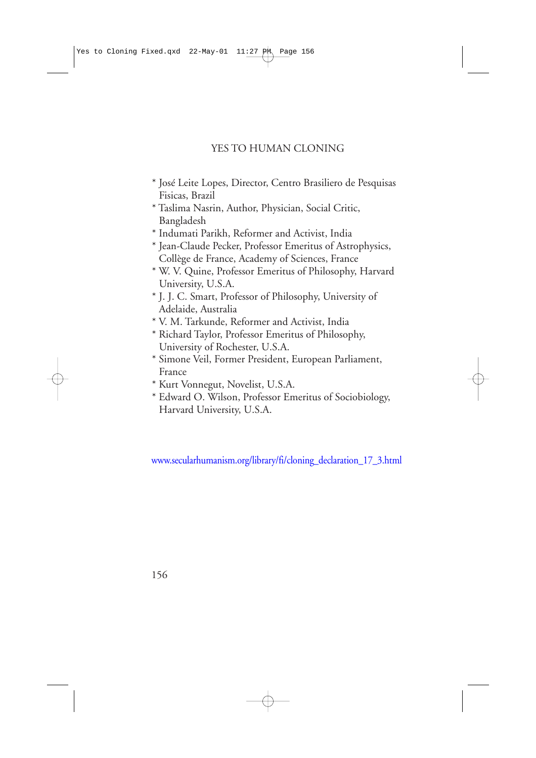## YES TO HUMAN CLONING

- \* José Leite Lopes, Director, Centro Brasiliero de Pesquisas Fisicas, Brazil
- \* Taslima Nasrin, Author, Physician, Social Critic, Bangladesh
- \* Indumati Parikh, Reformer and Activist, India
- \* Jean-Claude Pecker, Professor Emeritus of Astrophysics, Collège de France, Academy of Sciences, France
- \* W. V. Quine, Professor Emeritus of Philosophy, Harvard University, U.S.A.
- \* J. J. C. Smart, Professor of Philosophy, University of Adelaide, Australia
- \* V. M. Tarkunde, Reformer and Activist, India
- \* Richard Taylor, Professor Emeritus of Philosophy, University of Rochester, U.S.A.
- \* Simone Veil, Former President, European Parliament, France
- \* Kurt Vonnegut, Novelist, U.S.A.
- \* Edward O. Wilson, Professor Emeritus of Sociobiology, Harvard University, U.S.A.

[www.secularhumanism.org/library/fi/cloning\\_declaration\\_17\\_3.html](http://www.secularhumanism.org/library/fi/cloning_declaration_17_3.html)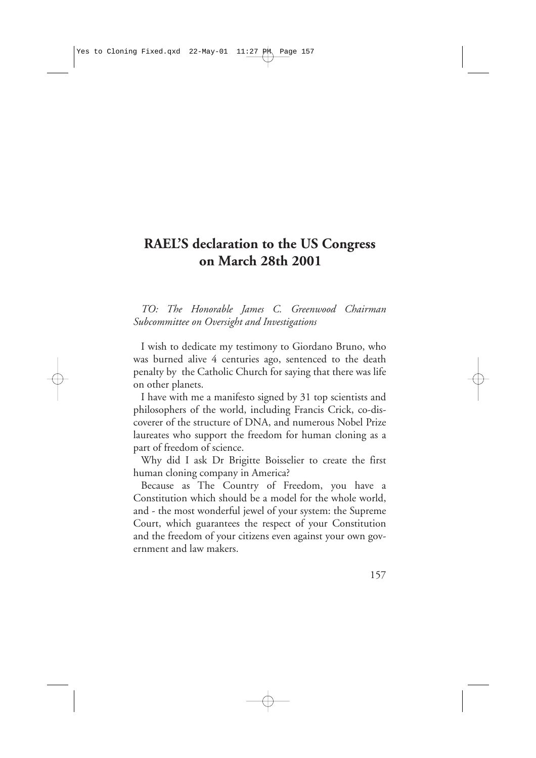# **RAEL'S declaration to the US Congress on March 28th 2001**

*TO: The Honorable James C. Greenwood Chairman Subcommittee on Oversight and Investigations* 

I wish to dedicate my testimony to Giordano Bruno, who was burned alive 4 centuries ago, sentenced to the death penalty by the Catholic Church for saying that there was life on other planets.

I have with me a manifesto signed by 31 top scientists and philosophers of the world, including Francis Crick, co-discoverer of the structure of DNA, and numerous Nobel Prize laureates who support the freedom for human cloning as a part of freedom of science.

Why did I ask Dr Brigitte Boisselier to create the first human cloning company in America?

Because as The Country of Freedom, you have a Constitution which should be a model for the whole world, and - the most wonderful jewel of your system: the Supreme Court, which guarantees the respect of your Constitution and the freedom of your citizens even against your own government and law makers.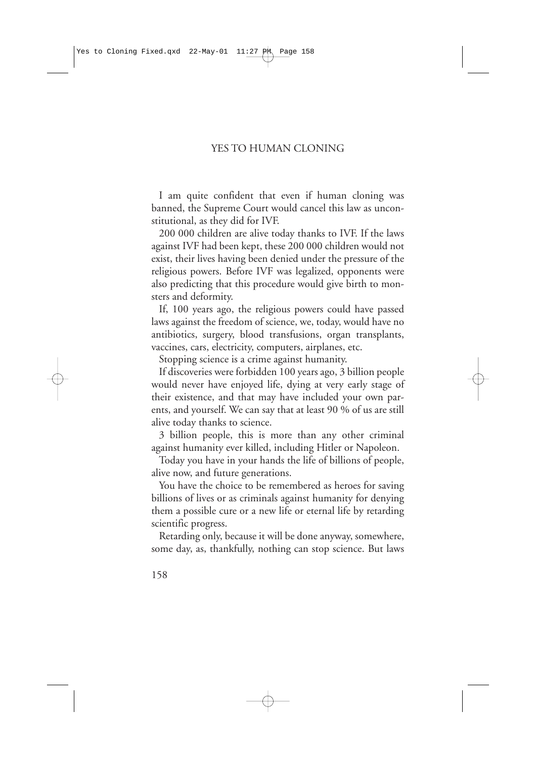I am quite confident that even if human cloning was banned, the Supreme Court would cancel this law as unconstitutional, as they did for IVF.

200 000 children are alive today thanks to IVF. If the laws against IVF had been kept, these 200 000 children would not exist, their lives having been denied under the pressure of the religious powers. Before IVF was legalized, opponents were also predicting that this procedure would give birth to monsters and deformity.

If, 100 years ago, the religious powers could have passed laws against the freedom of science, we, today, would have no antibiotics, surgery, blood transfusions, organ transplants, vaccines, cars, electricity, computers, airplanes, etc.

Stopping science is a crime against humanity.

If discoveries were forbidden 100 years ago, 3 billion people would never have enjoyed life, dying at very early stage of their existence, and that may have included your own parents, and yourself. We can say that at least 90 % of us are still alive today thanks to science.

3 billion people, this is more than any other criminal against humanity ever killed, including Hitler or Napoleon.

Today you have in your hands the life of billions of people, alive now, and future generations.

You have the choice to be remembered as heroes for saving billions of lives or as criminals against humanity for denying them a possible cure or a new life or eternal life by retarding scientific progress.

Retarding only, because it will be done anyway, somewhere, some day, as, thankfully, nothing can stop science. But laws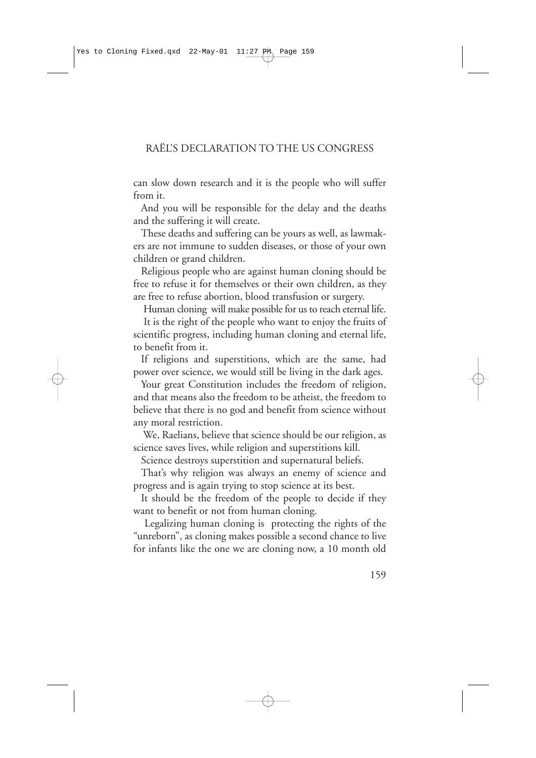can slow down research and it is the people who will suffer from it.

And you will be responsible for the delay and the deaths and the suffering it will create.

These deaths and suffering can be yours as well, as lawmakers are not immune to sudden diseases, or those of your own children or grand children.

Religious people who are against human cloning should be free to refuse it for themselves or their own children, as they are free to refuse abortion, blood transfusion or surgery.

Human cloning will make possible for us to reach eternal life.

It is the right of the people who want to enjoy the fruits of scientific progress, including human cloning and eternal life, to benefit from it.

If religions and superstitions, which are the same, had power over science, we would still be living in the dark ages.

Your great Constitution includes the freedom of religion, and that means also the freedom to be atheist, the freedom to believe that there is no god and benefit from science without any moral restriction.

We, Raelians, believe that science should be our religion, as science saves lives, while religion and superstitions kill.

Science destroys superstition and supernatural beliefs.

That's why religion was always an enemy of science and progress and is again trying to stop science at its best.

It should be the freedom of the people to decide if they want to benefit or not from human cloning.

Legalizing human cloning is protecting the rights of the "unreborn", as cloning makes possible a second chance to live for infants like the one we are cloning now, a 10 month old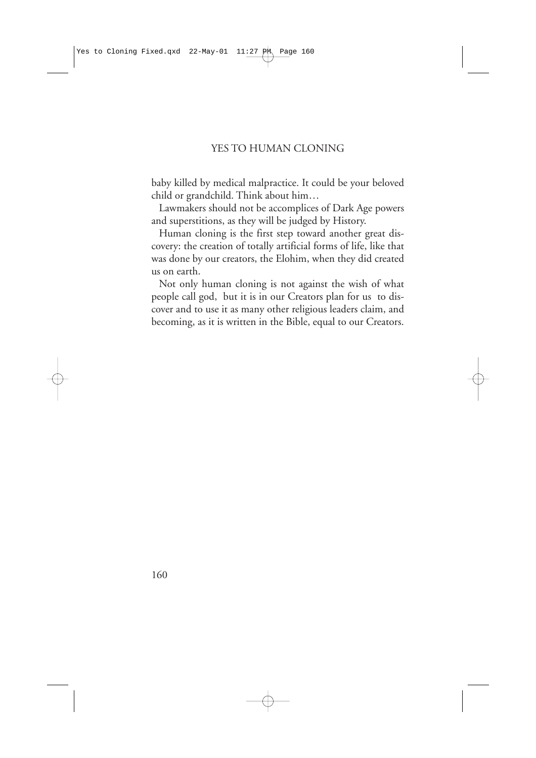baby killed by medical malpractice. It could be your beloved child or grandchild. Think about him…

Lawmakers should not be accomplices of Dark Age powers and superstitions, as they will be judged by History.

Human cloning is the first step toward another great discovery: the creation of totally artificial forms of life, like that was done by our creators, the Elohim, when they did created us on earth.

Not only human cloning is not against the wish of what people call god, but it is in our Creators plan for us to discover and to use it as many other religious leaders claim, and becoming, as it is written in the Bible, equal to our Creators.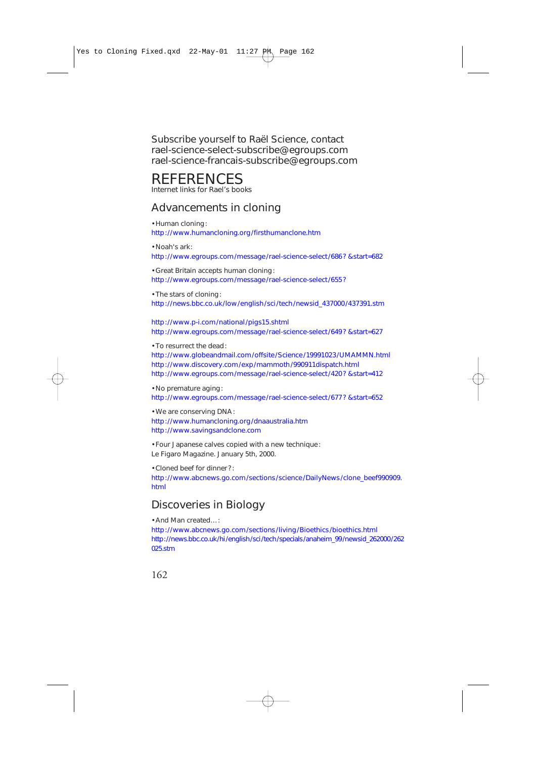Subscribe yourself to Raël Science, contact rael-science-select-subscribe@egroups.com rael-science-francais-subscribe@egroups.com

# **REFERENCES**

Internet links for Rael's books

# Advancements in cloning

• Human cloning: <http://www.humancloning.org/firsthumanclone.htm>

• Noah's ark: <http://www.egroups.com/message/rael-science-select/686? &start=682>

• Great Britain accepts human cloning: <http://www.egroups.com/message/rael-science-select/655?>

• The stars of cloning: [http://news.bbc.co.uk/low/english/sci/tech/newsid\\_437000/437391.stm](http://news.bbc.co.uk/low/english/sci/tech/newsid_437000/437391.stm) 

<http://www.p-i.com/national/pigs15.shtml> <http://www.egroups.com/message/rael-science-select/649? &start=627>

• To resurrect the dead:

<http://www.globeandmail.com/offsite/Science/19991023/UMAMMN.html> <http://www.discovery.com/exp/mammoth/990911dispatch.html> <http://www.egroups.com/message/rael-science-select/420? &start=412>

• No premature aging: <http://www.egroups.com/message/rael-science-select/677? &start=652>

• We are conserving DNA: <http://www.humancloning.org/dnaaustralia.htm> <http://www.savingsandclone.com>

• Four Japanese calves copied with a new technique: Le Figaro Magazine. January 5th, 2000.

• Cloned beef for dinner?:

[http://www.abcnews.go.com/sections/science/DailyNews/clone\\_beef990909.](http://www.abcnews.go.com/sections/science/DailyNews/clone_beef990909.html) html

# Discoveries in Biology

• And Man created…: <http://www.abcnews.go.com/sections/living/Bioethics/bioethics.html> [http://news.bbc.co.uk/hi/english/sci/tech/specials/anaheim\\_99/newsid\\_262000/262](http://news.bbc.co.uk/hi/english/sci/tech/specials/anaheim_99/newsid_262000/262025.stm) 025.stm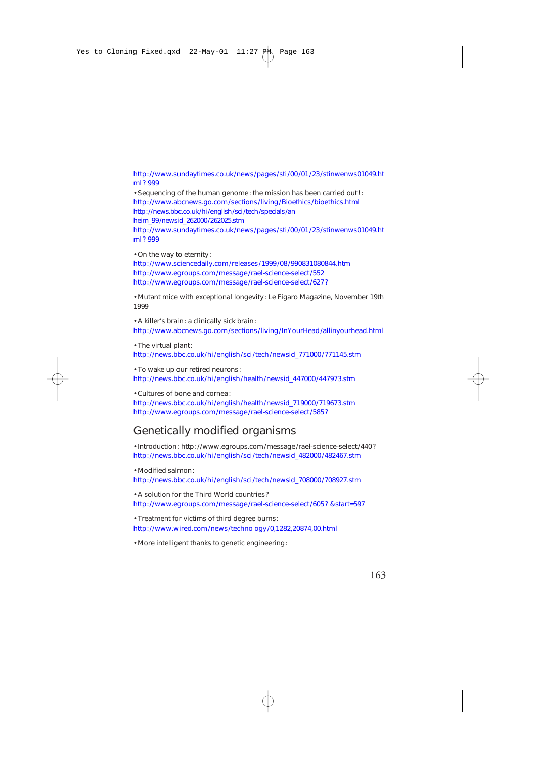[http://www.sundaytimes.co.uk/news/pages/sti/00/01/23/stinwenws01049.ht](http://www.sundaytimes.co.uk/news/pages/sti/00/01/23/stinwenws01049.html?999) ml? 999

• Sequencing of the human genome: the mission has been carried out!: <http://www.abcnews.go.com/sections/living/Bioethics/bioethics.html> [http://news.bbc.co.uk/hi/english/sci/tech/specials/an](http://news.bbc.co.uk/hi/english/sci/tech/specials/anheim_99/newsid_262000/262025.stm) heim\_99/newsid\_262000/262025.stm

[http://www.sundaytimes.co.uk/news/pages/sti/00/01/23/stinwenws01049.ht](http://www.sundaytimes.co.uk/news/pages/sti/00/01/23/stinwenws01049.html? 999) ml? 999

• On the way to eternity:

<http://www.sciencedaily.com/releases/1999/08/990831080844.htm> <http://www.egroups.com/message/rael-science-select/552> <http://www.egroups.com/message/rael-science-select/627?>

• Mutant mice with exceptional longevity: Le Figaro Magazine, November 19th 1999

• A killer's brain: a clinically sick brain: <http://www.abcnews.go.com/sections/living/InYourHead/allinyourhead.html>

• The virtual plant:

[http://news.bbc.co.uk/hi/english/sci/tech/newsid\\_771000/771145.stm](http://news.bbc.co.uk/hi/english/sci/tech/newsid_771000/771145.stm)

• To wake up our retired neurons: [http://news.bbc.co.uk/hi/english/health/newsid\\_447000/447973.stm](http://news.bbc.co.uk/hi/english/health/newsid_447000/447973.stm)

• Cultures of bone and cornea:

[http://news.bbc.co.uk/hi/english/health/newsid\\_719000/719673.stm](http://news.bbc.co.uk/hi/english/health/newsid_719000/719673.stm) <http://www.egroups.com/message/rael-science-select/585?>

# Genetically modified organisms

• Introduction: http://www.egroups.com/message/rael-science-select/440? [http://news.bbc.co.uk/hi/english/sci/tech/newsid\\_482000/482467.stm](http://news.bbc.co.uk/hi/english/sci/tech/newsid_482000/482467.stm)

• Modified salmon: [http://news.bbc.co.uk/hi/english/sci/tech/newsid\\_708000/708927.stm](http://news.bbc.co.uk/hi/english/sci/tech/newsid_708000/708927.stm)

• A solution for the Third World countries? <http://www.egroups.com/message/rael-science-select/605? &start=597>

• Treatment for victims of third degree burns: <http://www.wired.com/news/techno ogy/0,1282,20874,00.html>

• More intelligent thanks to genetic engineering: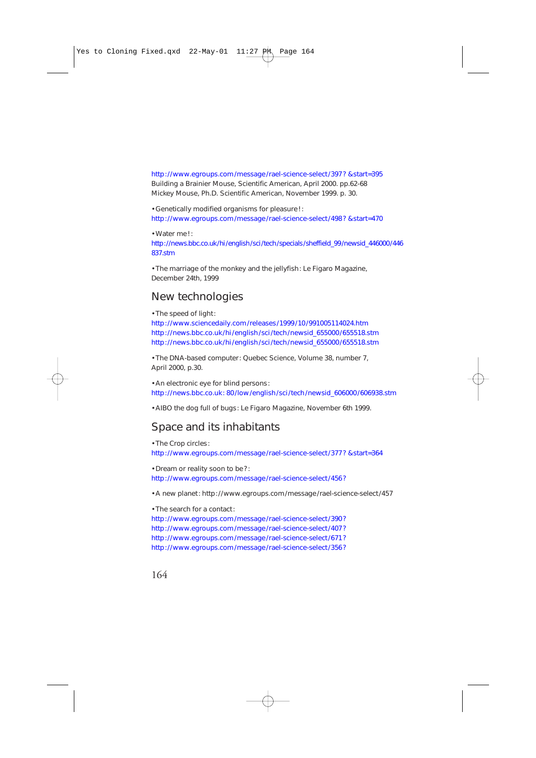<http://www.egroups.com/message/rael-science-select/397? &start=395> Building a Brainier Mouse, Scientific American, April 2000. pp.62-68 Mickey Mouse, Ph.D. Scientific American, November 1999. p. 30.

• Genetically modified organisms for pleasure!: <http://www.egroups.com/message/rael-science-select/498? &start=470>

• Water me!:

[http://news.bbc.co.uk/hi/english/sci/tech/specials/sheffield\\_99/newsid\\_446000/446](http://news.bbc.co.uk/hi/english/sci/tech/specials/sheffield_99/newsid_446000/446837.htm) 837.stm

• The marriage of the monkey and the jellyfish: Le Figaro Magazine, December 24th, 1999

# New technologies

• The speed of light:

<http://www.sciencedaily.com/releases/1999/10/991005114024.htm> [http://news.bbc.co.uk/hi/english/sci/tech/newsid\\_655000/655518.stm](http://news.bbc.co.uk/hi/english/sci/tech/newsid_655000/655518.stm) [http://news.bbc.co.uk/hi/english/sci/tech/newsid\\_655000/655518.stm](http://news.bbc.co.uk/hi/english/sci/tech/newsid_655000/655518.stm)

• The DNA-based computer: Quebec Science, Volume 38, number 7, April 2000, p.30.

• An electronic eye for blind persons: [http://news.bbc.co.uk: 80/low/english/sci/tech/newsid\\_606000/606938.stm](http://news.bbc.co.uk: 80/low/english/sci/tech/newsid_606000/606938.stm)

• AIBO the dog full of bugs: Le Figaro Magazine, November 6th 1999.

# Space and its inhabitants

• The Crop circles: <http://www.egroups.com/message/rael-science-select/377? &start=364>

• Dream or reality soon to be?: <http://www.egroups.com/message/rael-science-select/456?>

• A new planet: http://www.egroups.com/message/rael-science-select/457

• The search for a contact:

<http://www.egroups.com/message/rael-science-select/390?> <http://www.egroups.com/message/rael-science-select/407?> <http://www.egroups.com/message/rael-science-select/671?> <http://www.egroups.com/message/rael-science-select/356?>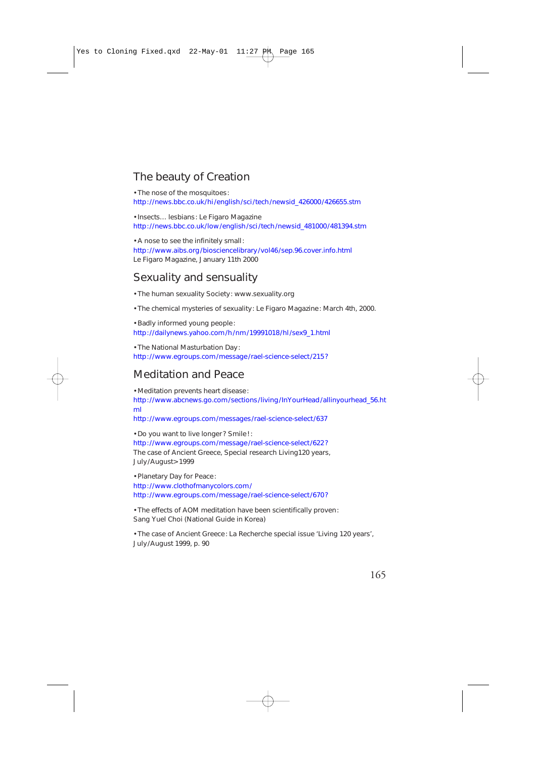# The beauty of Creation

• The nose of the mosquitoes: [http://news.bbc.co.uk/hi/english/sci/tech/newsid\\_426000/426655.stm](http://news.bbc.co.uk/hi/english/sci/tech/newsid_426000/426655.stm)

• Insects… lesbians: Le Figaro Magazine [http://news.bbc.co.uk/low/english/sci/tech/newsid\\_481000/481394.stm](http://news.bbc.co.uk/low/english/sci/tech/newsid_481000/481394.stm)

• A nose to see the infinitely small: <http://www.aibs.org/biosciencelibrary/vol46/sep.96.cover.info.html> Le Figaro Magazine, January 11th 2000

# Sexuality and sensuality

• The human sexuality Society: www.sexuality.org

• The chemical mysteries of sexuality: Le Figaro Magazine: March 4th, 2000.

• Badly informed young people: [http://dailynews.yahoo.com/h/nm/19991018/hl/sex9\\_1.html](http://dailynews.yahoo.com/h/nm/19991018/hl/sex9_1.html)

• The National Masturbation Day: <http://www.egroups.com/message/rael-science-select/215?>

# Meditation and Peace

• Meditation prevents heart disease: [http://www.abcnews.go.com/sections/living/InYourHead/allinyourhead\\_56.ht](http://www.abcnews.go.com/sections/living/InYourHead/allinyourhead_56.html) ml <http://www.egroups.com/messages/rael-science-select/637>

• Do you want to live longer? Smile!: <http://www.egroups.com/message/rael-science-select/622?> The case of Ancient Greece, Special research Living120 years, July/August> 1999

• Planetary Day for Peace: <http://www.clothofmanycolors.com/> <http://www.egroups.com/message/rael-science-select/670?>

• The effects of AOM meditation have been scientifically proven: Sang Yuel Choi (National Guide in Korea)

• The case of Ancient Greece: La Recherche special issue 'Living 120 years', July/August 1999, p. 90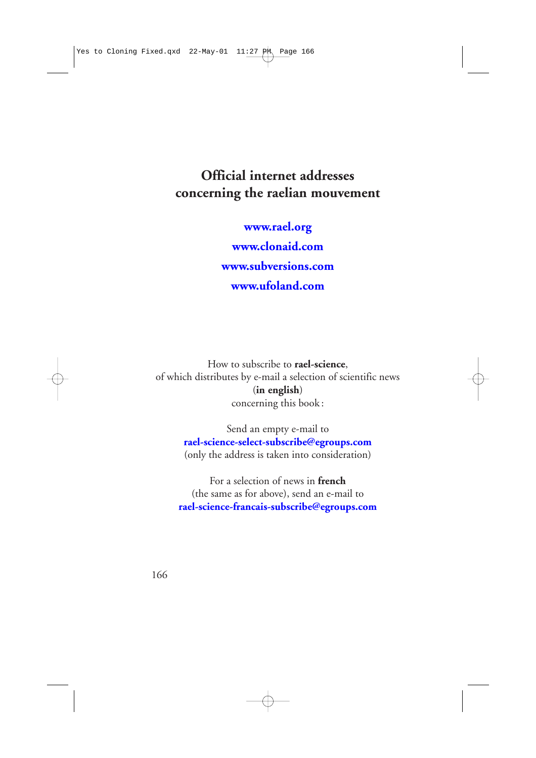# **Official internet addresses concerning the raelian mouvement**

**[www.rael.org](http://www.rael.org) [www.clonaid.com](http://www.clonaid.com) [www.subversions.com](http://www.subversions.com) [www.ufoland.com](http://www.ufoland.com)**

How to subscribe to **rael-science**, of which distributes by e-mail a selection of scientific news (**in english**) concerning this book :

> Send an empty e-mail to **[rael-science-select-subscribe@egroups.com](mailto:rael-science-select-subscribe@egroups.com)** (only the address is taken into consideration)

For a selection of news in **french** (the same as for above), send an e-mail to **[rael-science-francais-subscribe@egroups.com](mailto:rael-science-francais-subscribe@egroups.com)**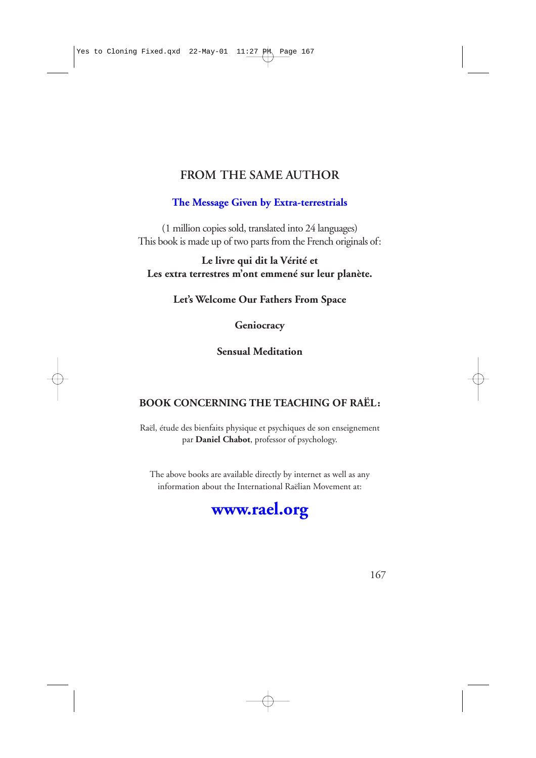# **FROM THE SAME AUTHOR**

## **[The Message Given by Extra-terrestrials](http://www.rael.org)**

(1 million copies sold, translated into 24 languages) This book is made up of two parts from the French originals of:

# **Le livre qui dit la Vérité et Les extra terrestres m'ont emmené sur leur planète.**

**Let's Welcome Our Fathers From Space**

## **Geniocracy**

# **Sensual Meditation**

# **BOOK CONCERNING THE TEACHING OF RAËL:**

Raël, étude des bienfaits physique et psychiques de son enseignement par **Daniel Chabot**, professor of psychology.

The above books are available directly by internet as well as any information about the International Raëlian Movement at:

# **[www.rael.org](http://www.rael.org)**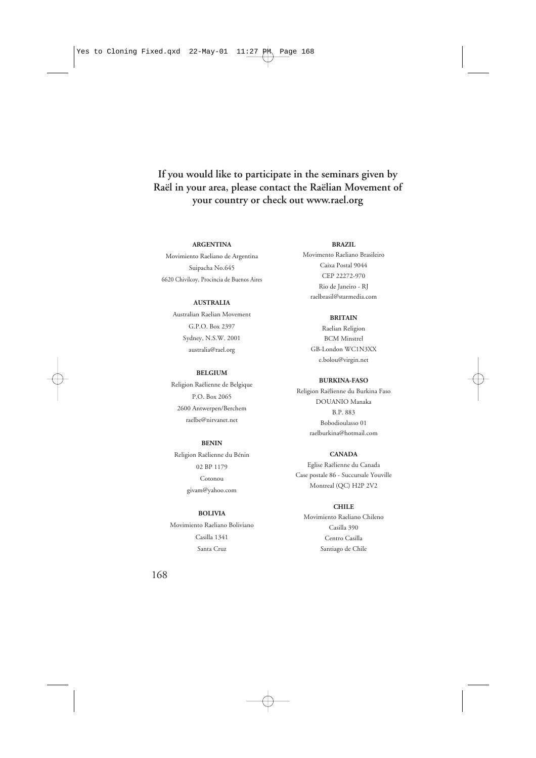# **If you would like to participate in the seminars given by Raël in your area, please contact the Raëlian Movement of your country or check out www.rael.org**

#### **ARGENTINA**

Movimiento Raeliano de Argentina Suipacha No.645 6620 Chivilcoy, Procincia de Buenos Aires

#### **AUSTRALIA**

Australian Raelian Movement G.P.O. Box 2397 Sydney, N.S.W. 2001 [australia@rael.org](mailto:australia@rael.org)

#### **BELGIUM**

Religion Raëlienne de Belgique P.O. Box 2065 2600 Antwerpen/Berchem raelbe@nirvanet.net

#### **BENIN**

Religion Raëlienne du Bénin 02 BP 1179 Cotonou givam@yahoo.com

### **BOLIVIA**

Movimiento Raeliano Boliviano Casilla 1341 Santa Cruz

### **BRAZIL**

Movimento Raeliano Brasileiro Caixa Postal 9044 CEP 22272-970 Rio de Janeiro - RJ raelbrasil@starmedia.com

#### **BRITAIN**

Raelian Religion BCM Minstrel GB-London WC1N3XX e.bolou@virgin.net

#### **BURKINA-FASO**

Religion Raëlienne du Burkina Faso DOUANIO Manaka B.P. 883 Bobodioulasso 01 raelburkina@hotmail.com

#### **CANADA**

Eglise Raëlienne du Canada Case postale 86 - Succursale Youville Montreal (QC) H2P 2V2

#### **CHILE**

Movimiento Raeliano Chileno Casilla 390 Centro Casilla Santiago de Chile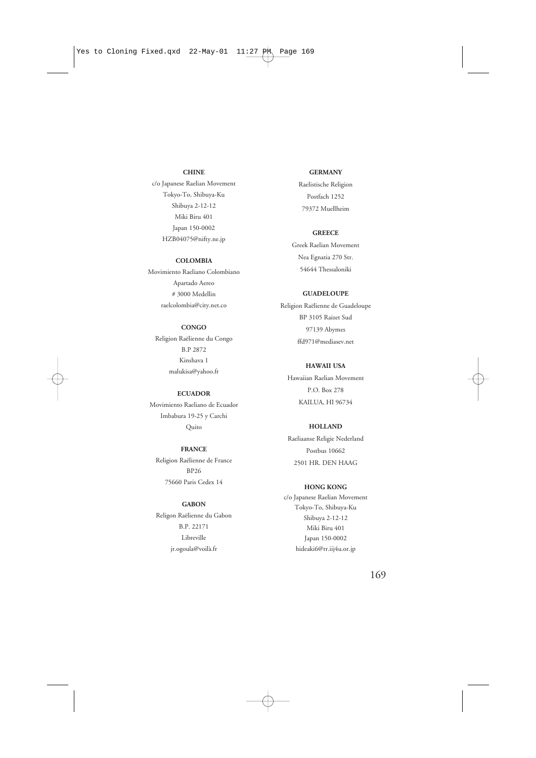### **CHINE**

c/o Japanese Raelian Movement Tokyo-To, Shibuya-Ku Shibuya 2-12-12 Miki Biru 401 Japan 150-0002 HZB04075@nifty.ne.jp

#### **COLOMBIA**

Movimiento Raeliano Colombiano Apartado Aereo # 3000 Medellin raelcolombia@city.net.co

### **CONGO**

Religion Raëlienne du Congo B.P 2872 Kinshava 1 malukisa@yahoo.fr

#### **ECUADOR**

Movimiento Raeliano de Ecuador Imbabura 19-25 y Carchi **Quito** 

#### **FRANCE**

Religion Raëlienne de France BP26 75660 Paris Cedex 14

#### **GABON**

Religon Raëlienne du Gabon B.P. 22171 Libreville jr.ogoula@voilà.fr

### **GERMANY**

Raelistische Religion Postfach 1252 79372 Muellheim

### **GREECE**

Greek Raelian Movement Nea Egnatia 270 Str. 54644 Thessaloniki

### **GUADELOUPE**

Religion Raëlienne de Guadeloupe BP 3105 Raizet Sud 97139 Abymes ffd971@mediasev.net

#### **HAWAII USA**

Hawaiian Raelian Movement P.O. Box 278 KAILUA, HI 96734

### **HOLLAND**

Raeliaanse Religie Nederland Postbus 10662 2501 HR. DEN HAAG

### **HONG KONG**

c/o Japanese Raelian Movement Tokyo-To, Shibuya-Ku Shibuya 2-12-12 Miki Biru 401 Japan 150-0002 hideaki6@rr.iij4u.or.jp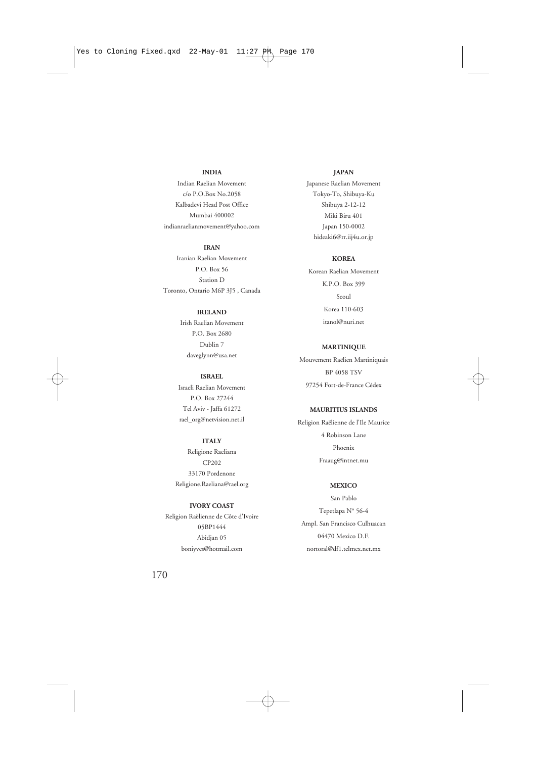### **INDIA**

Indian Raelian Movement c/o P.O.Box No.2058 Kalbadevi Head Post Office Mumbai 400002 indianraelianmovement@yahoo.com

#### **IRAN**

Iranian Raelian Movement P.O. Box 56 Station D Toronto, Ontario M6P 3J5 , Canada

#### **IRELAND**

Irish Raelian Movement P.O. Box 2680 Dublin 7 daveglynn@usa.net

#### **ISRAEL**

Israeli Raelian Movement P.O. Box 27244 Tel Aviv - Jaffa 61272 rael\_org@netvision.net.il

#### **ITALY**

Religione Raeliana CP202 33170 Pordenone Religione.Raeliana@rael.org

### **IVORY COAST**

Religion Raëlienne de Côte d'Ivoire 05BP1444 Abidjan 05 boniyves@hotmail.com

#### **JAPAN**

Japanese Raelian Movement Tokyo-To, Shibuya-Ku Shibuya 2-12-12 Miki Biru 401 Japan 150-0002 hideaki6@rr.iij4u.or.jp

### **KOREA**

Korean Raelian Movement K.P.O. Box 399 Seoul Korea 110-603 itanol@nuri.net

### **MARTINIQUE**

Mouvement Raëlien Martiniquais BP 4058 TSV 97254 Fort-de-France Cédex

#### **MAURITIUS ISLANDS**

Religion Raëlienne de l'Ile Maurice 4 Robinson Lane Phoenix Fraaug@intnet.mu

#### **MEXICO**

San Pablo Tepetlapa N° 56-4 Ampl. San Francisco Culhuacan 04470 Mexico D.F. nortoral@df1.telmex.net.mx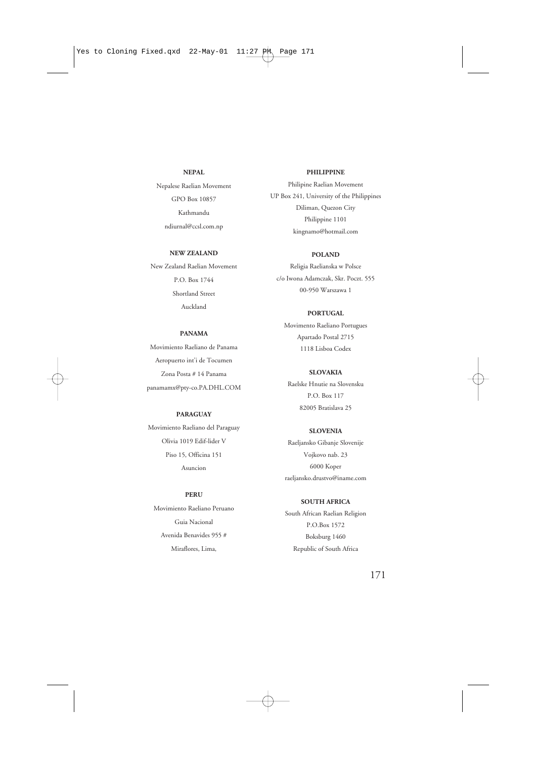### **NEPAL**

Nepalese Raelian Movement GPO Box 10857 Kathmandu ndiurnal@ccsl.com.np

#### **NEW ZEALAND**

New Zealand Raelian Movement P.O. Box 1744 Shortland Street Auckland

### **PANAMA**

Movimiento Raeliano de Panama Aeropuerto int'i de Tocumen Zona Posta # 14 Panama panamamx@pty-co.PA.DHL.COM

#### **PARAGUAY**

Movimiento Raeliano del Paraguay Olivia 1019 Edif-lider V Piso 15, Officina 151 Asuncion

### **PERU**

Movimiento Raeliano Peruano Guia Nacional Avenida Benavides 955 # Miraflores, Lima,

#### **PHILIPPINE**

Philipine Raelian Movement UP Box 241, University of the Philippines Diliman, Quezon City Philippine 1101 kingnamo@hotmail.com

#### **POLAND**

Religia Raelianska w Polsce c/o Iwona Adamczak, Skr. Poczt. 555 00-950 Warszawa 1

#### **PORTUGAL**

Movimento Raeliano Portugues Apartado Postal 2715 1118 Lisboa Codex

#### **SLOVAKIA**

Raelske Hnutie na Slovensku P.O. Box 117 82005 Bratislava 25

#### **SLOVENIA**

Raeljansko Gibanje Slovenije Vojkovo nab. 23 6000 Koper raeljansko.drustvo@iname.com

### **SOUTH AFRICA**

South African Raelian Religion P.O.Box 1572 Boksburg 1460 Republic of South Africa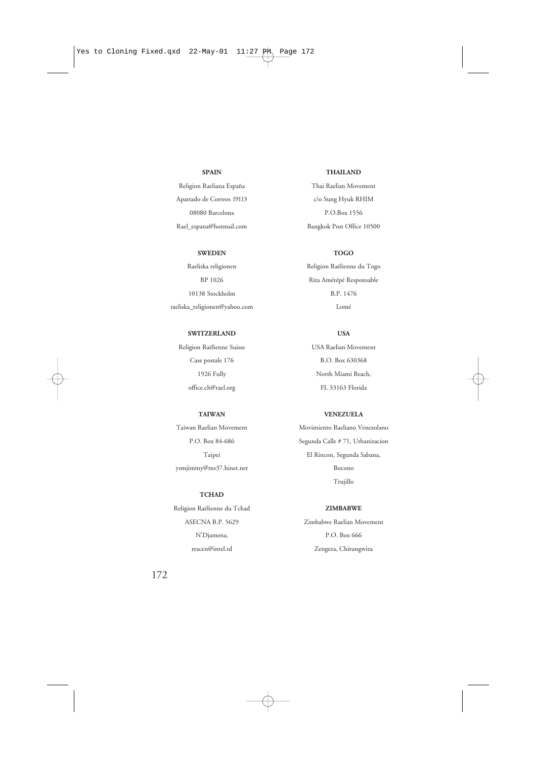### **SPAIN**

Religion Raeliana España Apartado de Correos 19113 08080 Barcelona Rael\_espana@hotmail.com

#### **SWEDEN**

Raeliska religionen BP 1026 10138 Stockholm raeliska\_religionen@yahoo.com

### **SWITZERLAND**

Religion Raëlienne Suisse Case postale 176 1926 Fully office.ch@rael.org

#### **TAIWAN**

Taiwan Raelian Movement P.O. Box 84-686 Taipei ysmjimmy@ms37.hinet.net

### **TCHAD**

Religion Raëlienne du Tchad ASECNA B.P. 5629 N'Djamena, reacen@intel.td

### **THAILAND**

Thai Raelian Movement c/o Sung Hyuk RHIM P.O.Box 1556 Bangkok Post Office 10500

# **TOGO**

Religion Raëlienne du Togo Rita Amétépé Responsable B.P. 1476 Lomé

## **USA**

USA Raelian Movement B.O. Box 630368 North Miami Beach, FL 33163 Florida

#### **VENEZUELA**

Movimiento Raeliano Venezolano Segunda Calle # 71, Urbanizacion El Rincon, Segunda Sabana, Bocono Trujillo

#### **ZIMBABWE**

Zimbabwe Raelian Movement P.O. Box 666 Zengeza, Chitungwiza